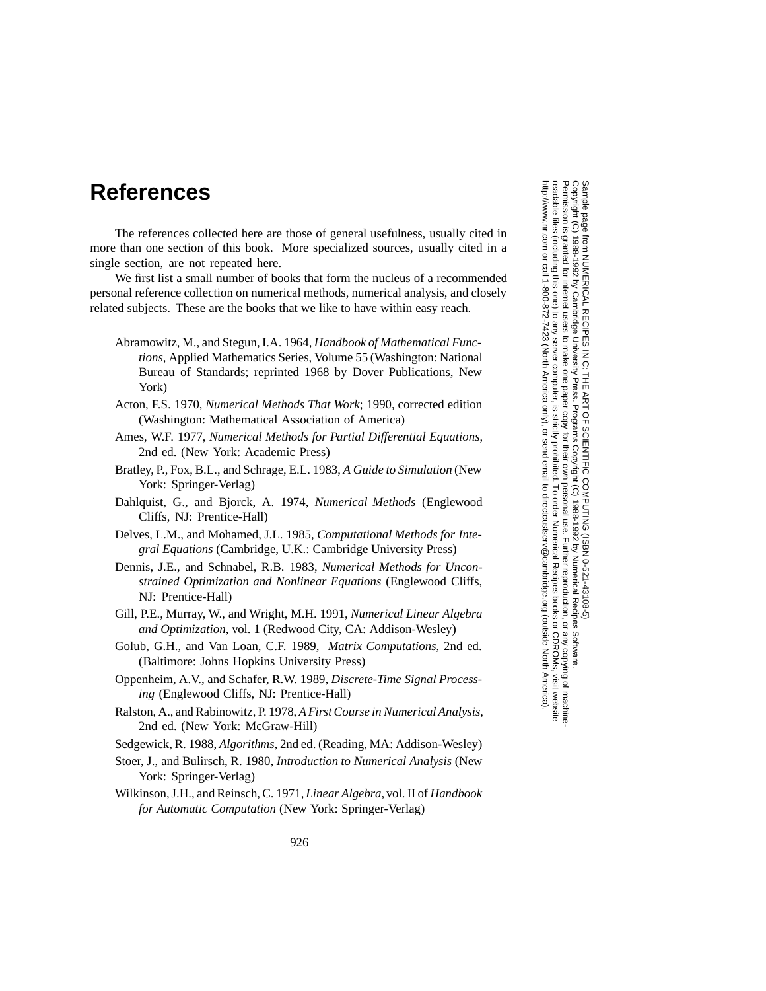### **References**

The references collected here are those of general usefulness, usually cited in more than one section of this book. More specialized sources, usually cited in a single section, are not repeated here.

We first list a small number of books that form the nucleus of a recommended personal reference collection on numerical methods, numerical analysis, and closely related subjects. These are the books that we like to have within easy reach.

- Abramowitz, M., and Stegun, I.A. 1964, *Handbook of Mathematical Functions*, Applied Mathematics Series, Volume 55 (Washington: National Bureau of Standards; reprinted 1968 by Dover Publications, New York)
- Acton, F.S. 1970, *Numerical Methods That Work*; 1990, corrected edition (Washington: Mathematical Association of America)
- Ames, W.F. 1977, *Numerical Methods for Partial Differential Equations*, 2nd ed. (New York: Academic Press)
- Bratley, P., Fox, B.L., and Schrage, E.L. 1983, *A Guide to Simulation* (New York: Springer-Verlag)
- Dahlquist, G., and Bjorck, A. 1974, *Numerical Methods* (Englewood Cliffs, NJ: Prentice-Hall)
- Delves, L.M., and Mohamed, J.L. 1985, *Computational Methods for Integral Equations* (Cambridge, U.K.: Cambridge University Press)
- Dennis, J.E., and Schnabel, R.B. 1983, *Numerical Methods for Unconstrained Optimization and Nonlinear Equations* (Englewood Cliffs, NJ: Prentice-Hall)
- Gill, P.E., Murray, W., and Wright, M.H. 1991, *Numerical Linear Algebra and Optimization*, vol. 1 (Redwood City, CA: Addison-Wesley)
- Golub, G.H., and Van Loan, C.F. 1989, *Matrix Computations*, 2nd ed. (Baltimore: Johns Hopkins University Press)
- Oppenheim, A.V., and Schafer, R.W. 1989, *Discrete-Time Signal Processing* (Englewood Cliffs, NJ: Prentice-Hall)
- Ralston, A., and Rabinowitz, P. 1978, *A First Course in Numerical Analysis*, 2nd ed. (New York: McGraw-Hill)
- Sedgewick, R. 1988, *Algorithms*, 2nd ed. (Reading, MA: Addison-Wesley)
- Stoer, J., and Bulirsch, R. 1980, *Introduction to Numerical Analysis* (New York: Springer-Verlag)
- Wilkinson, J.H., and Reinsch, C. 1971, *Linear Algebra*, vol. II of *Handbook for Automatic Computation* (New York: Springer-Verlag)

Sample page from NUMERICAL RECIPES<br>Copyright (C) 1988-1992 by Cambridge Uni http://www.nr.com or call 1-800-872-7423 (North America only),readable files (including this one) to any serverPermission is granted for internet users to make one paper copy for their own personal use. Further reproduction, or any copyin Copyright (C) 1988-1992 by Cambridge University Press.Sample page from NUMERICAL RECIPES IN C: THE ART OF SCIENTIFIC COMPUTING (ISBN 0-521-43108-5) PES IN C: THE<br>e University Pre computer, is strictly prohibited. To order Numerical Recipes books $\vec{=}$ ART OF Programs Copyright (C) 1988-1992 by Numerical Recipes Software. SCIENTIFIC COMPUTING (ISBN 0-521-43 or send email to directcustserv@cambridge.org (outside North America).  $(108-5)$ or CDROMs, visit website g of machine-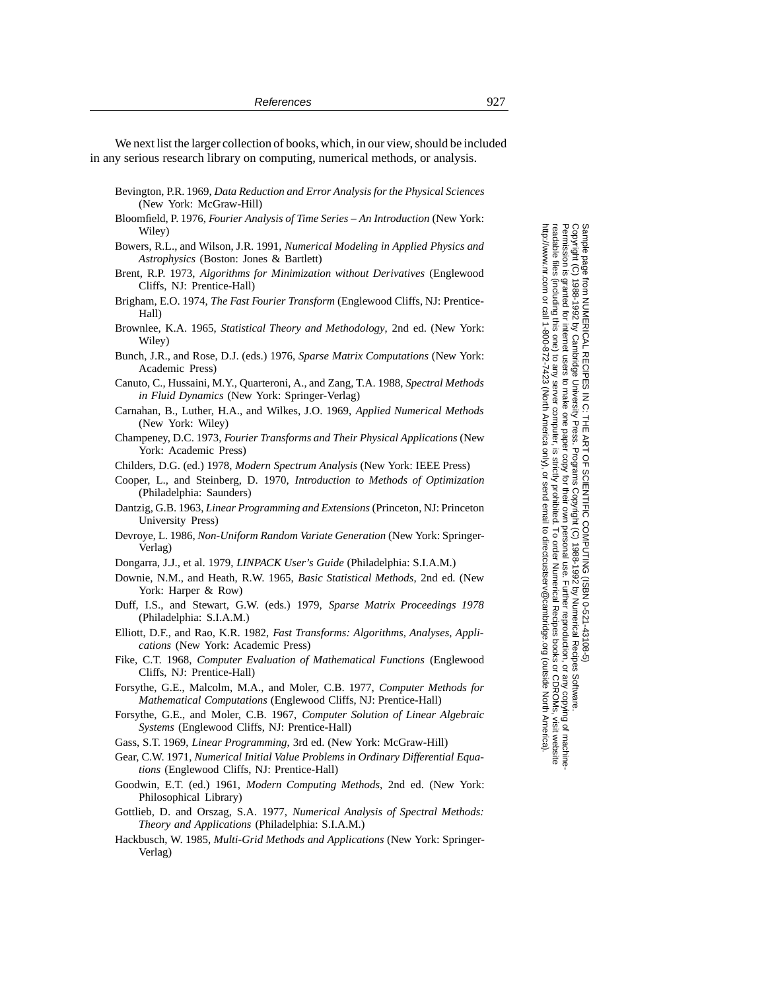We next list the larger collection of books, which, in our view, should be included in any serious research library on computing, numerical methods, or analysis.

- Bevington, P.R. 1969, *Data Reduction and Error Analysis for the Physical Sciences* (New York: McGraw-Hill)
- Bloomfield, P. 1976, *Fourier Analysis of Time Series An Introduction* (New York: Wiley)
- Bowers, R.L., and Wilson, J.R. 1991, *Numerical Modeling in Applied Physics and Astrophysics* (Boston: Jones & Bartlett)
- Brent, R.P. 1973, *Algorithms for Minimization without Derivatives* (Englewood Cliffs, NJ: Prentice-Hall)
- Brigham, E.O. 1974, *The Fast Fourier Transform* (Englewood Cliffs, NJ: Prentice-Hall)
- Brownlee, K.A. 1965, *Statistical Theory and Methodology*, 2nd ed. (New York: Wiley)
- Bunch, J.R., and Rose, D.J. (eds.) 1976, *Sparse Matrix Computations* (New York: Academic Press)
- Canuto, C., Hussaini, M.Y., Quarteroni, A., and Zang, T.A. 1988, *Spectral Methods in Fluid Dynamics* (New York: Springer-Verlag)
- Carnahan, B., Luther, H.A., and Wilkes, J.O. 1969, *Applied Numerical Methods* (New York: Wiley)
- Champeney, D.C. 1973, *Fourier Transforms and Their Physical Applications* (New York: Academic Press)
- Childers, D.G. (ed.) 1978, *Modern Spectrum Analysis* (New York: IEEE Press)
- Cooper, L., and Steinberg, D. 1970, *Introduction to Methods of Optimization* (Philadelphia: Saunders)
- Dantzig, G.B. 1963, *Linear Programming and Extensions* (Princeton, NJ: Princeton University Press)
- Devroye, L. 1986, *Non-Uniform Random Variate Generation* (New York: Springer-Verlag)
- Dongarra, J.J., et al. 1979, *LINPACK User's Guide* (Philadelphia: S.I.A.M.)
- Downie, N.M., and Heath, R.W. 1965, *Basic Statistical Methods*, 2nd ed. (New York: Harper & Row)
- Duff, I.S., and Stewart, G.W. (eds.) 1979, *Sparse Matrix Proceedings 1978* (Philadelphia: S.I.A.M.)
- Elliott, D.F., and Rao, K.R. 1982, *Fast Transforms: Algorithms, Analyses, Applications* (New York: Academic Press)
- Fike, C.T. 1968, *Computer Evaluation of Mathematical Functions* (Englewood Cliffs, NJ: Prentice-Hall)
- Forsythe, G.E., Malcolm, M.A., and Moler, C.B. 1977, *Computer Methods for Mathematical Computations* (Englewood Cliffs, NJ: Prentice-Hall)
- Forsythe, G.E., and Moler, C.B. 1967, *Computer Solution of Linear Algebraic Systems* (Englewood Cliffs, NJ: Prentice-Hall)
- Gass, S.T. 1969, *Linear Programming*, 3rd ed. (New York: McGraw-Hill)
- Gear, C.W. 1971, *Numerical Initial Value Problems in Ordinary Differential Equations* (Englewood Cliffs, NJ: Prentice-Hall)
- Goodwin, E.T. (ed.) 1961, *Modern Computing Methods*, 2nd ed. (New York: Philosophical Library)
- Gottlieb, D. and Orszag, S.A. 1977, *Numerical Analysis of Spectral Methods: Theory and Applications* (Philadelphia: S.I.A.M.)
- Hackbusch, W. 1985, *Multi-Grid Methods and Applications* (New York: Springer-Verlag)

Copyright (C) 1988-1992 by Cambridge University Press.Sample page from NUMERICAL RECIPES IN C: THE ART OF SCIENTIFIC COMPUTING (ISBN 0-521-43108-5) http://www.nr.com or call 1-800-872-7423 (North America only),readable files (including this one) to any serverPermission is granted for internet users to make one paper copy for their own personal use. Further reproduction, or any copyin , University Press. Programs Copyright (C) 1988-1992 by Numerical Recipes Software.<br>to make one paper copy for their own personal use. Further reproduction, or any copying of machine-<br>y server computer, is strictly prohibi computer, is strictly prohibited. To order Numerical Recipes booksPrograms Copyright (C) 1988-1992 by Numerical Recipes Software. SCIENTIFIC COMPUTING or send email to directcustserv@cambridge.org (outside North America). send email to directcustserv@cambridge.org (outside North America). /PUTING (ISBN 0-521-43108-5)<br>11988-1992 by Numerical Recipes or CDROMs, visit website g of machine-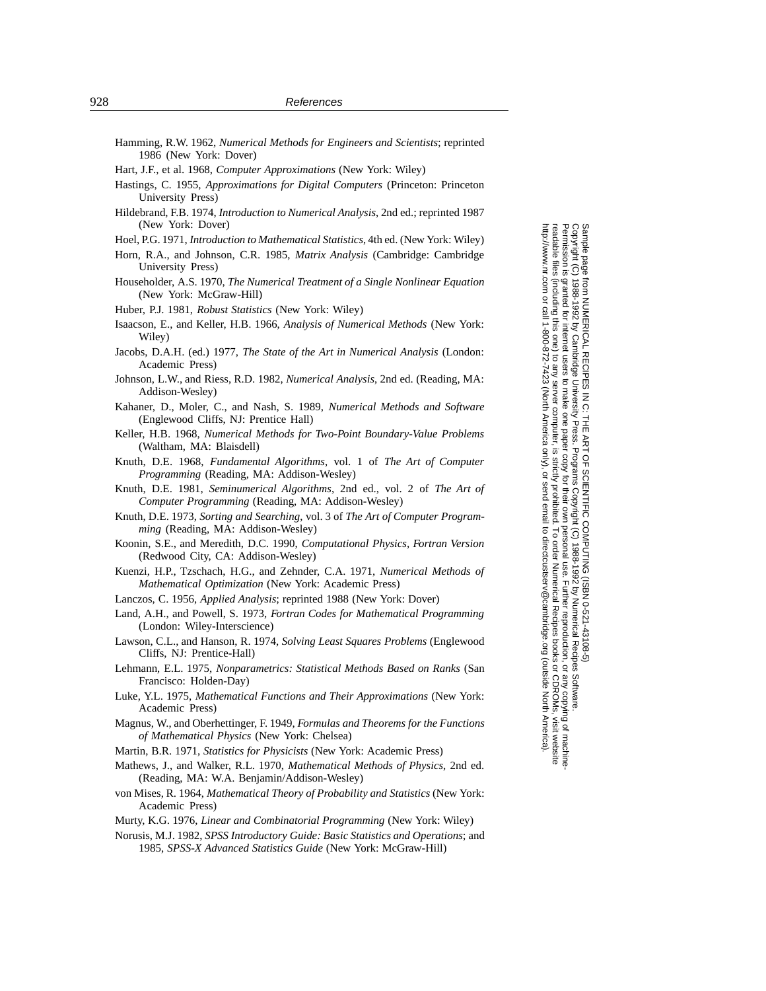- Hamming, R.W. 1962, *Numerical Methods for Engineers and Scientists*; reprinted 1986 (New York: Dover)
- Hart, J.F., et al. 1968, *Computer Approximations* (New York: Wiley)
- Hastings, C. 1955, *Approximations for Digital Computers* (Princeton: Princeton University Press)
- Hildebrand, F.B. 1974, *Introduction to Numerical Analysis*, 2nd ed.; reprinted 1987 (New York: Dover)
- Hoel, P.G. 1971, *Introduction to Mathematical Statistics*, 4th ed. (New York: Wiley)
- Horn, R.A., and Johnson, C.R. 1985, *Matrix Analysis* (Cambridge: Cambridge University Press)
- Householder, A.S. 1970, *The Numerical Treatment of a Single Nonlinear Equation* (New York: McGraw-Hill)
- Huber, P.J. 1981, *Robust Statistics* (New York: Wiley)
- Isaacson, E., and Keller, H.B. 1966, *Analysis of Numerical Methods* (New York: Wiley)
- Jacobs, D.A.H. (ed.) 1977, *The State of the Art in Numerical Analysis* (London: Academic Press)
- Johnson, L.W., and Riess, R.D. 1982, *Numerical Analysis*, 2nd ed. (Reading, MA: Addison-Wesley)
- Kahaner, D., Moler, C., and Nash, S. 1989, *Numerical Methods and Software* (Englewood Cliffs, NJ: Prentice Hall)
- Keller, H.B. 1968, *Numerical Methods for Two-Point Boundary-Value Problems* (Waltham, MA: Blaisdell)
- Knuth, D.E. 1968, *Fundamental Algorithms*, vol. 1 of *The Art of Computer Programming* (Reading, MA: Addison-Wesley)
- Knuth, D.E. 1981, *Seminumerical Algorithms*, 2nd ed., vol. 2 of *The Art of Computer Programming* (Reading, MA: Addison-Wesley)
- Knuth, D.E. 1973, *Sorting and Searching*, vol. 3 of *The Art of Computer Programming* (Reading, MA: Addison-Wesley)
- Koonin, S.E., and Meredith, D.C. 1990, *Computational Physics, Fortran Version* (Redwood City, CA: Addison-Wesley)
- Kuenzi, H.P., Tzschach, H.G., and Zehnder, C.A. 1971, *Numerical Methods of Mathematical Optimization* (New York: Academic Press)
- Lanczos, C. 1956, *Applied Analysis*; reprinted 1988 (New York: Dover)
- Land, A.H., and Powell, S. 1973, *Fortran Codes for Mathematical Programming* (London: Wiley-Interscience)
- Lawson, C.L., and Hanson, R. 1974, *Solving Least Squares Problems* (Englewood Cliffs, NJ: Prentice-Hall)
- Lehmann, E.L. 1975, *Nonparametrics: Statistical Methods Based on Ranks* (San Francisco: Holden-Day)
- Luke, Y.L. 1975, *Mathematical Functions and Their Approximations* (New York: Academic Press)
- Magnus, W., and Oberhettinger, F. 1949, *Formulas and Theorems for the Functions of Mathematical Physics* (New York: Chelsea)
- Martin, B.R. 1971, *Statistics for Physicists* (New York: Academic Press)
- Mathews, J., and Walker, R.L. 1970, *Mathematical Methods of Physics*, 2nd ed. (Reading, MA: W.A. Benjamin/Addison-Wesley)
- von Mises, R. 1964, *Mathematical Theory of Probability and Statistics* (New York: Academic Press)
- Murty, K.G. 1976, *Linear and Combinatorial Programming* (New York: Wiley)
- Norusis, M.J. 1982, *SPSS Introductory Guide: Basic Statistics and Operations*; and 1985, *SPSS-X Advanced Statistics Guide* (New York: McGraw-Hill)

Sample page 1<br>Copyright (C)<br>Permission is Permission is granted for internet users to make one paper copy for their own<br>readable files (including this one) to any server computer, is strictly prohibited. Copyright (C) 1988-1992 by Cambridge University Press.Sample page from NUMERICAL RECIPES IN C: THE ART OF SCIENTIFIC COMPUTING (ISBN 0-521-43108-5) http://www.nr.com or call 1-800-872-7423 (North America only),readable files (including this one) to any serverPermission is granted for internet users to make one paper copy for their own personal use. Further reproduction, or any copyin nttp://www.nr.com or call 1-800-872-7423 (North America only), or from NUMERICAL RECIPES<br>1988-1992 by Cambridge Uni to make one paper copy for their own personal use. Further reproduction, or any copying of machine<br>server computer, is strictly prohibited. To order Numerical Recipes books or CDROMs, visit website University Press. Programs IN C: THE computer, is strictly prohibited. To order Numerical Recipes booksART OF Programs Copyright (C) 1988-1992 by Numerical Recipes Software. SCIENTIFIC COMPUTING or send email to directcustserv@cambridge.org (outside North America). send email to directcustserv@cambridge.org (outside North America). Copyright (C) rPUTING (ISBN 0-521-43108-5)<br>11988-1992 by Numerical Recipes Software or CDROMs, visit website g of machine-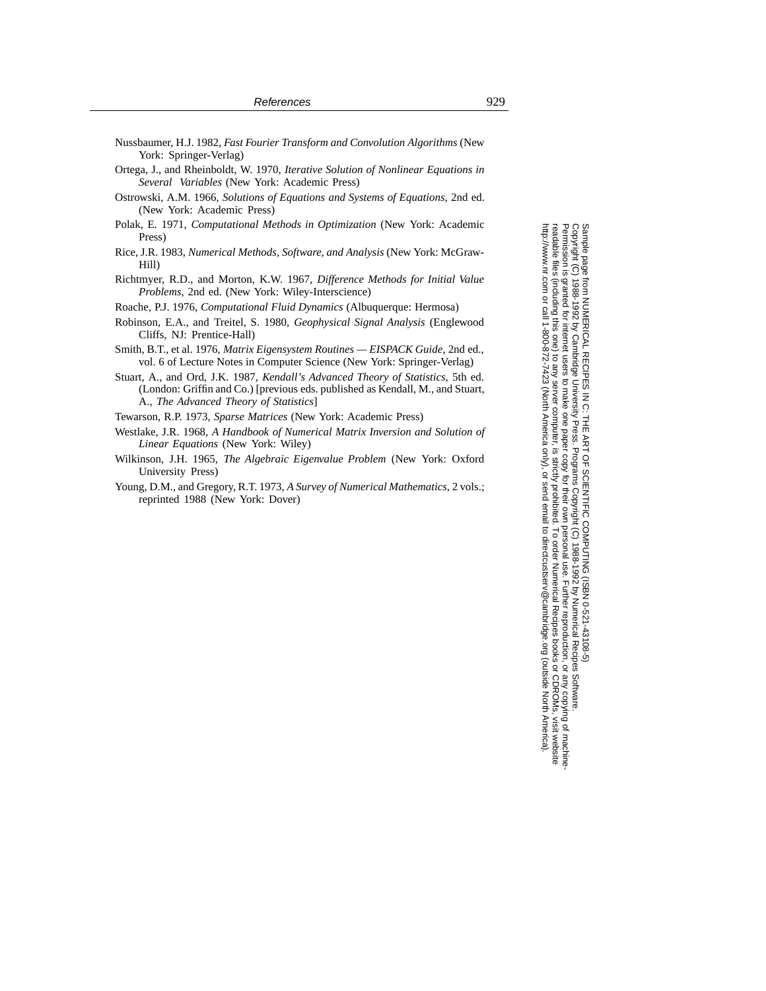- Nussbaumer, H.J. 1982, *Fast Fourier Transform and Convolution Algorithms* (New York: Springer-Verlag)
- Ortega, J., and Rheinboldt, W. 1970, *Iterative Solution of Nonlinear Equations in Several Variables* (New York: Academic Press)
- Ostrowski, A.M. 1966, *Solutions of Equations and Systems of Equations*, 2nd ed. (New York: Academic Press)
- Polak, E. 1971, *Computational Methods in Optimization* (New York: Academic Press)
- Rice, J.R. 1983, *Numerical Methods, Software, and Analysis* (New York: McGraw-Hill)
- Richtmyer, R.D., and Morton, K.W. 1967, *Difference Methods for Initial Value Problems*, 2nd ed. (New York: Wiley-Interscience)

Roache, P.J. 1976, *Computational Fluid Dynamics* (Albuquerque: Hermosa)

- Robinson, E.A., and Treitel, S. 1980, *Geophysical Signal Analysis* (Englewood Cliffs, NJ: Prentice-Hall)
- Smith, B.T., et al. 1976, *Matrix Eigensystem Routines EISPACK Guide*, 2nd ed., vol. 6 of Lecture Notes in Computer Science (New York: Springer-Verlag)
- Stuart, A., and Ord, J.K. 1987, *Kendall's Advanced Theory of Statistics*, 5th ed. (London: Griffin and Co.) [previous eds. published as Kendall, M., and Stuart, A., *The Advanced Theory of Statistics*]
- Tewarson, R.P. 1973, *Sparse Matrices* (New York: Academic Press)
- Westlake, J.R. 1968, *A Handbook of Numerical Matrix Inversion and Solution of Linear Equations* (New York: Wiley)
- Wilkinson, J.H. 1965, *The Algebraic Eigenvalue Problem* (New York: Oxford University Press)
- Young, D.M., and Gregory, R.T. 1973, *A Survey of Numerical Mathematics*, 2 vols.; reprinted 1988 (New York: Dover)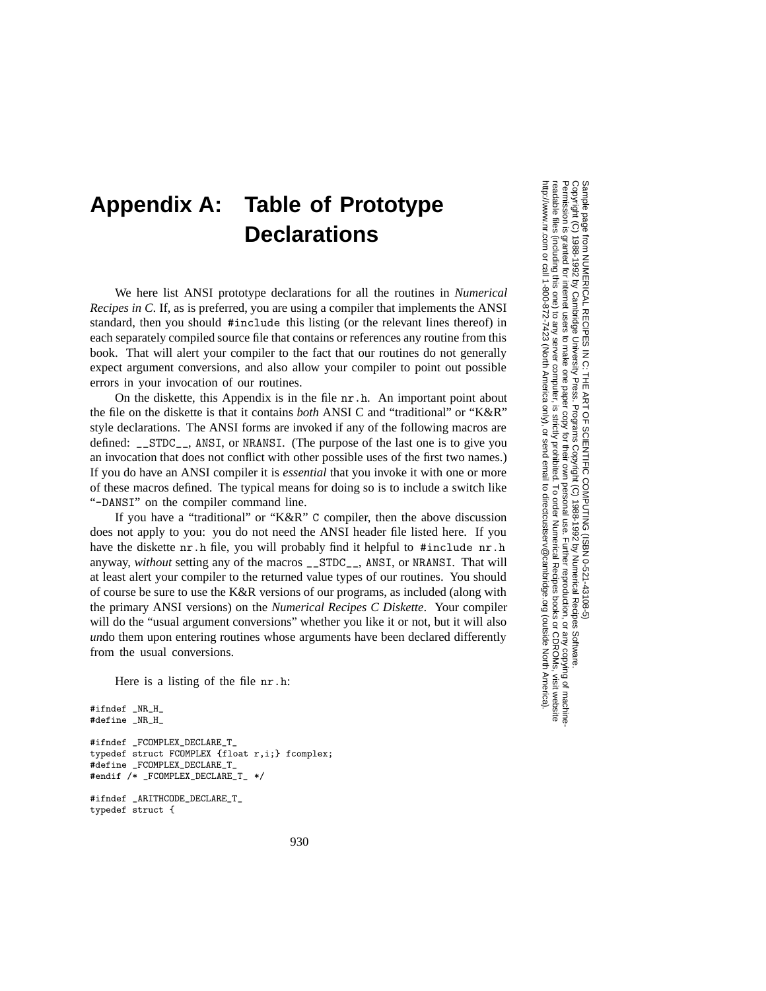# **Appendix A: Table of Prototype Declarations**

We here list ANSI prototype declarations for all the routines in *Numerical Recipes in C*. If, as is preferred, you are using a compiler that implements the ANSI standard, then you should #include this listing (or the relevant lines thereof) in each separately compiled source file that contains or references any routine from this book. That will alert your compiler to the fact that our routines do not generally expect argument conversions, and also allow your compiler to point out possible errors in your invocation of our routines.

On the diskette, this Appendix is in the file nr.h. An important point about the file on the diskette is that it contains *both* ANSI C and "traditional" or "K&R" style declarations. The ANSI forms are invoked if any of the following macros are defined: \_\_STDC\_\_, ANSI, or NRANSI. (The purpose of the last one is to give you an invocation that does not conflict with other possible uses of the first two names.) If you do have an ANSI compiler it is *essential* that you invoke it with one or more of these macros defined. The typical means for doing so is to include a switch like "-DANSI" on the compiler command line.

If you have a "traditional" or "K&R" C compiler, then the above discussion does not apply to you: you do not need the ANSI header file listed here. If you have the diskette nr.h file, you will probably find it helpful to #include nr.h anyway, *without* setting any of the macros \_\_STDC\_\_, ANSI, or NRANSI. That will at least alert your compiler to the returned value types of our routines. You should of course be sure to use the K&R versions of our programs, as included (along with the primary ANSI versions) on the *Numerical Recipes C Diskette*. Your compiler will do the "usual argument conversions" whether you like it or not, but it will also *un*do them upon entering routines whose arguments have been declared differently from the usual conversions.

Here is a listing of the file nr.h:

```
#ifndef _NR_H_
#define _NR_H_
#ifndef _FCOMPLEX_DECLARE_T_
typedef struct FCOMPLEX {float r,i;} fcomplex;
#define _FCOMPLEX_DECLARE_T_
#endif /* _FCOMPLEX_DECLARE_T_
#ifndef _ARITHCODE_DECLARE_T_
```
typedef struct {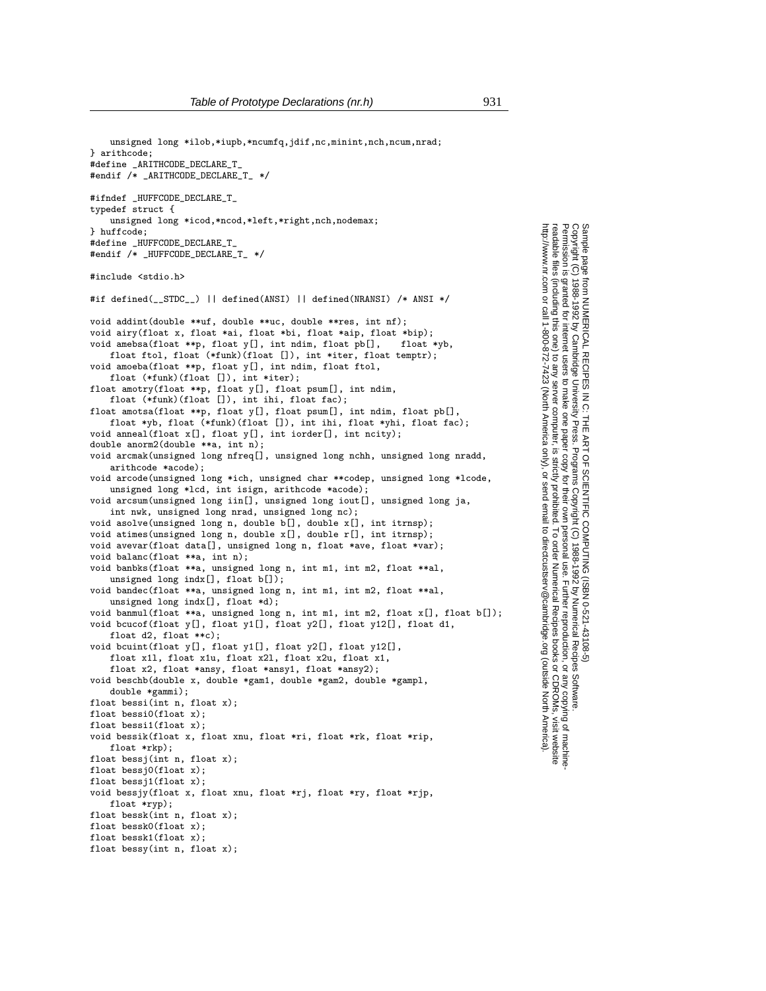```
unsigned long *ilob,*iupb,*ncumfq,jdif,nc,minint,nch,ncum,nrad;
} arithcode;
#define _ARITHCODE_DECLARE_T_
#endif /* _ARITHCODE_DECLARE_T_ */
#ifndef _HUFFCODE_DECLARE_T_
typedef struct {
   unsigned long *icod,*ncod,*left,*right,nch,nodemax;
} huffcode;
#define _HUFFCODE_DECLARE_T_
#endif /* _HUFFCODE_DECLARE_T_ */
#include <stdio.h>
#if defined(__STDC__) || defined(ANSI) || defined(NRANSI) /* ANSI */
void addint(double **uf, double **uc, double **res, int nf);
void airy(float x, float *ai, float *bi, float *aip, float *bip);
void amebsa(float **p, float y[], int ndim, float pb[], float *yb,
   float ftol, float (*funk)(float []), int *iter, float temptr);
void amoeba(float **p, float y[], int ndim, float ftol,
   float (*funk)(float []), int *iter);
float amotry(float **p, float y[], float psum[], int ndim,
   float (*funk)(float []), int ihi, float fac);
float amotsa(float **p, float y[], float psum[], int ndim, float pb[],
   float *yb, float (*funk)(float []), int ihi, float *yhi, float fac);
void anneal(float x[], float y[], int iorder[], int ncity);
double anorm2(double **a, int n);
void arcmak(unsigned long nfreq[], unsigned long nchh, unsigned long nradd,
   arithcode *acode);
void arcode(unsigned long *ich, unsigned char **codep, unsigned long *lcode,
   unsigned long *lcd, int isign, arithcode *acode);
void arcsum(unsigned long iin[], unsigned long iout[], unsigned long ja,
   int nwk, unsigned long nrad, unsigned long nc);
void asolve(unsigned long n, double b[], double x[], int itrnsp);
void atimes(unsigned long n, double x[], double r[], int itrnsp);
void avevar(float data[], unsigned long n, float *ave, float *var);
void balanc(float **a, int n);
void banbks(float **a, unsigned long n, int m1, int m2, float **al,
   unsigned long indx[], float b[]);
void bandec(float **a, unsigned long n, int m1, int m2, float **al,
   unsigned long indx[], float *d);
void banmul(float **a, unsigned long n, int m1, int m2, float x[], float b[]);
void bcucof(float y[], float y1[], float y2[], float y12[], float d1,
   float d2, float **c);
void bcuint(float y[], float y1[], float y2[], float y12[],
   float x1l, float x1u, float x2l, float x2u, float x1,
   float x2, float *ansy, float *ansy1, float *ansy2);
void beschb(double x, double *gam1, double *gam2, double *gampl,
   double *gammi);
float bessi(int n, float x);
float bessi0(float x);
float bessi1(float x);
void bessik(float x, float xnu, float *ri, float *rk, float *rip,
   float *rkp);
float bessj(int n, float x);
float bessj0(float x);
float bessj1(float x);
void bessjy(float x, float xnu, float *rj, float *ry, float *rjp,
   float *ryp);
float bessk(int n, float x);
float bessk0(float x);
float bessk1(float x);
float bessy(int n, float x);
```
Permission is granted for internet users to make one paper copy for their own personal use. Further reproduction, or any copyin

computer, is strictly prohibited. To order Numerical Recipes books

yright (C) 1988-1992 by Numerical Recipes Softwate.<br>r own personal use. Further reproduction, or any copying of machine<br>ibited. To order Numerical Recipes books or CDROMs, visit website<br>email to directcustserv@cambridge.or

or send email to directcustserv@cambridge.org (outside North America).

University Press. Programs Copyright<br>to make one paper copy for their own |

Sample page from NUMERICAL RECIPES IN C: THE ART OF SCIENTIFIC COMPUTING (ISBN 0-521-43108-5)

**SCIENTIFIC COM** 

PUTING

 $\mathbb{R}^2$ t OF

ES IN C: THE AF<br>University Press.

Programs Copyright (C) 1988-1992 by Numerical Recipes Software.

PUTING (ISBN 0-521-43<br>1988-1992 by Numerical

 $108 - 5$ 

g of machine-

or CDROMs, visit website

Copyright (C) 1988-1992 by Cambridge University Press.

from NUMERICAL RECIPES<br>1988-1992 by Cambridge Uni<br>granted for internet users to n

readable files (including this one) to any server

Sample page from I<br>Copyright (C) 1988<br>Permission is grant<br>readable files (inclu<br>http://www.nr.com c

granted for internet users to make one pape<br>(including this one) to any server computer,<br>com or call 1-800-872-7423 (North America

to any server computer, is strictly prohibited<br>172-7423 (North America only), or send email

http://www.nr.com or call 1-800-872-7423 (North America only),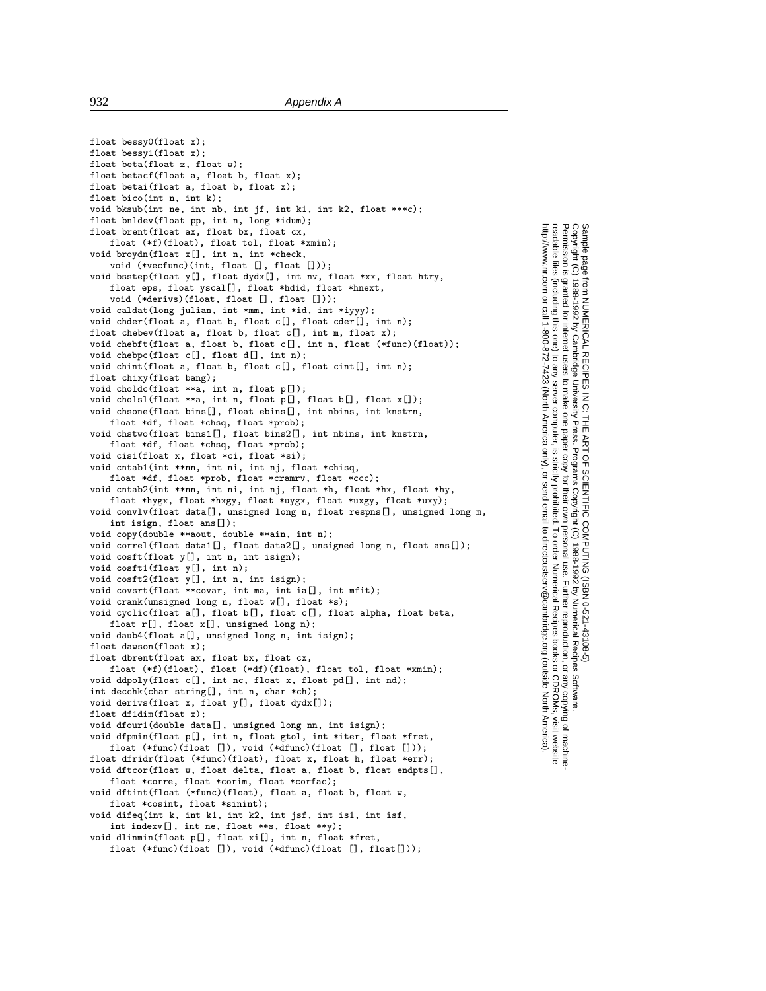float bessy0(float x); float bessy1(float x); float beta(float z, float w); float betacf(float a, float b, float x); float betai(float a, float b, float x); float bico(int n, int k); void bksub(int ne, int nb, int jf, int k1, int k2, float \*\*\*c); float bnldev(float pp, int n, long \*idum); float brent(float ax, float bx, float cx, float (\*f)(float), float tol, float \*xmin); void broydn(float x[], int n, int \*check, void (\*vecfunc)(int, float [], float [])); void bsstep(float y[], float dydx[], int nv, float \*xx, float htry, float eps, float yscal[], float \*hdid, float \*hnext, void (\*derivs)(float, float [], float [])); void caldat(long julian, int \*mm, int \*id, int \*iyyy); void chder(float a, float b, float c[], float cder[], int n); float chebev(float a, float b, float c[], int m, float x); void chebft(float a, float b, float c[], int n, float (\*func)(float)); void chebpc(float c[], float d[], int n); void chint(float a, float b, float c[], float cint[], int n); float chixy(float bang); void choldc(float \*\*a, int n, float p[]); void cholsl(float \*\*a, int n, float p[], float b[], float x[]); void chsone(float bins[], float ebins[], int nbins, int knstrn, float \*df, float \*chsq, float \*prob); void chstwo(float bins1[], float bins2[], int nbins, int knstrn, float \*df, float \*chsq, float \*prob); void cisi(float x, float \*ci, float \*si); void cntab1(int \*\*nn, int ni, int nj, float \*chisq, float \*df, float \*prob, float \*cramrv, float \*ccc); void cntab2(int \*\*nn, int ni, int nj, float \*h, float \*hx, float \*hy, float \*hygx, float \*hxgy, float \*uygx, float \*uxgy, float \*uxy); void convlv(float data[], unsigned long n, float respns[], unsigned long m, int isign, float ans[]); void copy(double \*\*aout, double \*\*ain, int n); void correl(float data1[], float data2[], unsigned long n, float ans[]); void cosft(float y[], int n, int isign); void cosft1(float y[], int n); void cosft2(float y[], int n, int isign); void covsrt(float \*\*covar, int ma, int ia[], int mfit); void crank(unsigned long n, float w[], float \*s); void cyclic(float a[], float b[], float c[], float alpha, float beta, float r[], float x[], unsigned long n); void daub4(float a[], unsigned long n, int isign); float dawson(float x); float dbrent(float ax, float bx, float cx, float (\*f)(float), float (\*df)(float), float tol, float \*xmin); void ddpoly(float c[], int nc, float x, float pd[], int nd); int decchk(char string[], int n, char \*ch); void derivs(float x, float y[], float dydx[]); float df1dim(float x); void dfour1(double data[], unsigned long nn, int isign); void dfpmin(float p[], int n, float gtol, int \*iter, float \*fret, float (\*func)(float []), void (\*dfunc)(float [], float [])); float dfridr(float (\*func)(float), float x, float h, float \*err); void dftcor(float w, float delta, float a, float b, float endpts[], float \*corre, float \*corim, float \*corfac); void dftint(float (\*func)(float), float a, float b, float w, float \*cosint, float \*sinint); void difeq(int k, int k1, int k2, int jsf, int is1, int isf, int indexv[], int ne, float \*\*s, float \*\*y); void dlinmin(float p[], float xi[], int n, float \*fret,

Sample page 1<br>Copyright (C)<br>Permission is readable files (inclı<br>http://www.nr.com Copyright (C) 1988-1992 by Cambridge University Press.Sample page from NUMERICAL RECIPES IN C: THE ART OF SCIENTIFIC COMPUTING (ISBN 0-521-43108-5) http://www.nr.com or call 1-800-872-7423 (North America only),readable files (including this one) to any serverPermission is granted for internet users to make one paper copy for their own personal use. Further reproduction, or any copyin granted for internet users to make one pape<br>(including this one) to any server computer,<br>com or call 1-800-872-7423 (North America from NUMERICAL RECIPES<br>1988-1992 by Cambridge Un<br>granted for internet users to r to any server computer, is strictly prohibited<br>772-7423 (North America only), or send email ES IN C: THE ART OF SCIENTIFIC C<br>University Press. Programs Copyright<br>to make one paper copy for their own computer, is strictly prohibited. To order Numerical Recipes booksART OF Programs Copyright (C) 1988-1992 by Numerical Recipes Software. **SCIENTIF** or send email to directcustserv@cambridge.org (outside North America). email to directcustserv@cambridge.org (outside North America). IC COM personal use. Further reproduction, or any copying of machine.<br>. To order Numerical Recipes books or CDROMs, visit website  $\widehat{O}$ PUTING PUTING (ISBN 0-521-43'<br>1988-1992 by Numerical Recipes  $108 - 5$ or CDROMs, visit website Software g of machine-

float (\*func)(float []), void (\*dfunc)(float [], float[]));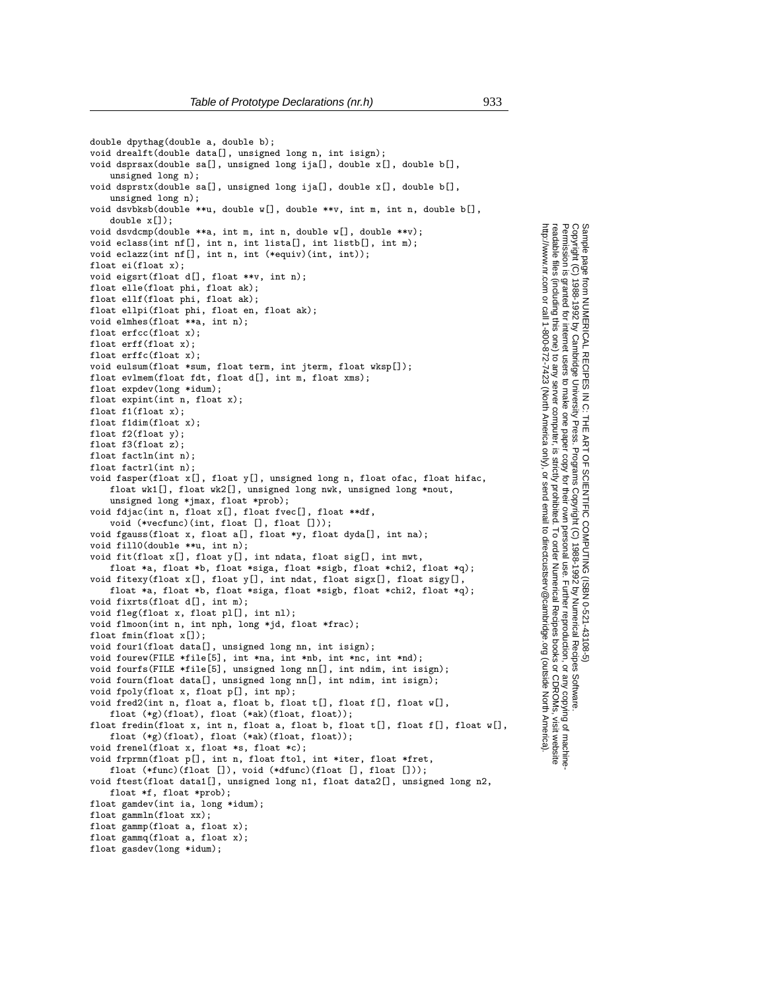double dpythag(double a, double b); void drealft(double data[], unsigned long n, int isign); void dsprsax(double sa[], unsigned long ija[], double x[], double b[], unsigned long n); void dsprstx(double sa[], unsigned long ija[], double x[], double b[], unsigned long n); void dsvbksb(double \*\*u, double w[], double \*\*v, int m, int n, double b[], double x[]); void dsvdcmp(double \*\*a, int m, int n, double w[], double \*\*v); void eclass(int nf[], int n, int lista[], int listb[], int m); void eclazz(int nf[], int n, int (\*equiv)(int, int)); float ei(float x); void eigsrt(float d[], float \*\*v, int n); float elle(float phi, float ak); float ellf(float phi, float ak); float ellpi(float phi, float en, float ak); void elmhes(float \*\*a, int n); float erfcc(float x); float erff(float x); float erffc(float x); void eulsum(float \*sum, float term, int jterm, float wksp[]); float evlmem(float fdt, float d[], int m, float xms); float expdev(long \*idum); float expint(int n, float x); float  $f1(f$ loat  $x)$ ; float f1dim(float x); float f2(float y); float f3(float z); float factln(int n); float factrl(int n); void fasper(float x[], float y[], unsigned long n, float ofac, float hifac, float wk1[], float wk2[], unsigned long nwk, unsigned long \*nout, unsigned long \*jmax, float \*prob); void fdjac(int n, float x[], float fvec[], float \*\*df, void (\*vecfunc)(int, float [], float [])); void fgauss(float x, float a[], float \*y, float dyda[], int na); void fill0(double \*\*u, int n); void fit(float x[], float y[], int ndata, float sig[], int mwt, float \*a, float \*b, float \*siga, float \*sigb, float \*chi2, float \*q); void fitexy(float x[], float y[], int ndat, float sigx[], float sigy[], float \*a, float \*b, float \*siga, float \*sigb, float \*chi2, float \*q); void fixrts(float d[], int m); void fleg(float x, float pl[], int nl); void flmoon(int n, int nph, long \*jd, float \*frac); float fmin(float x[]); void four1(float data[], unsigned long nn, int isign); void fourew(FILE \*file[5], int \*na, int \*nb, int \*nc, int \*nd); void fourfs(FILE \*file[5], unsigned long nn[], int ndim, int isign); void fourn(float data[], unsigned long nn[], int ndim, int isign); void fpoly(float x, float p[], int np); void fred2(int n, float a, float b, float t[], float f[], float w[], float (\*g)(float), float (\*ak)(float, float)); float fredin(float x, int n, float a, float b, float t[], float f[], float w[], float (\*g)(float), float (\*ak)(float, float)); void frenel(float x, float \*s, float \*c); void frprmn(float p[], int n, float ftol, int \*iter, float \*fret, float (\*func)(float []), void (\*dfunc)(float [], float [])); void ftest(float data1[], unsigned long n1, float data2[], unsigned long n2, float \*f, float \*prob); float gamdev(int ia, long \*idum); float gammln(float xx); float gammp(float a, float x); float gammq(float a, float x); float gasdev(long \*idum);

Sample page<br>Copyright (C)<br>Permission is Copyright (C) 1988-1992 by Cambridge University Press.Sample page from NUMERICAL RECIPES IN C: THE ART OF SCIENTIFIC COMPUTING (ISBN 0-521-43108-5) http://www.nr.com or call 1-800-872-7423 (North America only),readable files (including this one) to any serverPermission is granted for internet users to make one paper copy for their own personal use. Further reproduction, or any copyin from NUMERICAL RECIPES<br>1988-1992 by Cambridge Un computer, is strictly prohibited. To order Numerical Recipes booksPrograms Copyright (C) 1988-1992 by Numerical Recipes Software. SCIENTIFIC COMPUTING or send email to directcustserv@cambridge.org (outside North America). email to directcustserv@cambridge.org (outside North America). personal use. Further reproduction, or any copying of machine<br>. To order Numerical Recipes books or CDROMs, visit website  $\widehat{O}$ PUTING (ISBN 0-521-43<br>1988-1992 by Numerical Recipes  $108 - 5$ or CDROMs, visit website Software g of machine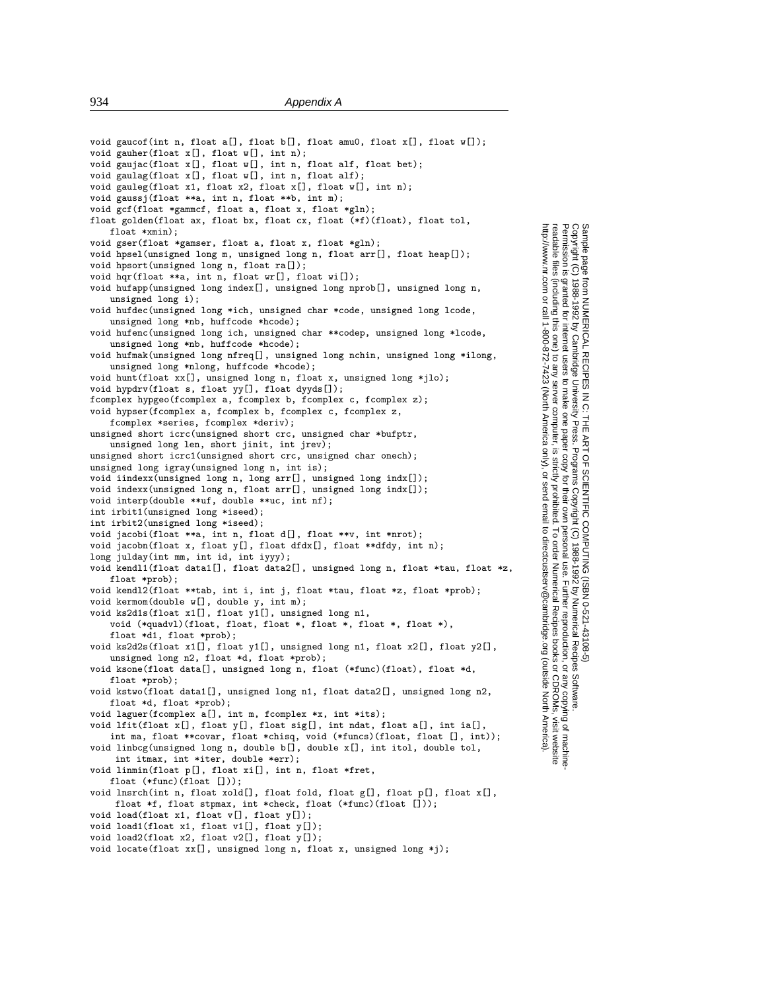void gaucof(int n, float a[], float b[], float amu0, float x[], float w[]); void gauher(float  $x[]$ , float  $w[]$ , int n); void gaujac(float x[], float w[], int n, float alf, float bet); void gaulag(float x[], float w[], int n, float alf); void gauleg(float x1, float x2, float x[], float w[], int n); void gaussj(float \*\*a, int n, float \*\*b, int m); void gcf(float \*gammcf, float a, float x, float \*gln); float golden(float ax, float bx, float cx, float (\*f)(float), float tol, float \*xmin); void gser(float \*gamser, float a, float x, float \*gln); void hpsel(unsigned long m, unsigned long n, float arr[], float heap[]); void hpsort(unsigned long n, float ra[]); void hqr(float \*\*a, int n, float wr[], float wi[]); void hufapp(unsigned long index[], unsigned long nprob[], unsigned long n, unsigned long i); void hufdec(unsigned long \*ich, unsigned char \*code, unsigned long lcode, unsigned long \*nb, huffcode \*hcode); void hufenc(unsigned long ich, unsigned char \*\*codep, unsigned long \*lcode, unsigned long \*nb, huffcode \*hcode); void hufmak(unsigned long nfreq[], unsigned long nchin, unsigned long \*ilong, unsigned long \*nlong, huffcode \*hcode); void hunt(float xx[], unsigned long n, float x, unsigned long \*jlo); void hypdrv(float s, float yy[], float dyyds[]); fcomplex hypgeo(fcomplex a, fcomplex b, fcomplex c, fcomplex z); void hypser(fcomplex a, fcomplex b, fcomplex c, fcomplex z, fcomplex \*series, fcomplex \*deriv); unsigned short icrc(unsigned short crc, unsigned char \*bufptr, unsigned long len, short jinit, int jrev); unsigned short icrc1(unsigned short crc, unsigned char onech); unsigned long igray(unsigned long n, int is); void iindexx(unsigned long n, long arr[], unsigned long indx[]); void indexx(unsigned long n, float arr[], unsigned long indx[]); void interp(double \*\*uf, double \*\*uc, int nf); int irbit1(unsigned long \*iseed); int irbit2(unsigned long \*iseed); void jacobi(float \*\*a, int n, float d[], float \*\*v, int \*nrot); void jacobn(float x, float y[], float dfdx[], float \*\*dfdy, int n); long julday(int mm, int id, int iyyy); void kendl1(float data1[], float data2[], unsigned long n, float \*tau, float \*z, float \*prob); void kendl2(float \*\*tab, int i, int j, float \*tau, float \*z, float \*prob); void kermom(double  $w[]$ , double  $y$ , int m); void ks2d1s(float x1[], float y1[], unsigned long n1, void (\*quadvl)(float, float, float \*, float \*, float \*, float \*), float \*d1, float \*prob); void ks2d2s(float x1[], float y1[], unsigned long n1, float x2[], float y2[], unsigned long n2, float \*d, float \*prob); void ksone(float data[], unsigned long n, float (\*func)(float), float \*d, float \*prob): void kstwo(float data1[], unsigned long n1, float data2[], unsigned long n2, float \*d, float \*prob); void laguer(fcomplex a[], int m, fcomplex \*x, int \*its); void lfit(float x[], float y[], float sig[], int ndat, float a[], int ia[], int ma, float \*\*covar, float \*chisq, void (\*funcs)(float, float [], int)); void linbcg(unsigned long n, double b[], double x[], int itol, double tol, int itmax, int \*iter, double \*err); void linmin(float p[], float xi[], int n, float \*fret, float  $(*func)(float []$ ); void lnsrch(int n, float xold[], float fold, float g[], float p[], float x[], float \*f, float stpmax, int \*check, float (\*func)(float [])); void load(float x1, float v[], float y[]); void load1(float x1, float v1[], float y[]); void load2(float x2, float v2[], float y[]);

void locate(float  $xx[]$ , unsigned long n, float x, unsigned long \*j);

Sample page<br>Copyright (C)<br>Permission is readable files (inclı<br>http://www.nr.com Copyright (C) 1988-1992 by Cambridge University Press.Sample page from NUMERICAL RECIPES IN C: THE ART OF SCIENTIFIC COMPUTING (ISBN 0-521-43108-5) http://www.nr.com or call 1-800-872-7423 (North America only),readable files (including this one) to any serverPermission is granted for internet users to make one paper copy for their own personal use. Further reproduction, or any copyin granted for internet users to make one pape<br>(including this one) to any server computer,<br>com or call 1-800-872-7423 (North America from NUMERICAL RECIPES<br>1988-1992 by Cambridge Un<br>granted for internet users to r to any server computer, is strictly prohibited<br>172-7423 (North America only), or send email ES IN C: THE ART OF SCIENTIFIC C<br>University Press. Programs Copyright<br>to make one paper copy for their own computer, is strictly prohibited. To order Numerical Recipes booksART OF Programs Copyright (C) 1988-1992 by Numerical Recipes Software. **SCIENTIFIC COM** or send email to directcustserv@cambridge.org (outside North America). email to directcustserv@cambridge.org (outside North America) t (C) 1988-1992 by Numerical Recipes Software.<br>personal use. Further reproduction, or any copying of machine<br>personal use. Further reproduction, or any copying of machine<br>. To order Numerical Recipes books or CDROMs, visit PUTING (ISBN 0-521-43'<br>2 by Numerical  $108 - 5$ or CDROMs, visit website g of machine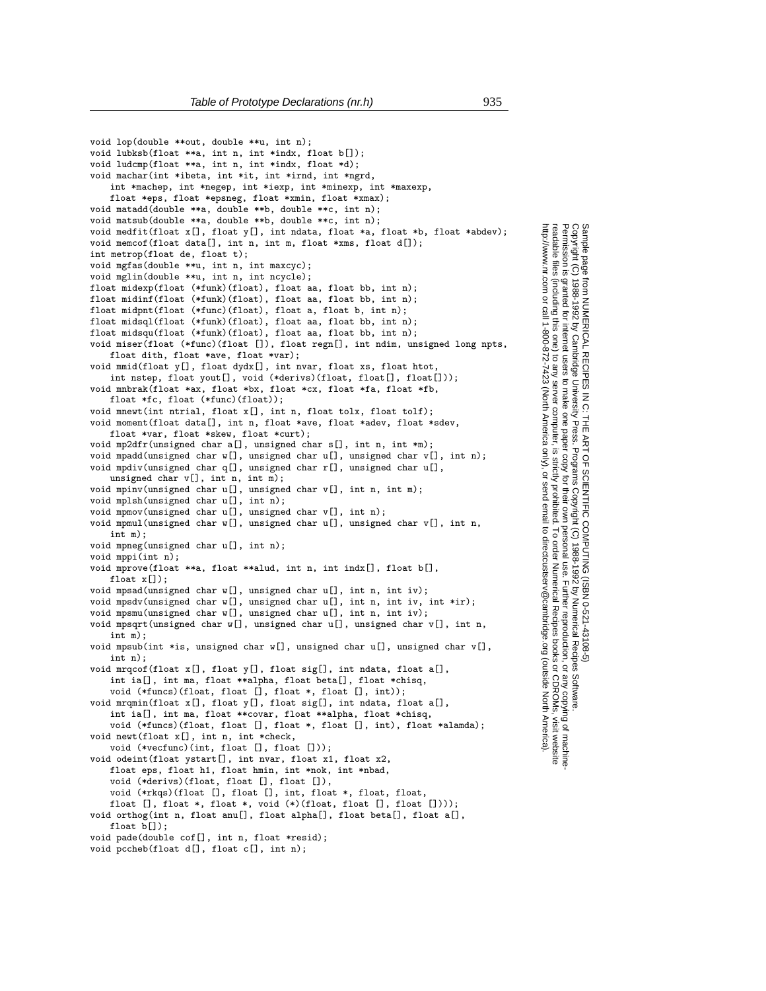void lop(double \*\*out, double \*\*u, int n); void lubksb(float \*\*a, int n, int \*indx, float b[]); void ludcmp(float \*\*a, int n, int \*indx, float \*d); void machar(int \*ibeta, int \*it, int \*irnd, int \*ngrd, int \*machep, int \*negep, int \*iexp, int \*minexp, int \*maxexp, float \*eps, float \*epsneg, float \*xmin, float \*xmax); void matadd(double \*\*a, double \*\*b, double \*\*c, int n); void matsub(double \*\*a, double \*\*b, double \*\*c, int n); void medfit(float x[], float y[], int ndata, float \*a, float \*b, float \*abdev); void memcof(float data[], int n, int m, float \*xms, float d[]); int metrop(float de, float t); void mgfas(double \*\*u, int n, int maxcyc); void mglin(double \*\*u, int n, int ncycle); float midexp(float (\*funk)(float), float aa, float bb, int n); float midinf(float (\*funk)(float), float aa, float bb, int n); float midpnt(float (\*func)(float), float a, float b, int n); float midsql(float (\*funk)(float), float aa, float bb, int n); float midsqu(float (\*funk)(float), float aa, float bb, int n); void miser(float (\*func)(float []), float regn[], int ndim, unsigned long npts, float dith, float \*ave, float \*var); void mmid(float y[], float dydx[], int nvar, float xs, float htot, int nstep, float yout[], void (\*derivs)(float, float[], float[])); void mnbrak(float \*ax, float \*bx, float \*cx, float \*fa, float \*fb, float \*fc, float (\*func)(float)); void mnewt(int ntrial, float x[], int n, float tolx, float tolf); void moment(float data[], int n, float \*ave, float \*adev, float \*sdev, float \*var, float \*skew, float \*curt); void mp2dfr(unsigned char a[], unsigned char s[], int n, int  $*m$ ); void mpadd(unsigned char w[], unsigned char u[], unsigned char v[], int n); void mpdiv(unsigned char q[], unsigned char r[], unsigned char u[], unsigned char v[], int n, int m); void mpinv(unsigned char u[], unsigned char v[], int n, int m); void mplsh(unsigned char u[], int n); void mpmov(unsigned char u[], unsigned char v[], int n); void mpmul(unsigned char w[], unsigned char u[], unsigned char v[], int n, int m); void mpneg(unsigned char u[], int n); void mppi(int n); void mprove(float \*\*a, float \*\*alud, int n, int indx[], float b[], float x[]); void mpsad(unsigned char w[], unsigned char u[], int n, int iv); void mpsdv(unsigned char w[], unsigned char u[], int n, int iv, int \*ir); void mpsmu(unsigned char w[], unsigned char u[], int n, int iv); void mpsqrt(unsigned char w[], unsigned char u[], unsigned char v[], int n, int m); void mpsub(int \*is, unsigned char w[], unsigned char u[], unsigned char v[], int n); void mrqcof(float x[], float y[], float sig[], int ndata, float a[], int ia[], int ma, float \*\*alpha, float beta[], float \*chisq, void (\*funcs)(float, float [], float \*, float [], int)); void mrqmin(float x[], float y[], float sig[], int ndata, float a[], int ia[], int ma, float \*\*covar, float \*\*alpha, float \*chisq, void (\*funcs)(float, float [], float \*, float [], int), float \*alamda); void newt(float x[], int n, int \*check, void (\*vecfunc)(int, float [], float [])); void odeint(float ystart[], int nvar, float x1, float x2, float eps, float h1, float hmin, int \*nok, int \*nbad, void (\*derivs)(float, float [], float []), void (\*rkqs)(float [], float [], int, float \*, float, float, float [], float \*, float \*, void (\*)(float, float [], float []))); void orthog(int n, float anu[], float alpha[], float beta[], float a[], float b[]); void pade(double cof[], int n, float \*resid);

void pccheb(float d[], float c[], int n);

Permission is granted for internet users to make one paper copy for their own personal use. Further reproduction, or any copyin

to any server computer, is strictly prohibited<br>372-7423 (North America only), or send email

computer, is strictly prohibited. To order Numerical Recipes books

ES IN C: THE ART OF SCIENTIFIC C<br>University Press. Programs Copyright<br>to make one paper copy for their own

Sample page from NUMERICAL RECIPES IN C: THE ART OF SCIENTIFIC COMPUTING (ISBN 0-521-43108-5)

**SCIENTIFIC COM** 

PUTING 1988-1992

 $\mathbb{R}^2$ t OF

 $\overline{\xi}$   $\overline{z}$ 

Programs Copyright (C) 1988-1992 by Numerical Recipes Software.

(ISBN 0-521-43\*<br>2 by Numerical

Recipes  $108 - 5$ 

Software

 $\widehat{O}$ 

g of machine-

or CDROMs, visit website

personal use. Further reproduction, or any copying of machine<br>. To order Numerical Recipes books or CDROMs, visit website

or send email to directcustserv@cambridge.org (outside North America).

email to directcustserv@cambridge.org (outside North America).

Copyright (C) 1988-1992 by Cambridge University Press.

from NUMERICAL RECIPES<br>1988-1992 by Cambridge Uni<br>granted for internet users to n

Sample page<br>Copyright (C)<br>Permission is

readable files (including this one) to any serverPermission is granted for internet users to make one pape<br>readable files (including this one) to any server computer,<br>http://www.nr.com or call 1-800-872-7423 (North America

http://www.nr.com or call 1-800-872-7423 (North America only),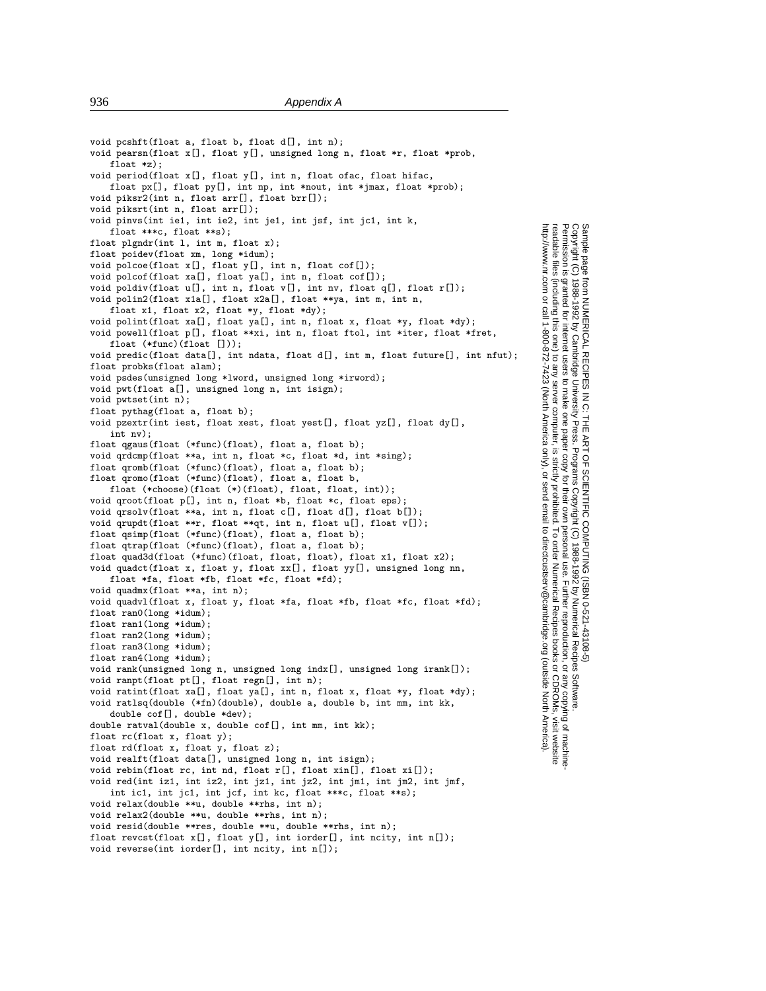void pcshft(float a, float b, float d[], int n); void pearsn(float x[], float y[], unsigned long n, float \*r, float \*prob, float \*z); void period(float  $x[]$ , float  $y[]$ , int n, float ofac, float hifac, float px[], float py[], int np, int \*nout, int \*jmax, float \*prob); void piksr2(int n, float arr[], float brr[]); void piksrt(int n, float arr[]); void pinvs(int ie1, int ie2, int je1, int jsf, int jc1, int k, float \*\*\*c, float \*\*s); float plgndr(int l, int m, float x); float poidev(float xm, long \*idum); void polcoe(float x[], float y[], int n, float cof[]); void polcof(float xa[], float ya[], int n, float cof[]); void poldiv(float u[], int n, float v[], int nv, float q[], float r[]); void polin2(float x1a[], float x2a[], float \*\*ya, int m, int n, float x1, float x2, float \*y, float \*dy); void polint(float xa[], float ya[], int n, float x, float \*y, float \*dy); void powell(float p[], float \*\*xi, int n, float ftol, int \*iter, float \*fret, float  $(*func)(float []$ ); void predic(float data[], int ndata, float d[], int m, float future[], int nfut); float probks(float alam); void psdes(unsigned long \*lword, unsigned long \*irword); void pwt(float a[], unsigned long n, int isign); void pwtset(int n); float pythag(float a, float b); void pzextr(int iest, float xest, float yest[], float yz[], float dy[], int nv); float qgaus(float (\*func)(float), float a, float b); void qrdcmp(float \*\*a, int n, float \*c, float \*d, int \*sing); float qromb(float (\*func)(float), float a, float b); float qromo(float (\*func)(float), float a, float b, float (\*choose)(float (\*)(float), float, float, int)); void qroot(float p[], int n, float \*b, float \*c, float eps); void qrsolv(float \*\*a, int n, float c[], float d[], float b[]); void qrupdt(float \*\*r, float \*\*qt, int n, float u[], float v[]); float qsimp(float (\*func)(float), float a, float b); float qtrap(float (\*func)(float), float a, float b); float quad3d(float (\*func)(float, float, float), float x1, float x2); void quadct(float x, float y, float xx[], float yy[], unsigned long nn, float \*fa, float \*fb, float \*fc, float \*fd); void quadmx(float \*\*a, int n); void quadvl(float x, float y, float \*fa, float \*fb, float \*fc, float \*fd); float ran0(long \*idum); float ran1(long \*idum); float ran2(long \*idum); float ran3(long \*idum); float ran4(long \*idum); void rank(unsigned long n, unsigned long indx[], unsigned long irank[]); void ranpt(float pt[], float regn[], int n); void ratint(float xa[], float ya[], int n, float x, float \*y, float \*dy); void ratlsq(double (\*fn)(double), double a, double b, int mm, int kk, double cof[], double \*dev); double ratval(double x, double cof[], int mm, int kk); float rc(float x, float y); float rd(float x, float y, float z); void realft(float data[], unsigned long n, int isign); void rebin(float rc, int nd, float r[], float xin[], float xi[]); void red(int iz1, int iz2, int jz1, int jz2, int jm1, int jm2, int jmf, int ic1, int jc1, int jcf, int kc, float \*\*\*c, float \*\*s); void relax(double \*\*u, double \*\*rhs, int n); void relax2(double \*\*u, double \*\*rhs, int n); void resid(double \*\*res, double \*\*u, double \*\*rhs, int n); float revcst(float x[], float y[], int iorder[], int ncity, int n[]); void reverse(int iorder[], int ncity, int n[]);

Sample page<br>Copyright (C)<br>Permission is readable files (inclı<br>http://www.nr.com Copyright (C) 1988-1992 by Cambridge University Press.Sample page from NUMERICAL RECIPES IN C: THE ART OF SCIENTIFIC COMPUTING (ISBN 0-521-43108-5) http://www.nr.com or call 1-800-872-7423 (North America only),readable files (including this one) to any serverPermission is granted for internet users to make one paper copy for their own personal use. Further reproduction, or any copyin from NUMERICAL RECIPES<br>1988-1992 by Cambridge Uni<br>granted for internet users to n ES IN C: THE ART OF SCIENTIFIC C<br>University Press. Programs Copyright<br>to make one paper copy for their own computer, is strictly prohibited. To order Numerical Recipes booksART OF Programs Copyright (C) 1988-1992 by Numerical Recipes Software. SCIENTIFIC COMPUTING or send email to directcustserv@cambridge.org (outside North America). email to directcustserv@cambridge.org (outside North America). personal use. Further reproduction, or any copying of machine<br>. To order Numerical Recipes books or CDROMs, visit website  $\widehat{O}$ PUTING (ISBN 0-521-43<br>1988-1992 by Numerical Recipes  $108 - 5$ or CDROMs, visit website Software g of machine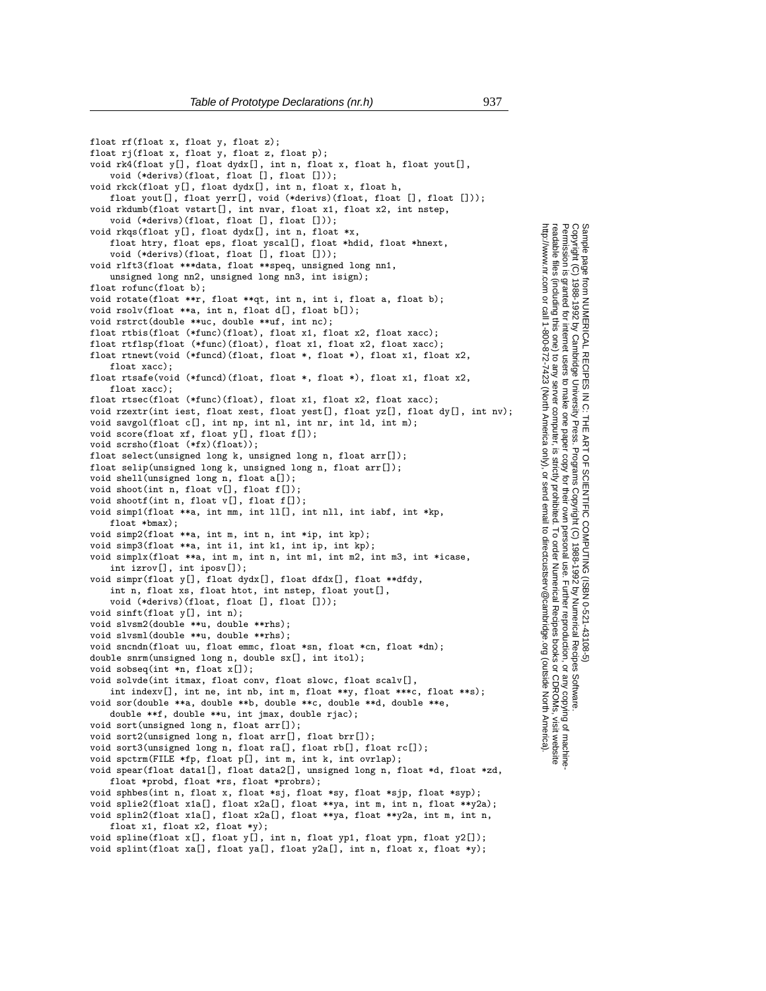float rf(float x, float y, float z); float rj(float x, float y, float z, float p); void rk4(float y[], float dydx[], int n, float x, float h, float yout[], void (\*derivs)(float, float [], float [])); void rkck(float y[], float dydx[], int n, float x, float h, float yout[], float yerr[], void (\*derivs)(float, float [], float [])); void rkdumb(float vstart[], int nvar, float x1, float x2, int nstep, void (\*derivs)(float, float [], float [])); void rkqs(float y[], float dydx[], int n, float \*x, float htry, float eps, float yscal[], float \*hdid, float \*hnext, void (\*derivs)(float, float [], float [])); void rlft3(float \*\*\*data, float \*\*speq, unsigned long nn1, unsigned long nn2, unsigned long nn3, int isign); float rofunc(float b); void rotate(float \*\*r, float \*\*qt, int n, int i, float a, float b); void rsolv(float \*\*a, int n, float d[], float b[]); void rstrct(double \*\*uc, double \*\*uf, int nc); float rtbis(float (\*func)(float), float x1, float x2, float xacc); float rtflsp(float (\*func)(float), float x1, float x2, float xacc); float rtnewt(void (\*funcd)(float, float \*, float \*), float x1, float x2, float xacc); float rtsafe(void (\*funcd)(float, float \*, float \*), float x1, float x2, float xacc); float rtsec(float (\*func)(float), float x1, float x2, float xacc); void rzextr(int iest, float xest, float yest[], float yz[], float dy[], int nv); void savgol(float c[], int np, int nl, int nr, int ld, int m); void score(float xf, float y[], float f[]); void scrsho(float (\*fx)(float)); float select(unsigned long k, unsigned long n, float arr[]); float selip(unsigned long k, unsigned long n, float arr[]); void shell(unsigned long n, float a[]); void shoot(int n, float v[], float f[]); void shootf(int n, float v[], float f[]); void simp1(float \*\*a, int mm, int ll[], int nll, int iabf, int \*kp, float \*bmax); void simp2(float \*\*a, int m, int n, int \*ip, int kp); void simp3(float \*\*a, int i1, int k1, int ip, int kp); void simplx(float \*\*a, int m, int n, int m1, int m2, int m3, int \*icase, int izrov[], int iposv[]); void simpr(float y[], float dydx[], float dfdx[], float \*\*dfdy, int n, float xs, float htot, int nstep, float yout[], void (\*derivs)(float, float [], float [])); void sinft(float y[], int n); void slvsm2(double \*\*u, double \*\*rhs); void slvsml(double \*\*u, double \*\*rhs); void sncndn(float uu, float emmc, float \*sn, float \*cn, float \*dn); double snrm(unsigned long n, double sx[], int itol); void sobseq(int \*n, float x[]); void solvde(int itmax, float conv, float slowc, float scalv[], int indexv[], int ne, int nb, int m, float \*\*y, float \*\*\*c, float \*\*s); void sor(double \*\*a, double \*\*b, double \*\*c, double \*\*d, double \*\*e, double \*\*f, double \*\*u, int jmax, double rjac); void sort(unsigned long n, float arr[]); void sort2(unsigned long n, float arr[], float brr[]); void sort3(unsigned long n, float ra[], float rb[], float rc[]); void spctrm(FILE \*fp, float p[], int m, int k, int ovrlap); void spear(float data1[], float data2[], unsigned long n, float \*d, float \*zd, float \*probd, float \*rs, float \*probrs); void sphbes(int n, float x, float \*sj, float \*sy, float \*sjp, float \*syp); void splie2(float x1a[], float x2a[], float \*\*ya, int m, int n, float \*\*y2a); void splin2(float x1a[], float x2a[], float \*\*ya, float \*\*y2a, int m, int n, float x1, float x2, float \*y); void spline(float x[], float y[], int n, float yp1, float ypn, float y2[]);

void splint(float xa[], float ya[], float y2a[], int n, float x, float \*y);

Sample page 1<br>Copyright (C)<br>Permission is Copyright (C) 1988-1992 by Cambridge University Press.Sample page from NUMERICAL RECIPES IN C: THE ART OF SCIENTIFIC COMPUTING (ISBN 0-521-43108-5) readable files (incll)<br>nttp://www.nr.com http://www.nr.com or call 1-800-872-7423 (North America only),readable files (including this one) to any serverPermission is granted for internet users to make one paper copy for their own personal use. Further reproduction, or any copyin e from NUMERICAL R<br>) 1988-1992 by Camb<br>s granted for internet u granted for internet users to make one pape<br>(including this one) to any server computer,<br>com or call 1-800-872-7423 (North America **RECIPES** to any server computer, is strictly prohibited<br>172-7423 (North America only), or send email University Press. Programs Copyright<br>to make one paper copy for their own s IN C: THE *I*<br>niversity Pres<br>make one pa computer, is strictly prohibited. To order Numerical Recipes books $\mathbb{R}^2$ t OF Programs Copyright (C) 1988-1992 by Numerical Recipes Software. **SCIENTIF** or send email to directcustserv@cambridge.org (outside North America). email to ਨੌ COM personal use. Further reproduction, or any copying of machine<br>. To order Numerical Recipes books or CDROMs, visit website  $\widehat{\Omega}$ directcustserv@cambridge.org (outside North America) PUTING 1988-1992 (ISBN 0-521-43<br>92 by Numerical Recipes  $108 - 5$ or CDROMs, visit website Software g of machine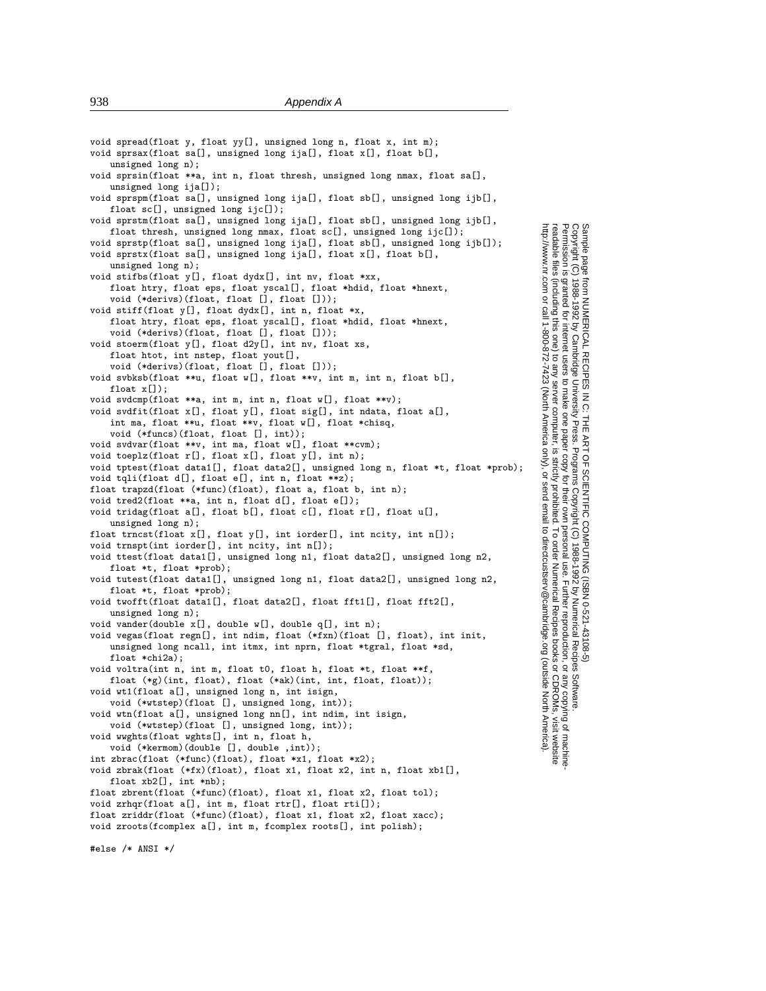void spread(float y, float yy[], unsigned long n, float x, int m); void sprsax(float sa[], unsigned long ija[], float x[], float b[], unsigned long n); void sprsin(float \*\*a, int n, float thresh, unsigned long nmax, float sa[], unsigned long ija[]); void sprspm(float sa[], unsigned long ija[], float sb[], unsigned long ijb[], float sc[], unsigned long ijc[]); void sprstm(float sa[], unsigned long ija[], float sb[], unsigned long ijb[], http://www.nr.com or call 1-800-872-7423 (North America only),readable files readable files (including this one) to any serverfloat thresh, unsigned long nmax, float sc[], unsigned long ijc[]); http://www.nr.com void sprstp(float sa[], unsigned long ija[], float sb[], unsigned long ijb[]); void sprstx(float sa[], unsigned long ija[], float x[], float b[], unsigned long n); void stifbs(float y[], float dydx[], int nv, float \*xx, granted for internet users to make one pape<br>(including this one) to any server computer,<br>com or call 1-800-872-7423 (North America float htry, float eps, float yscal[], float \*hdid, float \*hnext, void (\*derivs)(float, float [], float [])); void stiff(float y[], float dydx[], int n, float \*x, float htry, float eps, float yscal[], float \*hdid, float \*hnext, void (\*derivs)(float, float [], float [])); void stoerm(float y[], float d2y[], int nv, float xs, float htot, int nstep, float yout[], to any server computer, is strictly prohibited<br>372-7423 (North America only), or send email void (\*derivs)(float, float [], float [])); void svbksb(float \*\*u, float w[], float \*\*v, int m, int n, float b[], float  $x[]$ ); void svdcmp(float \*\*a, int m, int n, float w[], float \*\*v); void svdfit(float x[], float y[], float sig[], int ndata, float a[], computer, is strictly prohibited. To order Numerical Recipes booksint ma, float \*\*u, float \*\*v, float w[], float \*chisq, void (\*funcs)(float, float [], int)); void svdvar(float \*\*v, int ma, float w[], float \*\*cvm); void toeplz(float r[], float x[], float y[], int n); void tptest(float data1[], float data2[], unsigned long n, float \*t, float \*prob); void tqli(float d[], float e[], int n, float \*\*z); or send email to directcustserv@cambridge.org (outside North America). float trapzd(float (\*func)(float), float a, float b, int n); void tred2(float \*\*a, int n, float d[], float e[]); email to directcustserv@cambridge.org (outside North America). void tridag(float a[], float b[], float c[], float r[], float u[], unsigned long n); t (C) 1988-1992 by Numerical Recipes Software.<br>personal use. Further reproduction, or any copying of machine-<br>. To order Numerical Recipes books or CDROMs, visit website<br>. To order Numerical Recipes books or CDROMs, visit float trncst(float x[], float y[], int iorder[], int ncity, int n[]); void trnspt(int iorder[], int ncity, int n[]); void ttest(float data1[], unsigned long n1, float data2[], unsigned long n2, float \*t, float \*prob); void tutest(float data1[], unsigned long n1, float data2[], unsigned long n2, float \*t, float \*prob); void twofft(float data1[], float data2[], float fft1[], float fft2[], unsigned long n); void vander(double x[], double w[], double q[], int n); void vegas(float regn[], int ndim, float (\*fxn)(float [], float), int init, unsigned long ncall, int itmx, int nprn, float \*tgral, float \*sd, float \*chi2a); void voltra(int n, int m, float t0, float h, float \*t, float \*\*f, or CDROMs, visit website float  $(*g)(int, float), float (*ak)(int, int, float, float));$ void wt1(float a[], unsigned long n, int isign, void (\*wtstep)(float [], unsigned long, int)); void wtn(float a[], unsigned long nn[], int ndim, int isign, void (\*wtstep)(float [], unsigned long, int)); void wwghts(float wghts[], int n, float h, void (\*kermom)(double [], double ,int)); int zbrac(float (\*func)(float), float \*x1, float \*x2); void zbrak(float (\*fx)(float), float x1, float x2, int n, float xb1[], float xb2[], int \*nb); float zbrent(float (\*func)(float), float x1, float x2, float tol); void zrhqr(float a[], int m, float rtr[], float rti[]); float zriddr(float (\*func)(float), float x1, float x2, float xacc); void zroots(fcomplex a[], int m, fcomplex roots[], int polish);

Permission is granted for internet users to make one paper copy for their own personal use. Further reproduction, or any copyin

to make one paper copy for their own

Programs Copyright (C) 1988-1992 by Numerical Recipes Software.

(ISBN 0-521-43<br>92 by Numerical

 $108 - 5$ 

g of machine-

**V C: THE ART OF SCII**<br>ersity Press. Programs

 $\frac{1}{8}$   $\leq$ 

Sample page from NUMERICAL RECIPES IN C: THE ART OF SCIENTIFIC COMPUTING (ISBN 0-521-43108-5)

ART OF **SCI ENTIFI** Copyr

ਨੌ COM

PUTING

**RECIPES** 

Copyright (C) 1988-1992 by Cambridge University Press.

from NUMERICAL RECIF<br>1988-1992 by Cambridge<br>granted for internet users

Sample page<br>Copyright (C)<br>Permission is

#else /\* ANSI \*/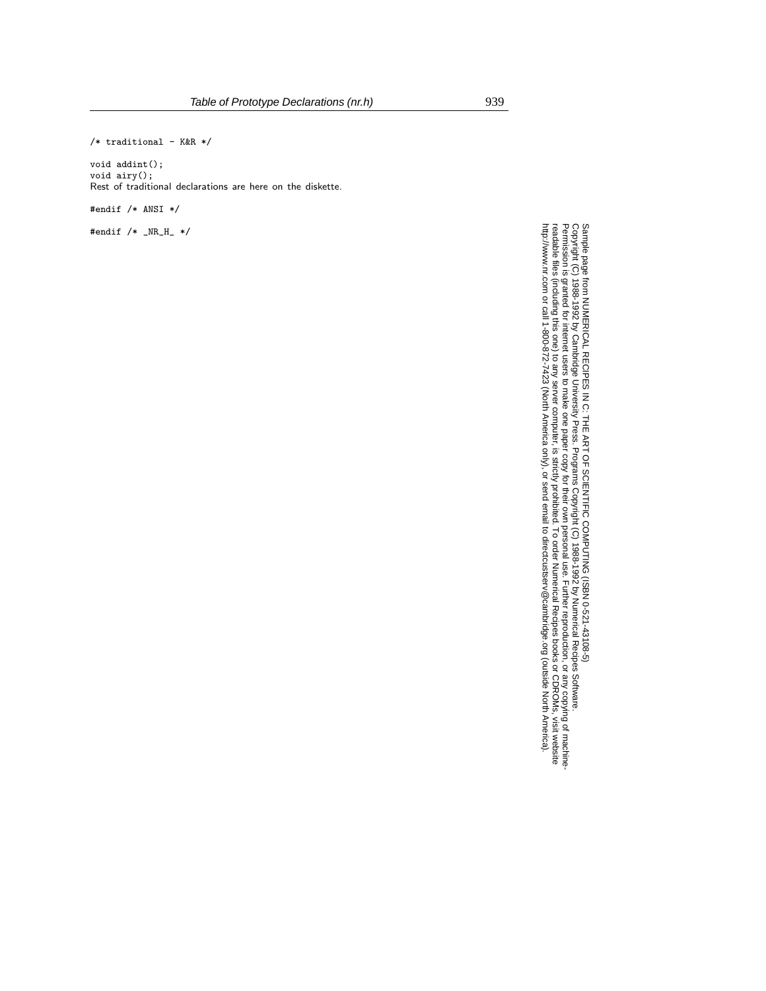void addint(); void airy(); Rest of traditional declarations are here on the diskette.

#endif /\* ANSI \*/

#endif /\* \_NR\_H\_ \*/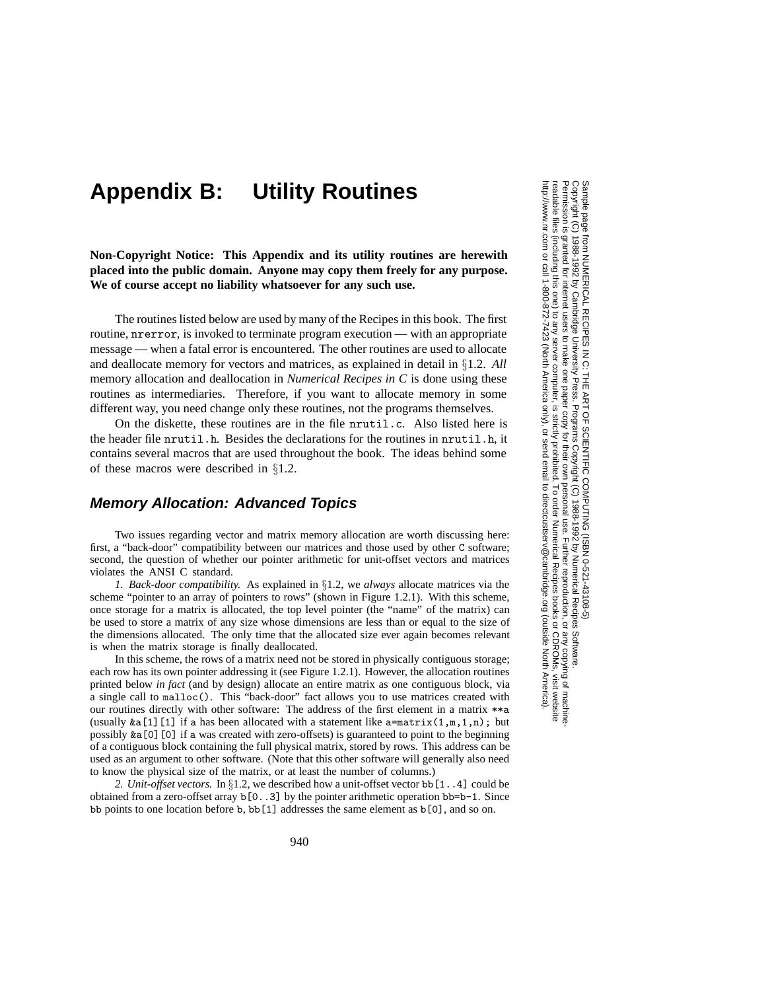# **Appendix B: Utility Routines**

#### **Non-Copyright Notice: This Appendix and its utility routines are herewith placed into the public domain. Anyone may copy them freely for any purpose. We of course accept no liability whatsoever for any such use.**

The routines listed below are used by many of the Recipes in this book. The first routine, nrerror, is invoked to terminate program execution — with an appropriate message — when a fatal error is encountered. The other routines are used to allocate and deallocate memory for vectors and matrices, as explained in detail in *§*1.2. *All* memory allocation and deallocation in *Numerical Recipes in C* is done using these routines as intermediaries. Therefore, if you want to allocate memory in some different way, you need change only these routines, not the programs themselves.

On the diskette, these routines are in the file nrutil.c. Also listed here is the header file nrutil.h. Besides the declarations for the routines in nrutil.h, it contains several macros that are used throughout the book. The ideas behind some of these macros were described in *§*1.2.

#### **Memory Allocation: Advanced Topics**

Two issues regarding vector and matrix memory allocation are worth discussing here: first, a "back-door" compatibility between our matrices and those used by other C software; second, the question of whether our pointer arithmetic for unit-offset vectors and matrices violates the ANSI C standard.

*1. Back-door compatibility.* As explained in *§*1.2, we *always* allocate matrices via the scheme "pointer to an array of pointers to rows" (shown in Figure 1.2.1). With this scheme, once storage for a matrix is allocated, the top level pointer (the "name" of the matrix) can be used to store a matrix of any size whose dimensions are less than or equal to the size of the dimensions allocated. The only time that the allocated size ever again becomes relevant is when the matrix storage is finally deallocated.

In this scheme, the rows of a matrix need not be stored in physically contiguous storage; each row has its own pointer addressing it (see Figure 1.2.1). However, the allocation routines printed below *in fact* (and by design) allocate an entire matrix as one contiguous block, via a single call to malloc(). This "back-door" fact allows you to use matrices created with our routines directly with other software: The address of the first element in a matrix \*\*a (usually  $\&a[1][1]$  if a has been allocated with a statement like  $a=\text{matrix}(1,m,1,n)$ ; but possibly &a[0][0] if a was created with zero-offsets) is guaranteed to point to the beginning of a contiguous block containing the full physical matrix, stored by rows. This address can be used as an argument to other software. (Note that this other software will generally also need to know the physical size of the matrix, or at least the number of columns.)

*2. Unit-offset vectors.* In *§*1.2, we described how a unit-offset vector bb[1..4] could be obtained from a zero-offset array b[0..3] by the pointer arithmetic operation bb=b-1. Since bb points to one location before b, bb[1] addresses the same element as b[0], and so on.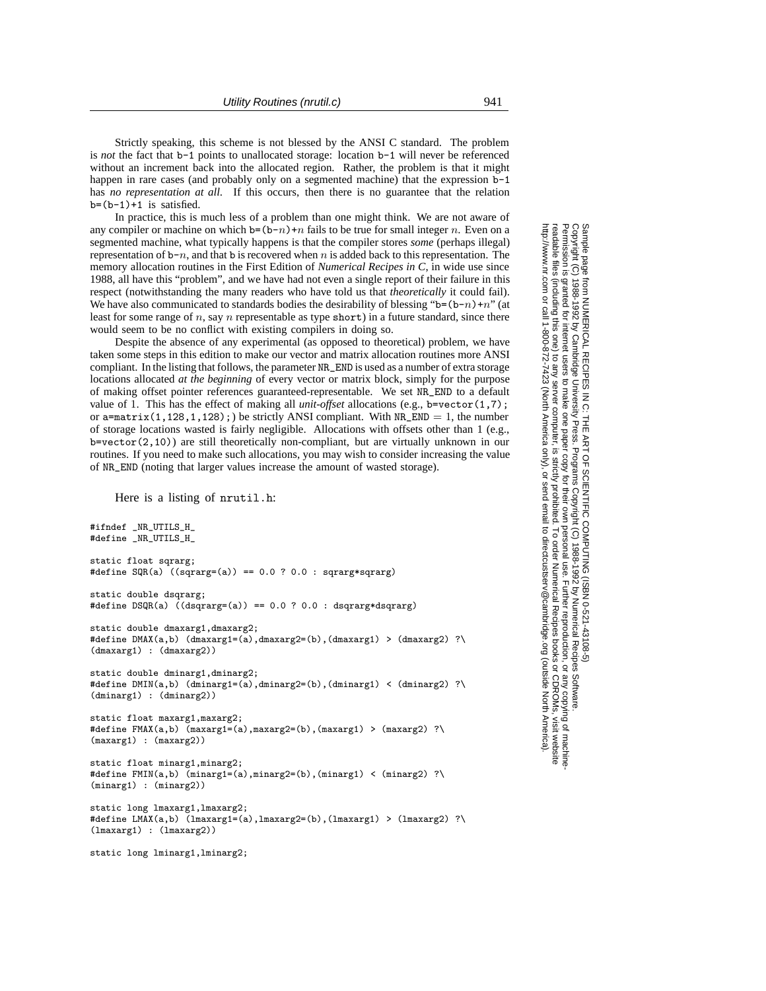Strictly speaking, this scheme is not blessed by the ANSI C standard. The problem is *not* the fact that b-1 points to unallocated storage: location b-1 will never be referenced without an increment back into the allocated region. Rather, the problem is that it might happen in rare cases (and probably only on a segmented machine) that the expression b-1 has *no representation at all*. If this occurs, then there is no guarantee that the relation  $b=(b-1)+1$  is satisfied.

In practice, this is much less of a problem than one might think. We are not aware of any compiler or machine on which  $b=(b-n)+n$  fails to be true for small integer *n*. Even on a segmented machine, what typically happens is that the compiler stores *some* (perhaps illegal) representation of  $b - n$ , and that b is recovered when *n* is added back to this representation. The memory allocation routines in the First Edition of *Numerical Recipes in C*, in wide use since 1988, all have this "problem", and we have had not even a single report of their failure in this respect (notwithstanding the many readers who have told us that *theoretically* it could fail). We have also communicated to standards bodies the desirability of blessing " $b = (b - n) + n$ " (at least for some range of *n*, say *n* representable as type short) in a future standard, since there would seem to be no conflict with existing compilers in doing so.

Despite the absence of any experimental (as opposed to theoretical) problem, we have taken some steps in this edition to make our vector and matrix allocation routines more ANSI compliant. In the listing that follows, the parameter NR\_END is used as a number of extra storage locations allocated *at the beginning* of every vector or matrix block, simply for the purpose of making offset pointer references guaranteed-representable. We set NR\_END to a default value of 1. This has the effect of making all *unit-offset* allocations (e.g., b=vector(1,7); or  $a = matrix(1,128,1,128)$ ; be strictly ANSI compliant. With  $NR$ <sub>-END</sub> = 1, the number of storage locations wasted is fairly negligible. Allocations with offsets other than 1 (e.g.,  $b=vector(2,10)$  are still theoretically non-compliant, but are virtually unknown in our routines. If you need to make such allocations, you may wish to consider increasing the value of NR\_END (noting that larger values increase the amount of wasted storage).

Here is a listing of nrutil.h:

```
#ifndef _NR_UTILS_H_
#define _NR_UTILS_H_
static float sqrarg;
#define \text{SQR}(a) ((sqrarg=(a)) == 0.0 ? 0.0 : sqrarg*sqrarg)
static double dsqrarg;
#define DSQR(a) ((dsqrarg=(a)) == 0.0 ? 0.0 : dsqrarg*dsqrarg)
static double dmaxarg1,dmaxarg2;
#define DMAX(a,b) (dmaxarg1=(a),dmaxarg2=(b),(dmaxarg1) > (dmaxarg2) ?\
(dmaxarg1) : (dmaxarg2))
static double dminarg1,dminarg2;
#define DMIN(a,b) (dminarg1=(a),dminarg2=(b),(dminarg1) < (dminarg2) ?\
(dminarg1) : (dminarg2))
static float maxarg1,maxarg2;
#define FMAX(a,b) (maxarg1=(a), maxarg2=(b), (maxarg1) > (maxarg2) ?
(maxarg1) : (maxarg2))
static float minarg1,minarg2;
#define FMIN(a,b) (\text{minarg1}=(a), \text{minarg2}=(b), (\text{minarg1}) < (\text{minarg2}) ?
(minarg1) : (minarg2))
static long lmaxarg1,lmaxarg2;
#define LMAX(a,b) (lmaxarg1=(a),lmaxarg2=(b),(lmaxarg1) > (lmaxarg2) ?\
(lmaxarg1) : (lmaxarg2))
static long lminarg1,lminarg2;
```
Sample page 1<br>Copyright (C)<br>Permission is Copyright (C) 1988-1992 by Cambridge University Press.Sample page from NUMERICAL RECIPES IN C: THE ART OF SCIENTIFIC COMPUTING (ISBN 0-521-43108-5) http://www.nr.com or call 1-800-872-7423 (North America only),readable files (including this one) to any serverPermission is granted for internet users to make one paper copy for their own personal use. Further reproduction, or any copyin , from NUMERICAL RECIPES IN C: THE ART OF SCIENTIFIC COMPUTING (ISBN 0-521-43108-5)<br>) 1988-1992 by Cambridge University Press. Programs Copyright (C) 1988-1992 by Numerical Recipes Software.<br>s granted tor internet users to computer, is strictly prohibited. To order Numerical Recipes booksPrograms Copyright (C) 1988-1992 by Numerical Recipes Software. or send email to directcustserv@cambridge.org (outside North America). or CDROMs, visit website

g of machine-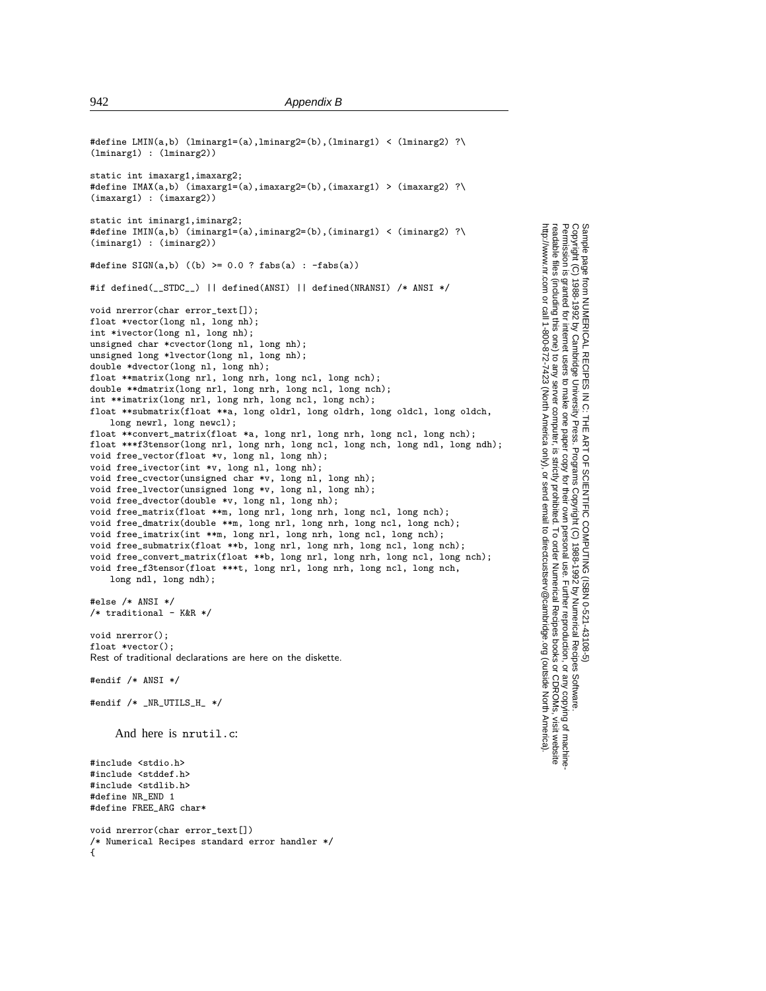#define LMIN(a,b) (lminarg1=(a),lminarg2=(b),(lminarg1) < (lminarg2) ?\

(lminarg1) : (lminarg2)) static int imaxarg1,imaxarg2; #define IMAX(a,b) (imaxarg1=(a),imaxarg2=(b),(imaxarg1) > (imaxarg2) ?\ (imaxarg1) : (imaxarg2)) static int iminarg1,iminarg2; #define IMIN(a,b) (iminarg1=(a),iminarg2=(b),(iminarg1) < (iminarg2) ?\ (iminarg1) : (iminarg2)) #define SIGN(a,b) ((b) >=  $0.0$  ? fabs(a) : -fabs(a)) #if defined(\_\_STDC\_\_) || defined(ANSI) || defined(NRANSI) /\* ANSI \*/ void nrerror(char error\_text[]); float \*vector(long nl, long nh); int \*ivector(long nl, long nh); unsigned char \*cvector(long nl, long nh); unsigned long \*lvector(long nl, long nh); double \*dvector(long nl, long nh); float \*\*matrix(long nrl, long nrh, long ncl, long nch); double \*\*dmatrix(long nrl, long nrh, long ncl, long nch); int \*\*imatrix(long nrl, long nrh, long ncl, long nch); float \*\*submatrix(float \*\*a, long oldrl, long oldrh, long oldcl, long oldch, long newrl, long newcl); float \*\*convert\_matrix(float \*a, long nrl, long nrh, long ncl, long nch); float \*\*\*f3tensor(long nrl, long nrh, long ncl, long nch, long ndl, long ndh); void free\_vector(float \*v, long nl, long nh); void free\_ivector(int \*v, long nl, long nh); void free\_cvector(unsigned char \*v, long nl, long nh); void free\_lvector(unsigned long \*v, long nl, long nh); void free\_dvector(double \*v, long nl, long nh); void free\_matrix(float \*\*m, long nrl, long nrh, long ncl, long nch); void free\_dmatrix(double \*\*m, long nrl, long nrh, long ncl, long nch); void free\_imatrix(int \*\*m, long nrl, long nrh, long ncl, long nch); void free\_submatrix(float \*\*b, long nrl, long nrh, long ncl, long nch); void free\_convert\_matrix(float \*\*b, long nrl, long nrh, long ncl, long nch); void free\_f3tensor(float \*\*\*t, long nrl, long nrh, long ncl, long nch, long ndl, long ndh); #else /\* ANSI \*/ /\* traditional - K&R \*/ void nrerror(); float \*vector(); Rest of traditional declarations are here on the diskette. #endif /\* ANSI \*/ #endif /\* \_NR\_UTILS\_H\_ \*/ And here is nrutil.c: #include <stdio.h> #include <stddef.h> #include <stdlib.h> #define NR\_END 1 #define FREE\_ARG char\* void nrerror(char error\_text[]) /\* Numerical Recipes standard error handler \*/ {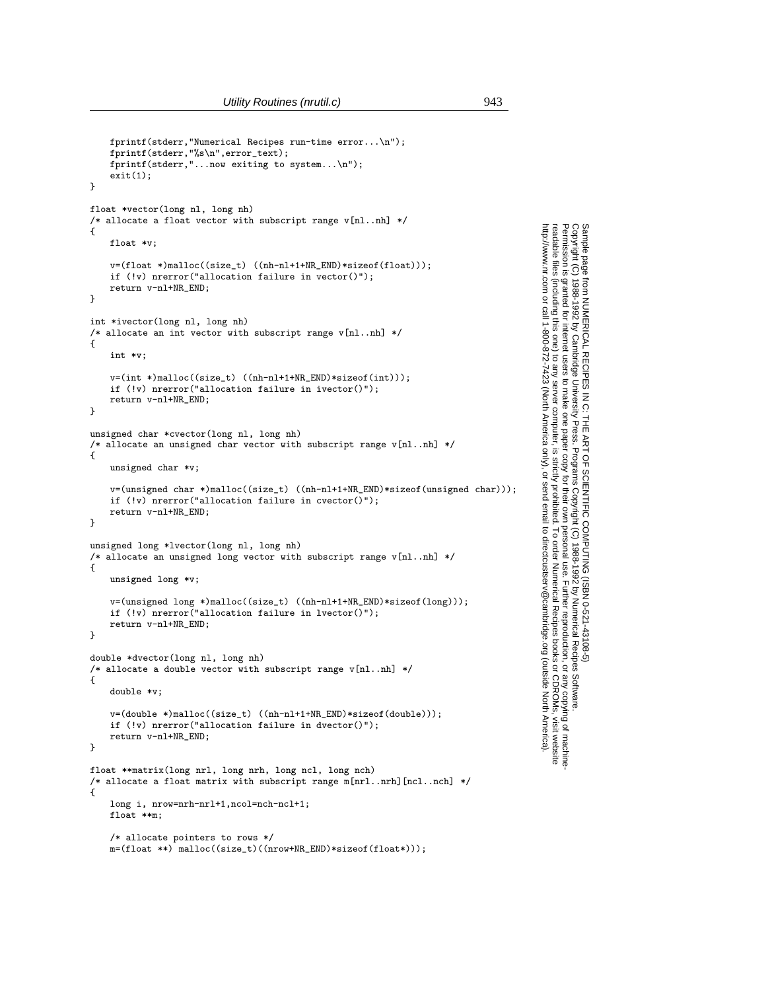```
fprintf(stderr,"Numerical Recipes run-time error...\n");
    fprintf(stderr,"%s\n",error_text);
    fprintf(stderr,"...now exiting to system...\n");
   exit(1);}
float *vector(long nl, long nh)
/* allocate a float vector with subscript range v[nl..nh] */
{
   float *v;
   v=(float *)malloc((size_t) ((nh-nl+1+NR_END)*sizeof(float)));
   if (!v) nrerror("allocation failure in vector()");
   return v-nl+NR_END;
}
int *ivector(long nl, long nh)
/* allocate an int vector with subscript range v[nl..nh] */
{
    int *v;
   \verb|v=(int *) \verb|malloc((size_t) ( (nh-nl+1+NR\_END)*sizeof(int)));if (!v) nrerror("allocation failure in ivector()");
   return v-nl+NR_END;
}
unsigned char *cvector(long nl, long nh)
/* allocate an unsigned char vector with subscript range v[nl..nh] */
{
   unsigned char *v;
   v=(unsigned char *)malloc((size_t) ((nh-nl+1+NR_END)*sizeof(unsigned char)));
   if (!v) nrerror("allocation failure in cvector()");
   return v-nl+NR_END;
}
unsigned long *lvector(long nl, long nh)
/* allocate an unsigned long vector with subscript range v[nl..nh] */
{
    unsigned long *v;
   v=(unsigned long *)malloc((size_t) ((nh-nl+1+NR_END)*sizeof(long)));
   if (!v) nrerror("allocation failure in lvector()");
   return v-nl+NR_END;
}
double *dvector(long nl, long nh)
/* allocate a double vector with subscript range v[nl..nh] */
{
   double *v;
   v=(double *)malloc((size_t) ((nh-nl+1+NR_END)*sizeof(double)));
   if (!v) nrerror("allocation failure in dvector()");
   return v-nl+NR_END;
}
float **matrix(long nrl, long nrh, long ncl, long nch)
/* allocate a float matrix with subscript range m[nrl..nrh][ncl..nch] */
{
   long i, nrow=nrh-nrl+1,ncol=nch-ncl+1;
   float **m;
   /* allocate pointers to rows */
   m=(float **) malloc((size_t)((nrow+NR_END)*sizeof(float*)));
```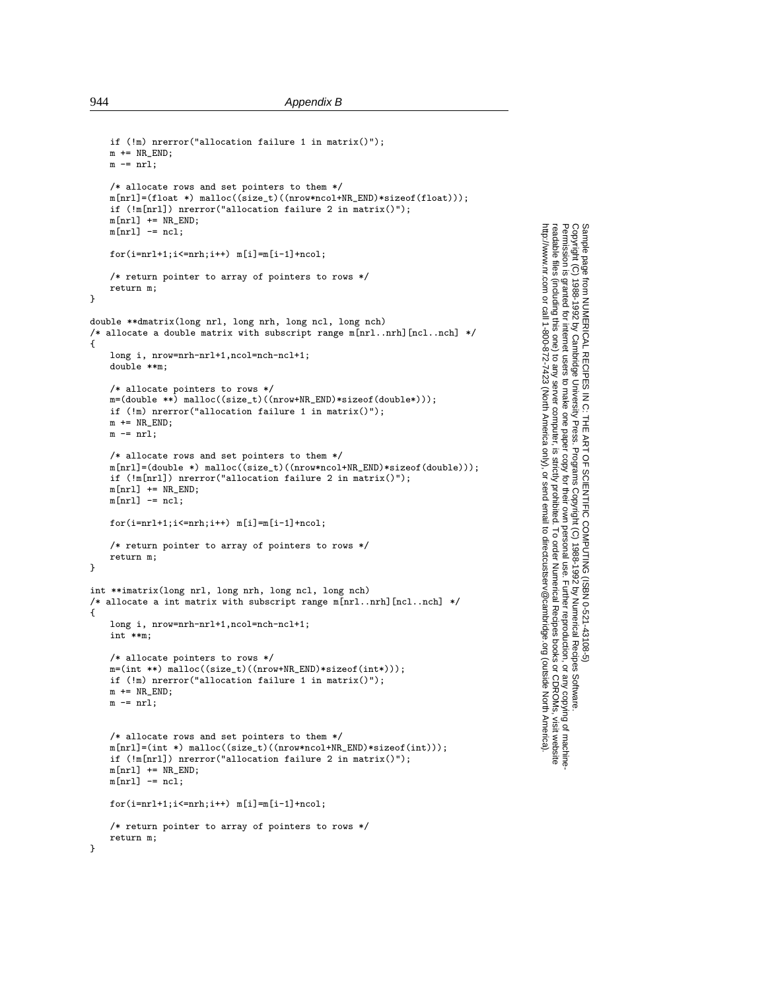```
if (!m) nrerror("allocation failure 1 in matrix()");
   m += NR<sub>_</sub>END;
   m -= nr1;
    /* allocate rows and set pointers to them */
   m[nrl]=(float *) malloc((size_t)((nrow*ncol+NR_END)*sizeof(float)));
   if (!m[nrl]) nrerror("allocation failure 2 in matrix()");
    m[nr1] += NR<sub>-</sub>END;m[nr1] -= ncl;for(i=nrl+1;i<=nrh;i++) m[i]=m[i-1]+ncol;
    /* return pointer to array of pointers to rows */
   return m;
}
double **dmatrix(long nrl, long nrh, long ncl, long nch)
/* allocate a double matrix with subscript range m[nrl..nrh][ncl..nch] */
{
    long i, nrow=nrh-nrl+1,ncol=nch-ncl+1;
    double **m;
    /* allocate pointers to rows */
   m=(double **) malloc((size_t)((nrow+NR_END)*sizeof(double*)));
   if (!m) nrerror("allocation failure 1 in matrix()");
   m += NR<sub>_</sub>END;
   m = nr1;
    /* allocate rows and set pointers to them */
   m[nr] = (double *) malloc((size_t)((nrow*ncol+NR\_END)*sizeof(double)));
    if (!m[nrl]) nrerror("allocation failure 2 in matrix()");
   m[nr1] += NR<sub>-</sub>END;m[nr] -= ncl;
    for(i=nrl+1;i<=nrh;i++) m[i]=m[i-1]+ncol;
    /* return pointer to array of pointers to rows */
    return m;
}
int **imatrix(long nrl, long nrh, long ncl, long nch)
/* allocate a int matrix with subscript range m[nrl..nrh][ncl..nch] */
{
    long i, nrow=nrh-nrl+1,ncol=nch-ncl+1;
   int **m;
    /* allocate pointers to rows */
   m=(int **) malloc((size_t)((nrow+NR_END)*sizeof(int*)));
   if (!m) nrerror("allocation failure 1 in matrix()");
   m += NR END:
   m - nr1:
    /* allocate rows and set pointers to them */
   m[nrl]=(int *) malloc((size_t)((nrow*ncol+NR_END)*sizeof(int)));
    if (!m[nrl]) nrerror("allocation failure 2 in matrix()");
   m[nr1] += NR<sub>_</sub>END;
   m[nr1] -= ncl;for(i=nrl+1; i<=nrh; i++) m[i]=m[i-1]+ncol;/* return pointer to array of pointers to rows */
    return m;
}
```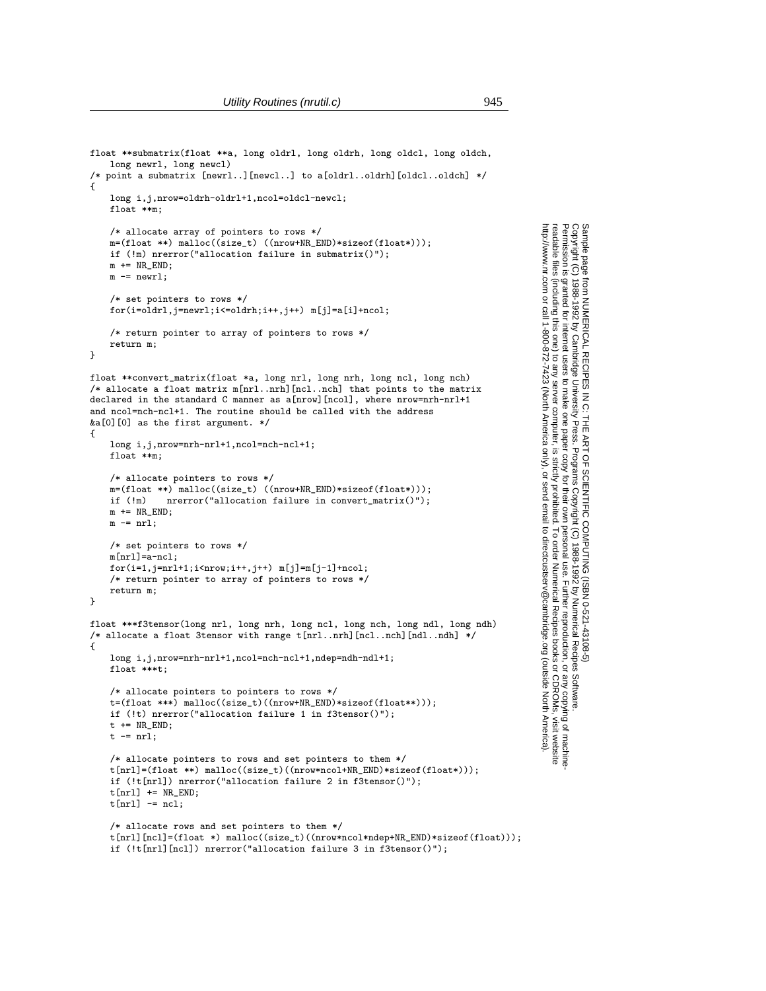```
float **submatrix(float **a, long oldrl, long oldrh, long oldcl, long oldch,
   long newrl, long newcl)
/* point a submatrix [newrl..][newcl..] to a[oldrl..oldrh][oldcl..oldch] */
{
    long i,j,nrow=oldrh-oldrl+1,ncol=oldcl-newcl;
   float **m;
   /* allocate array of pointers to rows */
   m=(float **) malloc((size_t) ((nrow+NR_END)*sizeof(float*)));
   if (!m) nrerror("allocation failure in submatrix()");
   m += NR<sub>-</sub>END;
   m -= newrl;
   /* set pointers to rows */
   for(i=oldrl,j=newrl;i<=oldrh;i++,j++) m[j]=a[i]+ncol;
    /* return pointer to array of pointers to rows */
   return m;
}
float **convert_matrix(float *a, long nrl, long nrh, long ncl, long nch)
/* allocate a float matrix m[nrl..nrh][ncl..nch] that points to the matrix
declared in the standard C manner as a[nrow][ncol], where nrow=nrh-nrl+1
and ncol=nch-ncl+1. The routine should be called with the address
&a[0][0] as the first argument. */
{
   long i,j,nrow=nrh-nrl+1,ncol=nch-ncl+1;
   float **m;
   /* allocate pointers to rows */
   m=(float **) malloc((size_t) ((nrow+NR_END)*sizeof(float*)));
   if (!m) nrerror("allocation failure in convert_matrix()");
   m += NR<sub>_</sub>END;
   m -= nr1;
   /* set pointers to rows */
   m[nrl]=a-ncl;
   for(i=1,j=nrl+1;i\leq nrow;i++) m[i]=m[i-1]+ncol;/* return pointer to array of pointers to rows */
   return m;
}
float ***f3tensor(long nrl, long nrh, long ncl, long nch, long ndl, long ndh)
/* allocate a float 3tensor with range t[nrl..nrh][ncl..nch][ndl..ndh] */
{
    long i,j,nrow=nrh-nrl+1,ncol=nch-ncl+1,ndep=ndh-ndl+1;
   float ***t;
   /* allocate pointers to pointers to rows */
   t=(float ***) malloc((size_t)((nrow+NR_END)*sizeof(float**)));
   if (!t) nrerror("allocation failure 1 in f3tensor()");
   t += NR END:
   t -= nr1;
   /* allocate pointers to rows and set pointers to them */
   t[nrl]=(float **) malloc((size_t)((nrow*ncol+NR_END)*sizeof(float*)));
   if (!t[nrl]) nrerror("allocation failure 2 in f3tensor()");
   t[nr1] += NR<sub>_</sub>END;t[nrl] -= ncl;/* allocate rows and set pointers to them */
   t[nrl][ncl]=(float *) malloc((size_t)((nrow*ncol*ndep+NR_END)*sizeof(float)));
   if (!t[nrl][ncl]) nrerror("allocation failure 3 in f3tensor()");
```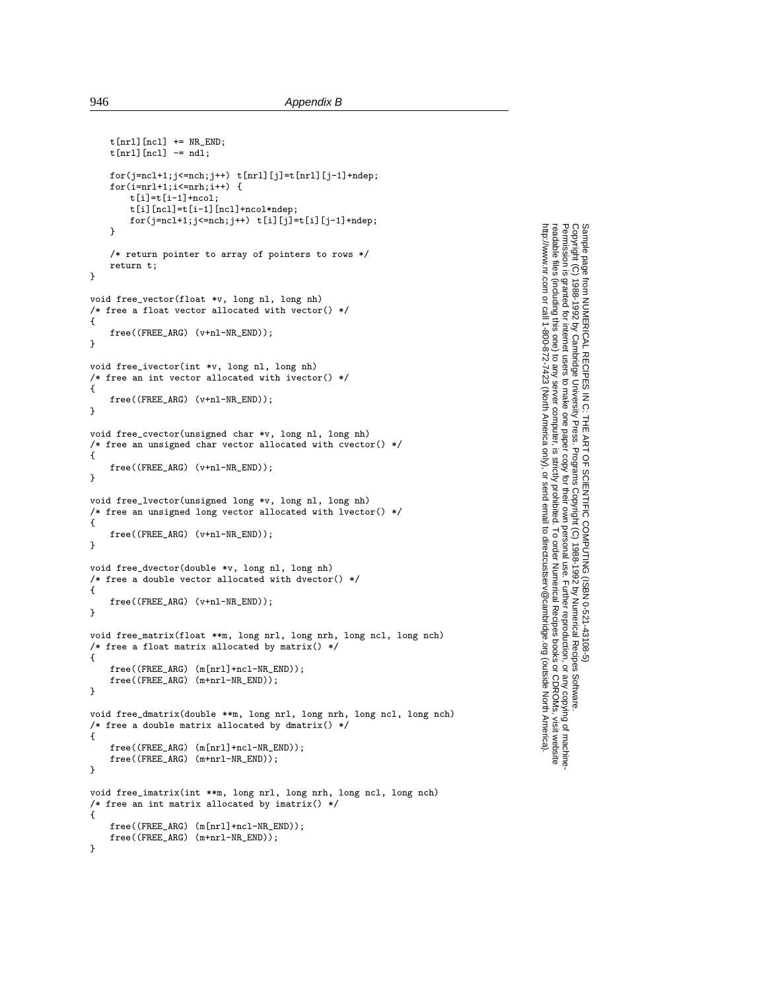```
t[nr1][nc1] += NR_END;t[nr1][nc1] -= nd1;for(j=ncl+1;j\leq nch;j++) t[nrl][j]=t[nrl][j-1]+ndep;for(i=nrl+1; i<=nrh; i++) {
       t[i]=t[i-1]+ncol;
       t[i][ncl]=t[i-1][ncl]+ncol*ndep;
       for(j=ncl+1;j\leq=nch;j++) t[i][j]=t[i][j-1]+ndep;}
    /* return pointer to array of pointers to rows */
   return t;
}
void free_vector(float *v, long nl, long nh)
/* free a float vector allocated with vector() */
{
   free((FREE_ARG) (v+nl-NR_END));
}
void free_ivector(int *v, long nl, long nh)
/* free an int vector allocated with ivector() */{
    free((FREE_ARG) (v+nl-NR_END));
}
void free_cvector(unsigned char *v, long nl, long nh)
/* free an unsigned char vector allocated with cvector() */
{
   free((FREE_ARG) (v+nl-NR_END));
}
void free_lvector(unsigned long *v, long nl, long nh)
/* free an unsigned long vector allocated with lvector() */
{
    free((FREE_ARG) (v+nl-NR_END));
}
void free_dvector(double *v, long nl, long nh)
/* free a double vector allocated with dvector() */
{
   free((FREE_ARG) (v+nl-NR_END));
}
void free_matrix(float **m, long nrl, long nrh, long ncl, long nch)
/* free a float matrix allocated by matrix() */
{
   free((FREE_ARG) (m[nrl]+ncl-NR_END));
   free((FREE_ARG) (m+nrl-NR_END));
}
void free_dmatrix(double **m, long nrl, long nrh, long ncl, long nch)
/* free a double matrix allocated by dmatrix() */
{
   free((FREE_ARG) (m[nrl]+ncl-NR_END));
   free((FREE_ARG) (m+nrl-NR_END));
}
void free_imatrix(int **m, long nrl, long nrh, long ncl, long nch)
/* free an int matrix allocated by imatrix() */
{
   free((FREE_ARG) (m[nrl]+ncl-NR_END));
    free((FREE_ARG) (m+nrl-NR_END));
}
```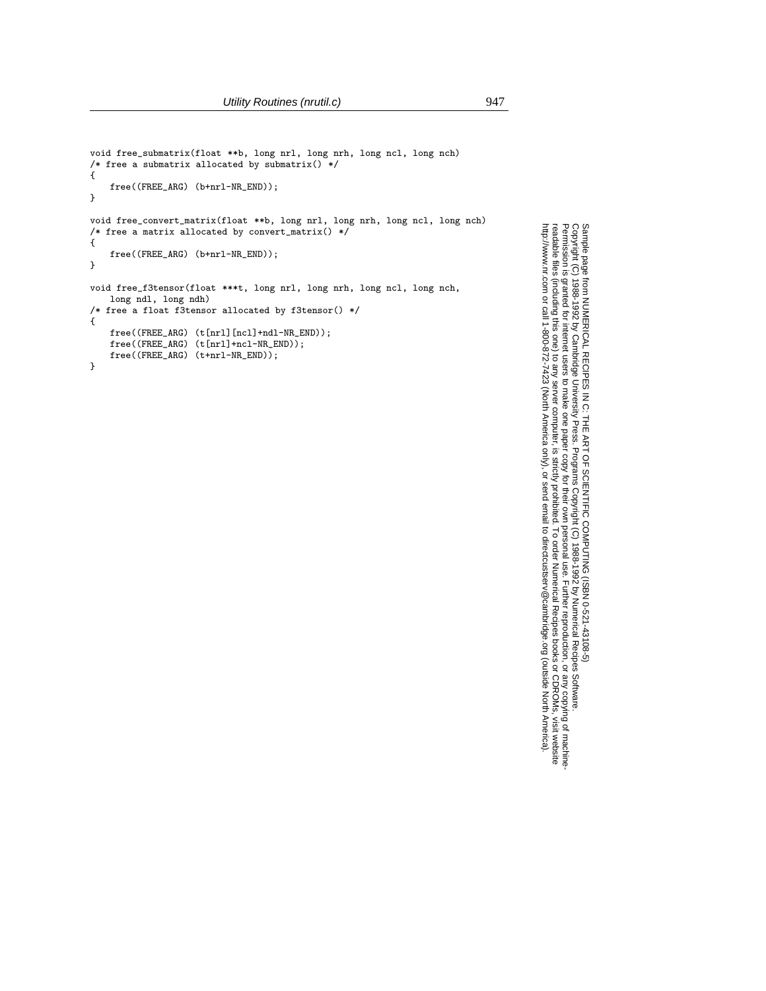```
void free_submatrix(float **b, long nrl, long nrh, long ncl, long nch)
/* free a submatrix allocated by submatrix() */
{
   free((FREE_ARG) (b+nrl-NR_END));
}
void free_convert_matrix(float **b, long nrl, long nrh, long ncl, long nch)
/* free a matrix allocated by convert_matrix() */
{
   free((FREE_ARG) (b+nrl-NR_END));
}
void free_f3tensor(float ***t, long nrl, long nrh, long ncl, long nch,
   long ndl, long ndh)
/* free a float f3tensor allocated by f3tensor() */
{
   free((FREE_ARG) (t[nrl][ncl]+ndl-NR_END));
   free((FREE_ARG) (t[nrl]+ncl-NR_END));
   free((FREE_ARG) (t+nrl-NR_END));
}
```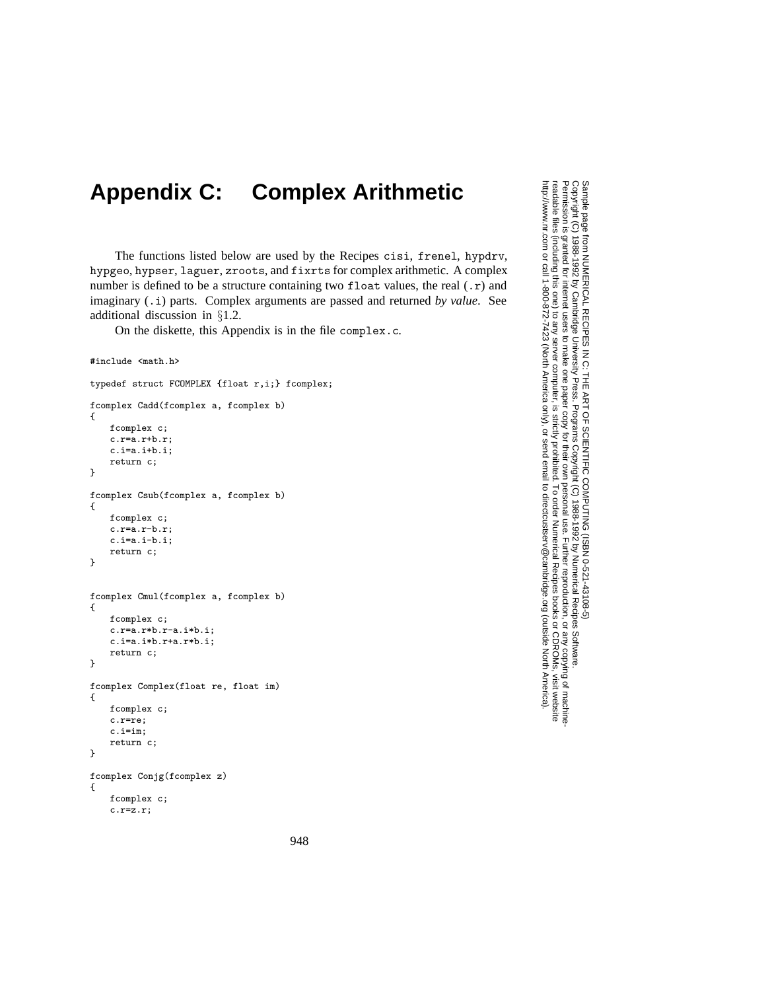# **Appendix C: Complex Arithmetic**

The functions listed below are used by the Recipes cisi, frenel, hypdrv, hypgeo, hypser, laguer, zroots, and fixrts for complex arithmetic. A complex number is defined to be a structure containing two float values, the real  $(.r)$  and imaginary (.i) parts. Complex arguments are passed and returned *by value*. See additional discussion in *§*1.2.

On the diskette, this Appendix is in the file complex.c.

```
#include <math.h>
```

```
typedef struct FCOMPLEX {float r,i;} fcomplex;
fcomplex Cadd(fcomplex a, fcomplex b)
{
    fcomplex c;
   c.r=a.r+b.r;
    c.i=a.i+b.i;
   return c;
}
fcomplex Csub(fcomplex a, fcomplex b)
{
   fcomplex c;
   c.r=a.r-b.r;c.i=a.i-b.i;
   return c;
}
fcomplex Cmul(fcomplex a, fcomplex b)
{
    fcomplex c;
    c.r=a.r*b.r-a.i*b.i;
    c.i=a.i*b.r+a.r*b.i;
    return c;
}
fcomplex Complex(float re, float im)
{
    fcomplex c;
    c.r=re;
   c.i=im;
    return c;
}
fcomplex Conjg(fcomplex z)
{
    fcomplex c;
    c.r=z.r;
```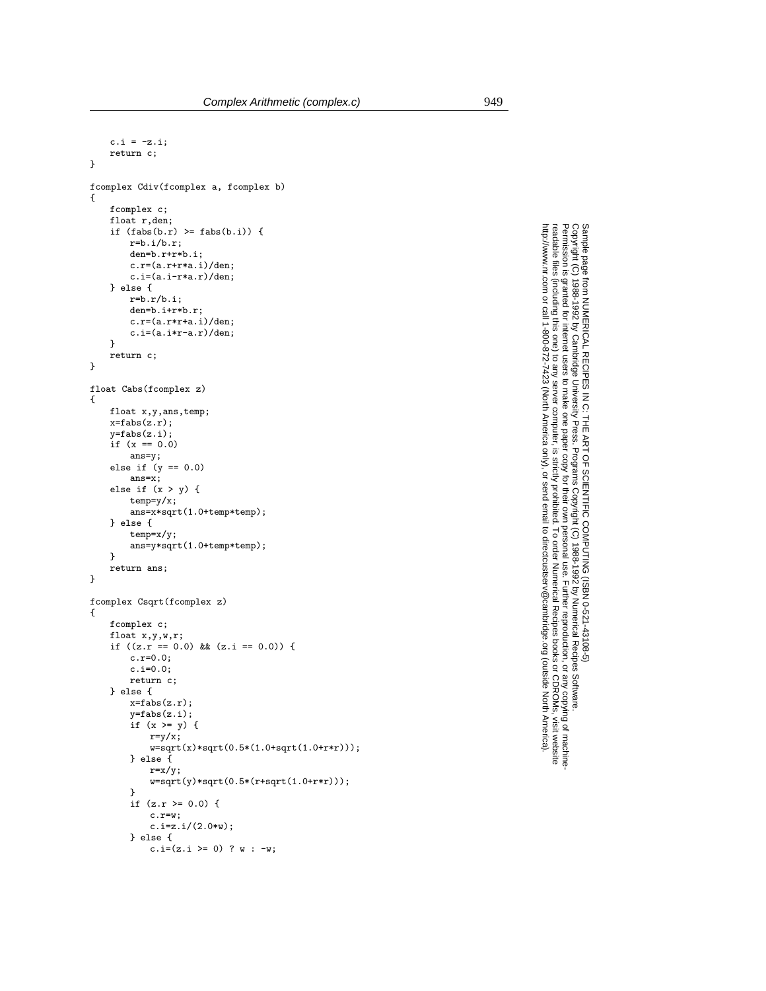```
c.i = -z.i;return c;
}
fcomplex Cdiv(fcomplex a, fcomplex b) {
    fcomplex c;
   float r,den;
   if (fabs(b.r) \geq fabs(b.i)) {
       r=b.i/b.r;
       den=b.r+r*b.i;
       c.r=(a.r+r*a.i)/den;c.i=(a.i-r*a.r)/den;
   } else {
       r=b.r/b.i;
       den=b.i+r*b.r;
       c.r=(a.r*r+a.i)/den;c.i=(a.i*r-a.r)/den;}
   return c;
}
float Cabs(fcomplex z) {
   float x,y,ans,temp;
   x=fabs(z.r);y=fabs(z,i);if (x == 0.0)ans=y;
    else if (y == 0.0)ans=x;
    else if (x > y) {
       temp=y/x;
       ans=x*sqrt(1.0+temp*temp);
   } else {
       temp=x/y;
       ans=y*sqrt(1.0+temp*temp);
    }
   return ans;
}
fcomplex Csqrt(fcomplex z) {
   fcomplex c;
    float x,y,w,r;
    if ((z.r == 0.0) && (z.i == 0.0)) {
       c.r=0.0;c.i=0.0;return c;
    } else {
       x=fabs(z.r);y=fabs(z,i);if (x \ge y) {
           r=y/x;w = sqrt(x)*sqrt(0.5*(1.0+sqrt(1.0+rr*)));} else {
           r=x/y;w=sqrt(y)*sqrt(0.5*(r+sqrt(1.0+r*r)));
       }
       if (z.r > = 0.0) {
           c.r=w;c.i = z.i/(2.0*w);} else {
           c.i=(z.i \ge 0) ? w : -w;
```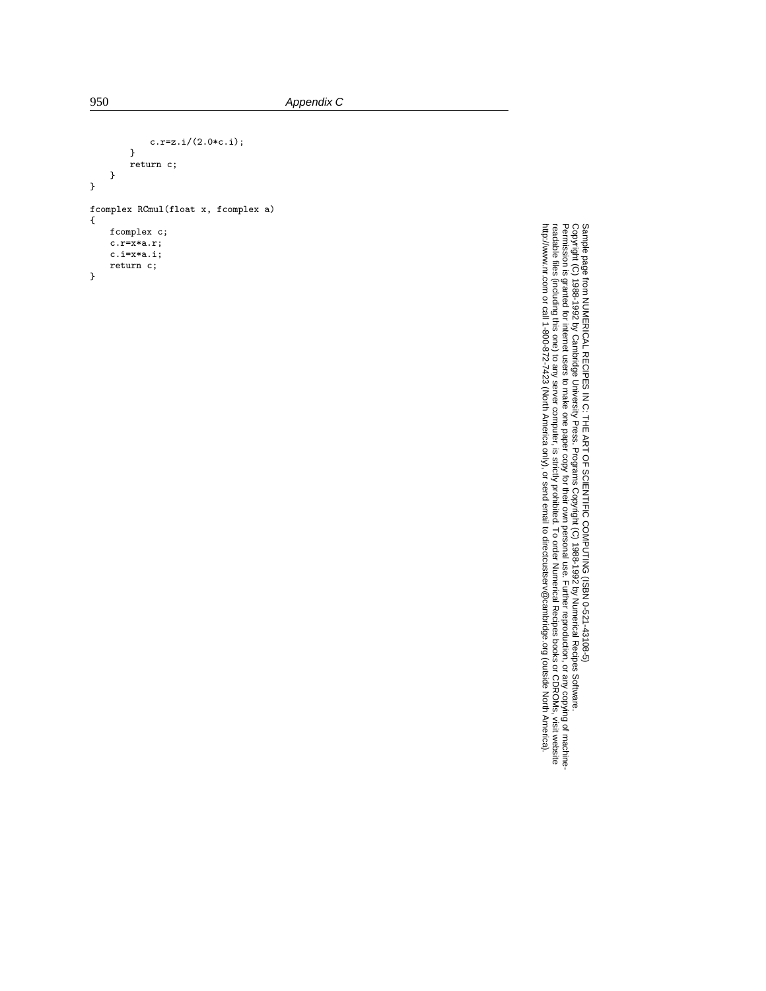```
c.r=z.i/(2.0*c.i);
        }
        return c;
   }
}
fcomplex RCmul(float x, fcomplex a) \{fcomplex c;
    c.r=x*a.r;
    c.i=x*a.i;
    return c;
}
```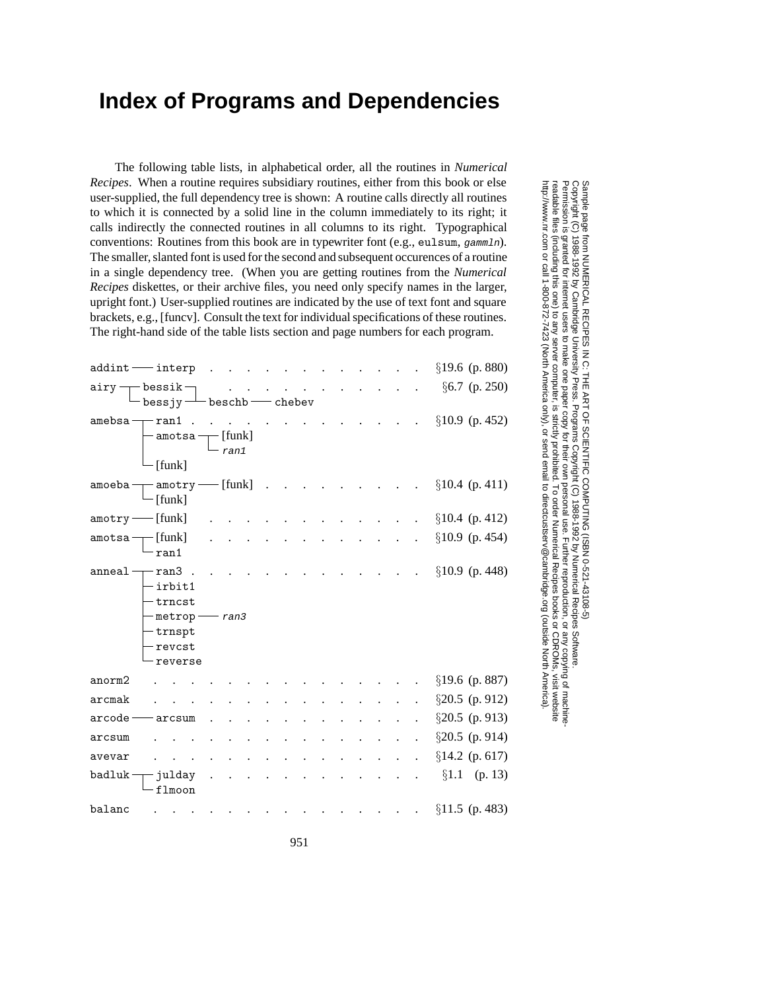### **Index of Programs and Dependencies**

The following table lists, in alphabetical order, all the routines in *Numerical Recipes*. When a routine requires subsidiary routines, either from this book or else user-supplied, the full dependency tree is shown: A routine calls directly all routines to which it is connected by a solid line in the column immediately to its right; it calls indirectly the connected routines in all columns to its right. Typographical conventions: Routines from this book are in typewriter font (e.g., eulsum, gammln). The smaller, slanted font is used for the second and subsequent occurences of a routine in a single dependency tree. (When you are getting routines from the *Numerical Recipes* diskettes, or their archive files, you need only specify names in the larger, upright font.) User-supplied routines are indicated by the use of text font and square brackets, e.g., [funcv]. Consult the text for individual specifications of these routines. The right-hand side of the table lists section and page numbers for each program.

|                                        | addint — interp                                                                      |      |  |  |  |  |  | $§19.6$ (p. 880)   |
|----------------------------------------|--------------------------------------------------------------------------------------|------|--|--|--|--|--|--------------------|
|                                        | airy — bessik —<br>$besgiy$ — beschb — chebev                                        |      |  |  |  |  |  | $§6.7$ (p. 250)    |
| amebsa $\text{---}$ ran1               | -amotsa —— [funk]<br>[funk]                                                          | ranl |  |  |  |  |  | $§10.9$ (p. 452)   |
|                                        | $ameba$ $\overline{\phantom{1}}$ amotry $\overline{\phantom{1}}$ [funk]<br>$-[funk]$ |      |  |  |  |  |  | $\S 10.4$ (p. 411) |
| $amotry$ - [funk]                      |                                                                                      |      |  |  |  |  |  | $§10.4$ (p. 412)   |
| amotsa $\overline{\phantom{a}}$ [funk] | ran1                                                                                 |      |  |  |  |  |  | $§10.9$ (p. 454)   |
| $anneal \rightarrow ran3$              | irbit1<br>trncst<br>$metrop \text{---} ran3$<br>-trnspt<br>revcst<br>reverse         |      |  |  |  |  |  | $§10.9$ (p. 448)   |
| anorm2                                 |                                                                                      |      |  |  |  |  |  | $§19.6$ (p. 887)   |
| arcmak                                 |                                                                                      |      |  |  |  |  |  | $§20.5$ (p. 912)   |
| arcode                                 | arcsum                                                                               |      |  |  |  |  |  | $\S 20.5$ (p. 913) |
| arcsum                                 |                                                                                      |      |  |  |  |  |  | $\S 20.5$ (p. 914) |
| avevar                                 |                                                                                      |      |  |  |  |  |  | $§14.2$ (p. 617)   |
| badluk <sup>-</sup>                    | julday<br>flmoon                                                                     |      |  |  |  |  |  | $§1.1$ (p. 13)     |
| balanc                                 |                                                                                      |      |  |  |  |  |  | $\S11.5$ (p. 483)  |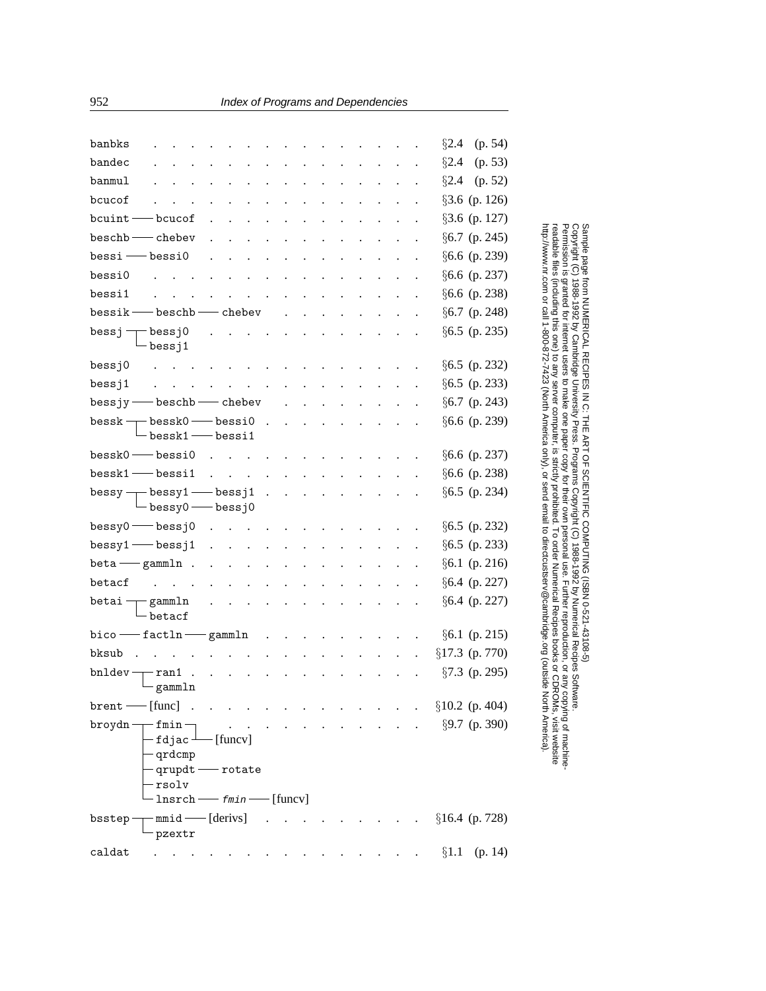| banbks                          |                                                                                                          |                                                                 |                      |  |  |               |  | $\S2.4$<br>(p. 54)            |  |
|---------------------------------|----------------------------------------------------------------------------------------------------------|-----------------------------------------------------------------|----------------------|--|--|---------------|--|-------------------------------|--|
| bandec                          |                                                                                                          |                                                                 |                      |  |  |               |  | §2.4<br>(p. 53)               |  |
| banmul                          |                                                                                                          |                                                                 |                      |  |  |               |  | (p. 52)<br>$\S2.4$            |  |
| bcucof                          |                                                                                                          |                                                                 |                      |  |  |               |  | $§3.6$ (p. 126)               |  |
| bcuint                          | - bcucof                                                                                                 |                                                                 |                      |  |  |               |  | $§3.6$ (p. 127)               |  |
| beschb                          | - chebev                                                                                                 |                                                                 |                      |  |  |               |  | $\S6.7$ (p. 245)              |  |
| bessi                           | — bessi0                                                                                                 |                                                                 |                      |  |  |               |  | $§6.6$ (p. 239)               |  |
| bessi0                          |                                                                                                          |                                                                 |                      |  |  |               |  | $§6.6$ (p. 237)               |  |
| bessi1                          | $\cdot$                                                                                                  | $\ddot{\phantom{a}}$<br>$\sim$ $\sim$                           | $\sim$ $\sim$        |  |  |               |  | $§6.6$ (p. 238)               |  |
|                                 | bessik - beschb - chebev                                                                                 |                                                                 |                      |  |  |               |  | $\S6.7$ (p. 248)              |  |
| $besg$ $\overline{\phantom{a}}$ | -bessj0<br>bessj1                                                                                        | $\sim$                                                          | $\sim$               |  |  |               |  | $§6.5$ (p. 235)               |  |
| bessj0                          |                                                                                                          |                                                                 |                      |  |  |               |  | $§6.5$ (p. 232)               |  |
| bessj1                          | $\mathbf{r} = \mathbf{r} + \mathbf{r}$                                                                   | and the contract of<br>$\sim$ $\sim$<br>$\sim$                  |                      |  |  |               |  | $§6.5$ (p. 233)               |  |
|                                 | bessjy — beschb — chebev                                                                                 |                                                                 |                      |  |  |               |  | $\S6.7$ (p. 243)              |  |
| besck                           | - bessk0 - bessi0                                                                                        |                                                                 |                      |  |  | $\sim$ $\sim$ |  | $§6.6$ (p. 239)               |  |
|                                 | $-bessk1$ bessil                                                                                         |                                                                 |                      |  |  |               |  |                               |  |
|                                 | $bessk0$ — $bessi0$                                                                                      |                                                                 |                      |  |  |               |  | $§6.6$ (p. 237)               |  |
|                                 | $bessk1$ bessi1                                                                                          | $\mathbf{1}$ and $\mathbf{1}$ and $\mathbf{1}$ and $\mathbf{1}$ |                      |  |  |               |  | $§6.6$ (p. 238)               |  |
| $besy -$                        | – bessy1 —— bessj1                                                                                       |                                                                 | $\ddot{\phantom{a}}$ |  |  |               |  | $§6.5$ (p. 234)               |  |
|                                 | -bessy0 — bessj0                                                                                         |                                                                 |                      |  |  |               |  |                               |  |
|                                 | $besgy0$ $-$ bessj0                                                                                      |                                                                 |                      |  |  |               |  | $§6.5$ (p. 232)               |  |
|                                 | $bessy1$ $-$ bessj1                                                                                      |                                                                 |                      |  |  |               |  | $§6.5$ (p. 233)               |  |
|                                 | $beta \longrightarrow gamma$ m.                                                                          |                                                                 |                      |  |  |               |  | $§6.1$ (p. 216)               |  |
| betacf                          | <b>Contract Contract Contract</b>                                                                        |                                                                 |                      |  |  |               |  | $§6.4$ (p. 227)               |  |
| betai –                         | ┬ gammln<br>-betacf                                                                                      |                                                                 |                      |  |  |               |  | $§6.4$ (p. 227)               |  |
|                                 | $bico$ - factln - gammln                                                                                 |                                                                 |                      |  |  |               |  | $§6.1$ (p. 215)               |  |
| bksub                           |                                                                                                          |                                                                 |                      |  |  |               |  | $\S 17.3$ (p. 770)            |  |
| $bn$ ldev $-$                   | $\bm{{\sf r}}$ ran1<br>$\ddot{\phantom{a}}$<br>$-$ gammln                                                |                                                                 |                      |  |  |               |  | $\S 7.3$ (p. 295)             |  |
|                                 | $brent$ [func]                                                                                           |                                                                 | $\sim$ $-$           |  |  |               |  | $\frac{1}{2}$ (p. 404)        |  |
|                                 | broydn $\top$ fmin $\neg$                                                                                |                                                                 |                      |  |  |               |  | §9.7 (p. 390)                 |  |
|                                 | -fdjac — [funcv]                                                                                         |                                                                 |                      |  |  |               |  |                               |  |
|                                 | -qrdcmp                                                                                                  | - - - - - - - - - rotate<br>- qrupdt - - rotate                 |                      |  |  |               |  |                               |  |
|                                 | rsolv                                                                                                    |                                                                 |                      |  |  |               |  |                               |  |
|                                 |                                                                                                          | -rsolv<br>-lnsrch — fmin — [funcv]                              |                      |  |  |               |  |                               |  |
|                                 | $\texttt{b} \texttt{s}$ step $\textcolor{red}{\textbf{--}}$ mmid $\textcolor{red}{\textbf{--}}$ [derivs] |                                                                 |                      |  |  |               |  | $\frac{1}{2}$ \[16.4 (p. 728) |  |
|                                 | - pzextr                                                                                                 |                                                                 |                      |  |  |               |  |                               |  |
| caldat                          |                                                                                                          |                                                                 |                      |  |  |               |  | $§1.1$ (p. 14)                |  |

Permission is granted for internet users to make one paper copy for their own personal use. Further reproduction, or any copyin

computer, is strictly prohibited. To order Numerical Recipes books

or send email to directcustserv@cambridge.org (outside North America).

Sample page from NUMERICAL RECIPES IN C: THE ART OF SCIENTIFIC COMPUTING (ISBN 0-521-43108-5)

Programs Copyright (C) 1988-1992 by Numerical Recipes Software.

g of machine-

or CDROMs, visit website

Copyright (C) 1988-1992 by Cambridge University Press.

readable files (including this one) to any server

http://www.nr.com or call 1-800-872-7423 (North America only),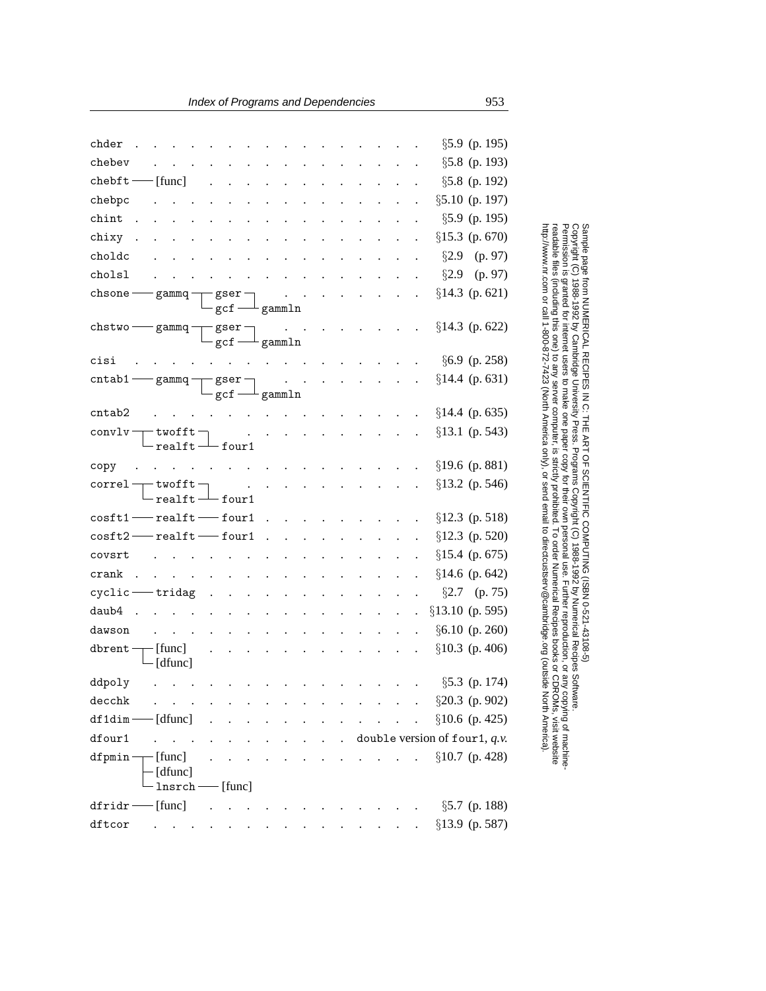| chder                       |                                                                          |                                                    |                      |           |                      |  |                                                                                            |                                              |                                     | $§5.9$ (p. 195)    |
|-----------------------------|--------------------------------------------------------------------------|----------------------------------------------------|----------------------|-----------|----------------------|--|--------------------------------------------------------------------------------------------|----------------------------------------------|-------------------------------------|--------------------|
| chebev                      |                                                                          |                                                    |                      |           |                      |  |                                                                                            |                                              |                                     | $§5.8$ (p. 193)    |
| $chebt$ —                   | $-[func]$                                                                |                                                    |                      |           |                      |  |                                                                                            |                                              |                                     | $§5.8$ (p. 192)    |
| chebpc                      |                                                                          |                                                    |                      |           |                      |  |                                                                                            |                                              |                                     | $§5.10$ (p. 197)   |
| chint                       |                                                                          |                                                    |                      |           |                      |  |                                                                                            |                                              |                                     | $§5.9$ (p. 195)    |
| chixy                       |                                                                          |                                                    |                      |           |                      |  |                                                                                            |                                              |                                     | $§15.3$ (p. 670)   |
| choldc                      |                                                                          |                                                    |                      |           |                      |  |                                                                                            |                                              | §2.9                                | (p. 97)            |
| cholsl                      |                                                                          |                                                    |                      |           |                      |  |                                                                                            |                                              | §2.9                                | (p. 97)            |
| chsone                      | gammq                                                                    | gser<br>$\text{gcf} \longrightarrow \text{gamma}$  |                      |           |                      |  |                                                                                            |                                              |                                     | $§14.3$ (p. 621)   |
| chstwo-                     | -gammq -                                                                 | -gser<br>$\text{gcf} \longrightarrow \text{gamma}$ |                      |           |                      |  |                                                                                            |                                              |                                     | $§14.3$ (p. 622)   |
| cisi                        |                                                                          |                                                    |                      |           |                      |  |                                                                                            |                                              |                                     | $§6.9$ (p. 258)    |
| $\mathtt{cntab1}$ $-$       | -gammq-                                                                  | – gser<br>$\text{gcf}$ –                           | -gammln              |           |                      |  |                                                                                            |                                              |                                     | $§14.4$ (p. 631)   |
| cntab2                      |                                                                          |                                                    |                      |           |                      |  |                                                                                            |                                              |                                     | $§14.4$ (p. 635)   |
| convlv                      | twofft<br>realft-                                                        | $-$ four $1$                                       |                      |           |                      |  |                                                                                            |                                              |                                     | $§13.1$ (p. 543)   |
| copy                        |                                                                          |                                                    |                      |           |                      |  |                                                                                            |                                              |                                     | $§19.6$ (p. 881)   |
| correl-                     | -twofft<br>realft-                                                       | -four1                                             |                      |           |                      |  |                                                                                            |                                              |                                     | $§13.2$ (p. 546)   |
| cosft1-                     | $-$ realft $-\!\!\!-\!\!\!-\!\!$ four1                                   |                                                    |                      |           |                      |  |                                                                                            |                                              |                                     | $\S 12.3$ (p. 518) |
| $costt2 -$                  | $-$ realft $-$ four1                                                     |                                                    |                      |           |                      |  |                                                                                            |                                              |                                     | $§12.3$ (p. 520)   |
| covsrt                      |                                                                          |                                                    |                      |           |                      |  |                                                                                            |                                              |                                     | $§15.4$ (p. 675)   |
| crank                       |                                                                          |                                                    |                      |           |                      |  |                                                                                            |                                              |                                     | $§14.6$ (p. 642)   |
| $cyclic -$                  | $-$ tridag                                                               |                                                    |                      |           |                      |  |                                                                                            |                                              |                                     | $\S2.7$ (p. 75)    |
| daub4                       |                                                                          |                                                    |                      |           |                      |  |                                                                                            |                                              |                                     | §13.10 (p. 595)    |
| dawson                      |                                                                          |                                                    |                      |           |                      |  |                                                                                            |                                              |                                     | $§6.10$ (p. 260)   |
| dbrent-                     | - [func]<br>[dfunc]                                                      |                                                    |                      |           |                      |  |                                                                                            |                                              |                                     | $\S 10.3$ (p. 406) |
| ddpoly                      |                                                                          |                                                    |                      | $\bullet$ |                      |  |                                                                                            |                                              |                                     | §5.3 (p. 174)      |
| decchk                      |                                                                          |                                                    |                      |           |                      |  |                                                                                            |                                              |                                     | $\S 20.3$ (p. 902) |
| $df1dim$ $\qquad$ $[dfunc]$ |                                                                          |                                                    |                      |           |                      |  |                                                                                            | $\mathbf{r} = \mathbf{r} \cdot \mathbf{r}$ . |                                     | $§10.6$ (p. 425)   |
| dfour1                      | $\mathbf{L} = \mathbf{L}$                                                |                                                    |                      |           |                      |  |                                                                                            |                                              | . double version of four 1, $q.v$ . |                    |
| $dfpmin$ [func]             | - [dfunc]                                                                | $\sim$                                             | $\ddot{\phantom{a}}$ |           | $\ddot{\phantom{0}}$ |  | $\mathbf{r} = \mathbf{r} + \mathbf{r} + \mathbf{r} + \mathbf{r} + \mathbf{r} + \mathbf{r}$ |                                              |                                     | $\S 10.7$ (p. 428) |
|                             | - lnsrch - [func]                                                        |                                                    |                      |           |                      |  |                                                                                            |                                              |                                     |                    |
| $dfridr$ - [func]           |                                                                          | $\ddot{\phantom{a}}$                               |                      |           |                      |  |                                                                                            |                                              |                                     | $\S 5.7$ (p. 188)  |
| dftcor                      | $\mathcal{L}^{\text{max}}$<br>$\mathbf{r} = \mathbf{r} \cdot \mathbf{r}$ |                                                    |                      |           |                      |  |                                                                                            |                                              |                                     | $§13.9$ (p. 587)   |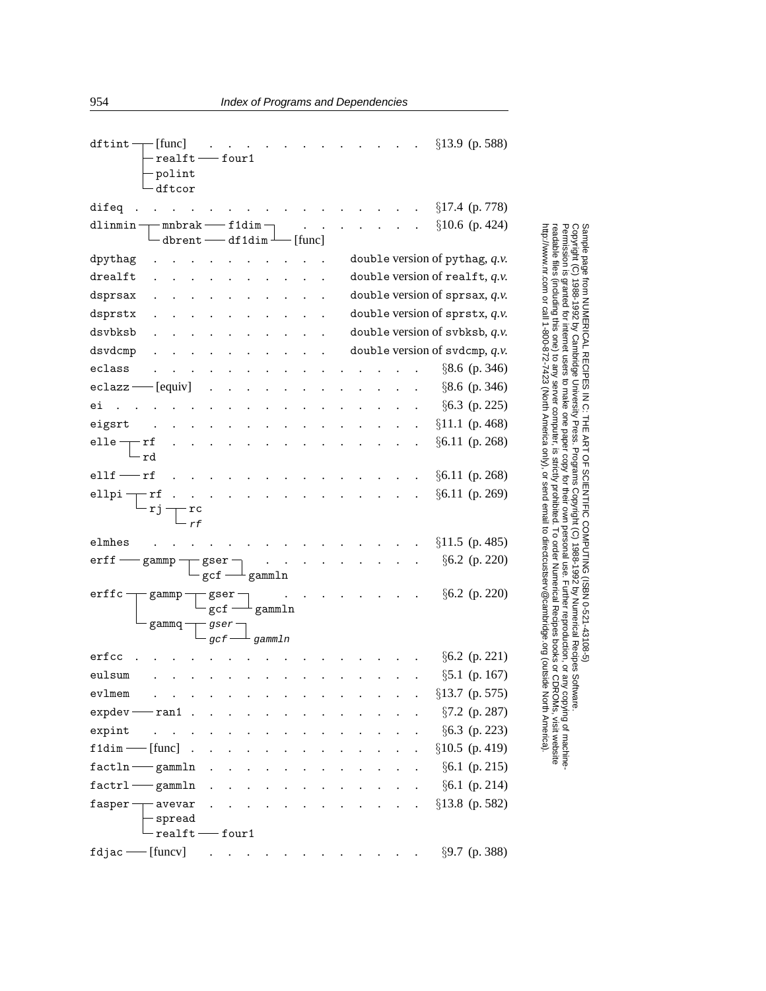| $\text{dftint} -$              | – [func]                                     |         |        |           |                |          |  |                                       |  |  | $§13.9$ (p. 588)                  |
|--------------------------------|----------------------------------------------|---------|--------|-----------|----------------|----------|--|---------------------------------------|--|--|-----------------------------------|
|                                | $realft$ -four1                              |         |        |           |                |          |  |                                       |  |  |                                   |
|                                | polint                                       |         |        |           |                |          |  |                                       |  |  |                                   |
|                                | dftcor                                       |         |        |           |                |          |  |                                       |  |  |                                   |
| difeq                          |                                              |         |        |           |                |          |  |                                       |  |  | $\S 17.4$ (p. 778)                |
| dlinmin-                       | $-$ mnbrak $-$ f1dim                         |         |        |           |                |          |  |                                       |  |  | $§10.6$ (p. 424)                  |
|                                | $d$ brent $-$                                |         |        | -df1dim - |                | - [func] |  |                                       |  |  |                                   |
| dpythag                        |                                              |         |        |           |                |          |  |                                       |  |  | double version of pythag, $q.v.$  |
| drealft                        |                                              |         |        |           |                |          |  |                                       |  |  | double version of realft, $q.v.$  |
| dsprsax                        |                                              |         |        |           |                |          |  |                                       |  |  | double version of sprsax, $q.v$ . |
| dsprstx                        |                                              |         |        |           |                |          |  |                                       |  |  | double version of sprstx, $q.v.$  |
| dsvbksb                        |                                              |         |        |           |                |          |  |                                       |  |  | double version of sybksb, $q.v$ . |
| dsvdcmp                        |                                              |         |        |           |                |          |  |                                       |  |  | double version of svdcmp, $q.v$ . |
| eclass                         |                                              |         |        |           |                |          |  |                                       |  |  | $\S 8.6$ (p. 346)                 |
| $eclazz$ [equiv]               |                                              |         |        |           |                |          |  |                                       |  |  | $\S 8.6$ (p. 346)                 |
| ei<br>$\sim$                   |                                              |         |        |           |                |          |  |                                       |  |  | $§6.3$ (p. 225)                   |
| eigsrt                         |                                              |         |        |           |                |          |  |                                       |  |  | $§11.1$ (p. 468)                  |
| elle $\neg$ rf                 |                                              | $\cdot$ |        |           |                |          |  |                                       |  |  | $§6.11$ (p. 268)                  |
| $ell = rf$                     | rd                                           |         |        |           |                |          |  |                                       |  |  | $\S 6.11$ (p. 268)                |
| ellpi $\overline{\phantom{a}}$ | – rf                                         |         |        |           |                |          |  |                                       |  |  | $§6.11$ (p. 269)                  |
|                                |                                              |         |        |           |                |          |  |                                       |  |  |                                   |
|                                | $\mathbf{r}$ j — rc                          | rf      |        |           |                |          |  |                                       |  |  |                                   |
| elmhes                         |                                              |         |        |           |                |          |  |                                       |  |  | $§11.5$ (p. 485)                  |
| $erff$ - gammp-                |                                              |         | -gser  |           |                |          |  |                                       |  |  | $§6.2$ (p. 220)                   |
|                                |                                              |         |        |           | -gcf —⊥gammln  |          |  |                                       |  |  |                                   |
| $\texttt{erfic}$ –             | $-$ gammp $-$                                |         | – gser |           |                |          |  |                                       |  |  | $§6.2$ (p. 220)                   |
|                                |                                              |         |        |           | -gcf —— gammln |          |  |                                       |  |  |                                   |
|                                | $gamma \rightarrow s$                        |         |        |           |                |          |  |                                       |  |  |                                   |
|                                |                                              |         |        |           | $-gcf$ gammln  |          |  |                                       |  |  |                                   |
| erfcc                          |                                              |         |        |           |                |          |  |                                       |  |  | §6.2(p. 221)                      |
| eulsum                         |                                              |         |        |           |                |          |  |                                       |  |  | $\S 5.1$ (p. 167)                 |
| evlmem                         | $\ddot{\phantom{0}}$<br>$\ddot{\phantom{a}}$ |         |        |           |                |          |  |                                       |  |  | $§13.7$ (p. 575)                  |
| $expdev$ $-$ ran1              |                                              |         |        |           |                |          |  |                                       |  |  | $\S 7.2$ (p. 287)                 |
| expint                         | $\sim 100$                                   |         |        |           |                |          |  |                                       |  |  | $§6.3$ (p. 223)                   |
| $f1dim$ $\qquad$ [func]        |                                              |         |        |           |                |          |  |                                       |  |  | $§10.5$ (p. 419)                  |
| $factor1n$ - gammln            |                                              |         |        |           |                |          |  |                                       |  |  | $§6.1$ (p. 215)                   |
| $factor1$ - gammln             |                                              |         |        |           |                |          |  |                                       |  |  | $§6.1$ (p. 214)                   |
| fasper-                        | -avevar                                      |         |        |           |                |          |  |                                       |  |  | $§13.8$ (p. 582)                  |
|                                | spread<br>$realft$ -four1                    |         |        |           |                |          |  |                                       |  |  |                                   |
| $fdjac$ - [funcv]              |                                              |         |        |           |                |          |  |                                       |  |  | $\S9.7$ (p. 388)                  |
|                                |                                              |         |        |           |                |          |  | والمتابع المتابعات والمتابع المتابعات |  |  |                                   |

Permission is granted for internet users to make one paper copy for their own personal use. Further reproduction, or any copyin Copyright (C) 1988-1992 by Cambridge University Press.Programs Copyright (C) 1988-1992 by Numerical Recipes Software. Sample page from NUMERICAL RECIPES IN C: THE ART OF SCIENTIFIC COMPUTING (ISBN 0-521-43108-5) g of machinereadable files (including this one) to any servercomputer, is strictly prohibited. To order Numerical Recipes booksor CDROMs, visit website

http://www.nr.com or call 1-800-872-7423 (North America only),

or send email to directcustserv@cambridge.org (outside North America).

954 Index of Programs and Dependencies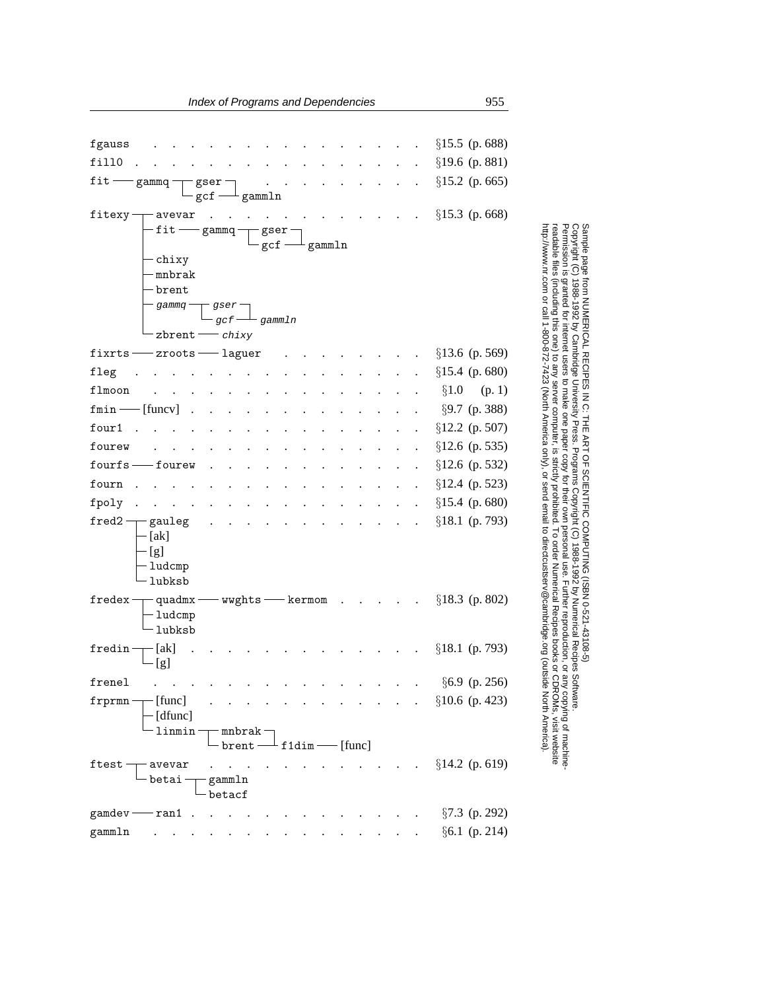| fgauss                  |                                                           |                                                             |                                                   |  |                                                   |  | $\S 15.5$ (p. 688) |
|-------------------------|-----------------------------------------------------------|-------------------------------------------------------------|---------------------------------------------------|--|---------------------------------------------------|--|--------------------|
| fill0                   |                                                           |                                                             |                                                   |  |                                                   |  | $\S 19.6$ (p. 881) |
| fit -                   | - gammq -                                                 | gser<br>$\gcd$ - gammln                                     |                                                   |  |                                                   |  | $§15.2$ (p. 665)   |
| ${\tt fitexy}$ $-$      | – avevar<br>$fit$ - gammq-<br>- chixy<br>-mnbrak<br>brent |                                                             | gser<br>$\text{gcf} \longrightarrow \text{gamma}$ |  |                                                   |  | $\S 15.3$ (p. 668) |
|                         | gammq —                                                   | gser<br>$gcf$ gammln<br>$z$ brent — $chixy$                 |                                                   |  |                                                   |  |                    |
|                         | fixrts - zroots - laguer                                  |                                                             |                                                   |  |                                                   |  | $§13.6$ (p. 569)   |
| fleg                    |                                                           |                                                             |                                                   |  |                                                   |  | §15.4 (p. 680)     |
| flmoon                  |                                                           |                                                             |                                                   |  |                                                   |  | $§1.0$ (p. 1)      |
| $fmin$ - [funcv]        |                                                           |                                                             |                                                   |  |                                                   |  | $§9.7$ (p. 388)    |
| four1                   |                                                           |                                                             |                                                   |  |                                                   |  | $§12.2$ (p. 507)   |
| fourew                  | $\sim$ $\sim$ $\sim$                                      |                                                             |                                                   |  |                                                   |  | $§12.6$ (p. 535)   |
|                         | $fourfs$ - fourew                                         |                                                             |                                                   |  |                                                   |  | $\S 12.6$ (p. 532) |
| fourn                   |                                                           |                                                             |                                                   |  |                                                   |  | §12.4 (p. 523)     |
| fpoly.                  |                                                           |                                                             |                                                   |  |                                                   |  | $§15.4$ (p. 680)   |
| $fred2 -$               | – gauleg<br>[ak]<br>[g]<br>-ludcmp<br><b>lubksb</b>       |                                                             |                                                   |  |                                                   |  | $§18.1$ (p. 793)   |
| ${\tt fredex}$ -        | $\overline{\phantom{a}}$ quadmx -<br>-ludcmp<br>-lubksb   | - wwghts - kermom                                           |                                                   |  |                                                   |  | $§18.3$ (p. 802)   |
| fredin-                 | - [ak]<br>[g]                                             |                                                             |                                                   |  |                                                   |  | $§18.1$ (p. 793)   |
| frenel                  |                                                           |                                                             |                                                   |  |                                                   |  | $\S6.9$ (p. 256)   |
| $f$ rprmn $\top$ [func] | - [dfunc]                                                 | $-$ linmin $+$ mnbrak $-$<br>$-$ brent $-$ f1dim $-$ [func] |                                                   |  | $\mathcal{L}$ and $\mathcal{L}$ and $\mathcal{L}$ |  | $$10.6$ (p. 423)   |
| ftest-                  |                                                           |                                                             |                                                   |  |                                                   |  | $§14.2$ (p. 619)   |
|                         | avevar.<br>$beta = \frac{1}{2}$                           | betacf                                                      |                                                   |  |                                                   |  |                    |
|                         | $\text{gamdev}$ $\text{ran1}$ .                           |                                                             |                                                   |  |                                                   |  | $\S 7.3$ (p. 292)  |
|                         | gammln                                                    |                                                             |                                                   |  |                                                   |  | $§6.1$ (p. 214)    |

Permission is granted for internet users to make one paper copy for their own personal use. Further reproduction, or any copyin

computer, is strictly prohibited. To order Numerical Recipes books

or send email to directcustserv@cambridge.org (outside North America).

Sample page from NUMERICAL RECIPES IN C: THE ART OF SCIENTIFIC COMPUTING (ISBN 0-521-43108-5)

Programs Copyright (C) 1988-1992 by Numerical Recipes Software.

g of machine-

or CDROMs, visit website

Copyright (C) 1988-1992 by Cambridge University Press.

readable files (including this one) to any server

http://www.nr.com or call 1-800-872-7423 (North America only),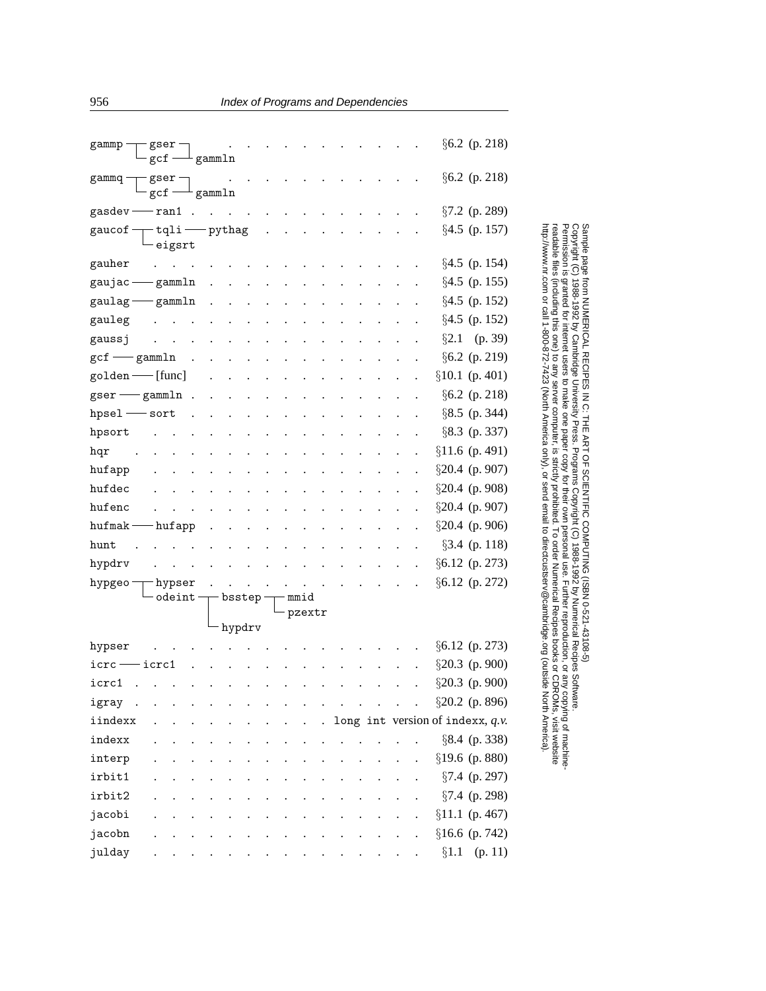| gammp —— gser-                     | $-\text{gcf} \longrightarrow \text{gamma}$                  |                  |          |  |       |           |         |                           |        |      | $§6.2$ (p. 218)                     |  |
|------------------------------------|-------------------------------------------------------------|------------------|----------|--|-------|-----------|---------|---------------------------|--------|------|-------------------------------------|--|
| $gamma$ gser $\neg$                | $\mathsf{L}_{\text{gcf}} \mathsf{L}_{\text{gamma}}$         |                  |          |  |       |           |         |                           |        |      | $\S 6.2$ (p. 218)                   |  |
|                                    | $gasdev$ $ ran1$                                            |                  |          |  |       |           |         |                           |        |      | $\S 7.2$ (p. 289)                   |  |
|                                    | $gaucof$ $\frac{1}{1}$ tqli $\frac{1}{1}$ pythag<br>-eigsrt |                  |          |  |       |           |         |                           |        |      | $§4.5$ (p. 157)                     |  |
| gauher                             |                                                             |                  |          |  |       |           |         |                           |        |      | $§4.5$ (p. 154)                     |  |
|                                    | gaujac —— gammln                                            |                  |          |  |       |           |         |                           |        |      | $§4.5$ (p. 155)                     |  |
| gaulag — gammln                    |                                                             |                  |          |  |       |           |         |                           |        |      | $§4.5$ (p. 152)                     |  |
| gauleg                             |                                                             |                  |          |  |       |           |         |                           |        |      | $§4.5$ (p. 152)                     |  |
| gaussj                             | $\mathcal{L}(\mathbf{A})$ and $\mathcal{L}(\mathbf{A})$     |                  |          |  |       |           |         |                           |        |      | $\S2.1$ (p. 39)                     |  |
| $\gcd$ - gammln                    | $\sim 10$                                                   |                  |          |  |       |           |         |                           |        |      | $§6.2$ (p. 219)                     |  |
| golden — [func]                    |                                                             | $\sim 100$ $\mu$ |          |  |       |           |         |                           |        |      | $§10.1$ (p. 401)                    |  |
|                                    | $gser$ - $gamm1n$                                           |                  |          |  |       |           |         |                           |        |      | $§6.2$ (p. 218)                     |  |
| $hpsel$ - sort                     |                                                             |                  |          |  |       |           |         |                           |        |      | $§8.5$ (p. 344)                     |  |
| hpsort                             |                                                             |                  |          |  |       | $\bullet$ |         |                           |        |      | $§8.3$ (p. 337)                     |  |
| hqr                                |                                                             |                  |          |  |       |           |         |                           |        |      | $§11.6$ (p. 491)                    |  |
| hufapp                             |                                                             |                  |          |  |       |           |         |                           |        |      | $\S 20.4$ (p. 907)                  |  |
| hufdec                             |                                                             |                  |          |  |       |           |         |                           |        |      | $\S 20.4$ (p. 908)                  |  |
| hufenc                             |                                                             |                  |          |  |       |           |         |                           |        |      | $\S 20.4$ (p. 907)                  |  |
| hufmak — hufapp                    |                                                             |                  |          |  |       |           |         |                           |        |      | $\S 20.4$ (p. 906)                  |  |
| hunt                               |                                                             |                  |          |  |       | $\cdot$   |         |                           |        |      | $§3.4$ (p. 118)                     |  |
| hypdrv                             | $\bullet$ . The second contribution of $\bullet$            |                  |          |  |       |           |         |                           |        |      | $§6.12$ (p. 273)                    |  |
| hypgeo –                           | – hypser                                                    |                  |          |  |       |           |         |                           |        |      | $\S 6.12$ (p. 272)                  |  |
|                                    | $odeint - 10$ bsstep -                                      |                  |          |  | -mmid |           |         |                           |        |      |                                     |  |
|                                    |                                                             |                  |          |  |       | - pzextr  |         |                           |        |      |                                     |  |
|                                    |                                                             |                  | - hypdrv |  |       |           |         |                           |        |      |                                     |  |
| hypser                             |                                                             |                  |          |  |       |           |         |                           |        |      | $§6.12$ (p. 273)                    |  |
| $\texttt{icrc}$ — $\texttt{icrc1}$ |                                                             |                  |          |  |       |           |         |                           |        |      | $\S 20.3$ (p. 900)                  |  |
| icrc1                              |                                                             |                  |          |  |       |           |         |                           |        |      | $\S 20.3$ (p. 900)                  |  |
| igray                              |                                                             |                  |          |  |       |           |         | $\mathbf{L}^{\text{max}}$ | $\Box$ |      | $\S 20.2$ (p. 896)                  |  |
| iindexx                            |                                                             |                  |          |  |       |           |         |                           |        |      | long int version of indexx, $q.v$ . |  |
| indexx                             |                                                             |                  |          |  |       |           | $\cdot$ |                           |        |      | $§8.4$ (p. 338)                     |  |
| interp                             |                                                             |                  |          |  |       |           |         |                           |        |      | $§19.6$ (p. 880)                    |  |
| irbit1                             |                                                             |                  |          |  |       |           |         |                           |        |      | $§7.4$ (p. 297)                     |  |
| irbit2                             |                                                             |                  |          |  |       |           |         |                           |        |      | $§7.4$ (p. 298)                     |  |
| jacobi                             |                                                             |                  |          |  |       |           |         |                           |        |      | $§11.1$ (p. 467)                    |  |
| jacobn                             |                                                             |                  |          |  |       |           |         |                           |        |      | $§16.6$ (p. 742)                    |  |
| julday                             |                                                             |                  |          |  |       |           |         |                           |        | §1.1 | (p. 11)                             |  |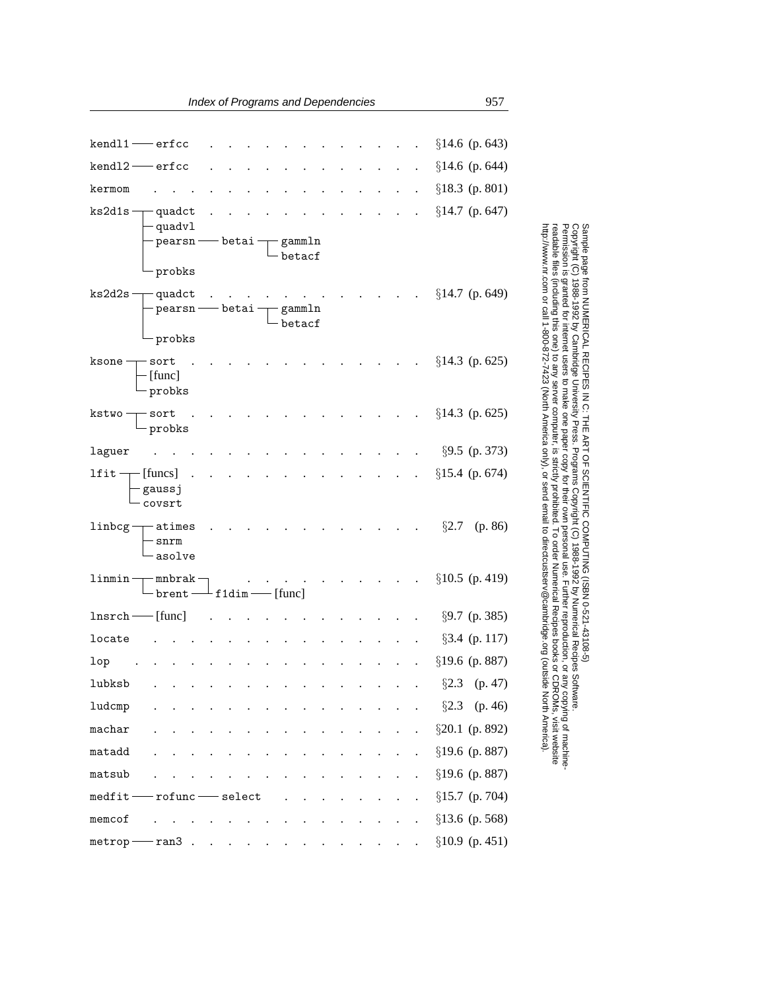|                      |                                                                                                                       | maox or ringramo ana Boponaonoros |                 |               |                |  |                                   |  |                         |                                                                                                                                                                                                                                   |
|----------------------|-----------------------------------------------------------------------------------------------------------------------|-----------------------------------|-----------------|---------------|----------------|--|-----------------------------------|--|-------------------------|-----------------------------------------------------------------------------------------------------------------------------------------------------------------------------------------------------------------------------------|
|                      |                                                                                                                       |                                   |                 |               |                |  |                                   |  |                         |                                                                                                                                                                                                                                   |
|                      | $kend11$ - erfcc                                                                                                      |                                   |                 |               |                |  |                                   |  |                         | $§14.6$ (p. 643)                                                                                                                                                                                                                  |
|                      | $kend12$ - erfcc                                                                                                      |                                   |                 |               |                |  | <b>Contract Contract Contract</b> |  |                         |                                                                                                                                                                                                                                   |
| kermom               |                                                                                                                       |                                   |                 |               |                |  |                                   |  |                         | $\frac{1}{2}$ \[\, \] \] \] \] \[\, \] \] \] \] \[\, \] \] \[\, \] \] \] \[\, \] \] \[\, \] \] \] \[\, \] \] \] \] \[\, \] \] \] \] \[\, \] \] \] \] \] \[\, \] \] \] \] \] \] \[\, \] \] \] \] \] \] \] \] \[\, \] \] \] \] \] \ |
|                      | $ks2d1s - quadct$                                                                                                     |                                   |                 |               |                |  |                                   |  | $\sim 100$              | $§14.7$ (p. 647)                                                                                                                                                                                                                  |
|                      | – quadvl                                                                                                              |                                   |                 |               |                |  |                                   |  |                         |                                                                                                                                                                                                                                   |
|                      | pearsn - betai - gammln<br>hetacf                                                                                     |                                   |                 |               | $-\text{beta}$ |  |                                   |  |                         |                                                                                                                                                                                                                                   |
|                      | - probks                                                                                                              |                                   |                 |               |                |  |                                   |  |                         |                                                                                                                                                                                                                                   |
|                      | $\text{ks2d2s}$ -quadct                                                                                               |                                   |                 |               |                |  |                                   |  |                         | $§14.7$ (p. 649)                                                                                                                                                                                                                  |
|                      | pearsn --- betai --- gammln<br>betacf                                                                                 |                                   |                 |               |                |  |                                   |  |                         |                                                                                                                                                                                                                                   |
|                      | - probks                                                                                                              |                                   |                 |               |                |  |                                   |  |                         |                                                                                                                                                                                                                                   |
| $\,$ ksone $\,$ $\,$ | – sort                                                                                                                |                                   |                 |               |                |  |                                   |  |                         | $§14.3$ (p. 625)                                                                                                                                                                                                                  |
|                      | – [func]<br>– probks                                                                                                  |                                   |                 |               |                |  |                                   |  |                         |                                                                                                                                                                                                                                   |
|                      |                                                                                                                       |                                   |                 |               |                |  |                                   |  |                         | $\frac{1}{2}$ \[14.3 (p. 625)                                                                                                                                                                                                     |
|                      | $\xspace\texttt{kstwo} \xrightarrow[]{} \texttt{sort} \quad.$                                                         |                                   |                 |               |                |  |                                   |  |                         |                                                                                                                                                                                                                                   |
| laguer               |                                                                                                                       |                                   |                 |               |                |  |                                   |  |                         | . $\S9.5$ (p. 373)                                                                                                                                                                                                                |
|                      | $1$ fit $\top$ [funcs].                                                                                               |                                   |                 |               |                |  |                                   |  |                         | $\frac{15.4}{15.4}$ (p. 674)                                                                                                                                                                                                      |
|                      | ├─ gaussj<br>- covsrt                                                                                                 |                                   |                 |               |                |  |                                   |  |                         |                                                                                                                                                                                                                                   |
|                      | $\frac{1}{\sqrt{1}}$ atimes                                                                                           |                                   |                 |               |                |  |                                   |  |                         | $\S2.7$ (p. 86)                                                                                                                                                                                                                   |
|                      | - snrm<br>-asolve                                                                                                     |                                   |                 |               |                |  |                                   |  |                         |                                                                                                                                                                                                                                   |
|                      | $\limmin$ $\frac{ }{\longrightarrow}$ mnbrak $\frac{ }{\longrightarrow}$                                              |                                   |                 |               |                |  |                                   |  | $\sim 100$ km s $^{-1}$ | $§10.5$ (p. 419)                                                                                                                                                                                                                  |
|                      | $\Box$ brent $\Box$ f1dim $\Box$ [func]                                                                               |                                   |                 |               |                |  |                                   |  |                         |                                                                                                                                                                                                                                   |
|                      | $\text{Insrch}$ [func]                                                                                                |                                   |                 |               |                |  |                                   |  |                         | . $§9.7$ (p. 385)                                                                                                                                                                                                                 |
| locate               |                                                                                                                       |                                   |                 |               |                |  |                                   |  |                         | $.$ §3.4 (p. 117)                                                                                                                                                                                                                 |
| lop                  | المنافس والمستنقل والمستنقل والمستنقل والمستنقل والمستنقل والمستنقل والمستنقل والمستنقل والمستنقل والمستنقل والمستنقل |                                   |                 |               |                |  |                                   |  |                         | $§19.6$ (p. 887)                                                                                                                                                                                                                  |
| lubksb               |                                                                                                                       |                                   |                 |               |                |  |                                   |  |                         | $\S 2.3$<br>(p. 47)                                                                                                                                                                                                               |
| ludcmp               |                                                                                                                       |                                   |                 |               |                |  |                                   |  |                         | $\S 2.3$<br>(p. 46)                                                                                                                                                                                                               |
| machar               |                                                                                                                       |                                   |                 |               |                |  |                                   |  |                         | $\S 20.1$ (p. 892)                                                                                                                                                                                                                |
| matadd               |                                                                                                                       |                                   |                 |               |                |  |                                   |  |                         | $§19.6$ (p. 887)                                                                                                                                                                                                                  |
| matsub               |                                                                                                                       |                                   | $\sim$ 10 $\pm$ |               |                |  |                                   |  |                         | $§19.6$ (p. 887)                                                                                                                                                                                                                  |
| $medfit$ –           | -rofunc - select                                                                                                      |                                   |                 |               |                |  |                                   |  |                         | $§15.7$ (p. 704)                                                                                                                                                                                                                  |
| memcof               | $\sim$ $\sim$ $\sim$                                                                                                  |                                   |                 | $\sim$ $\sim$ |                |  |                                   |  |                         | $§13.6$ (p. 568)                                                                                                                                                                                                                  |
|                      | $metrop$ $-$ rand $\ldots$ .                                                                                          |                                   | $\bullet$ .     | $\bullet$     | $\bullet$ .    |  | $\cdot$                           |  | $\ddot{\phantom{0}}$    | $§10.9$ (p. 451)                                                                                                                                                                                                                  |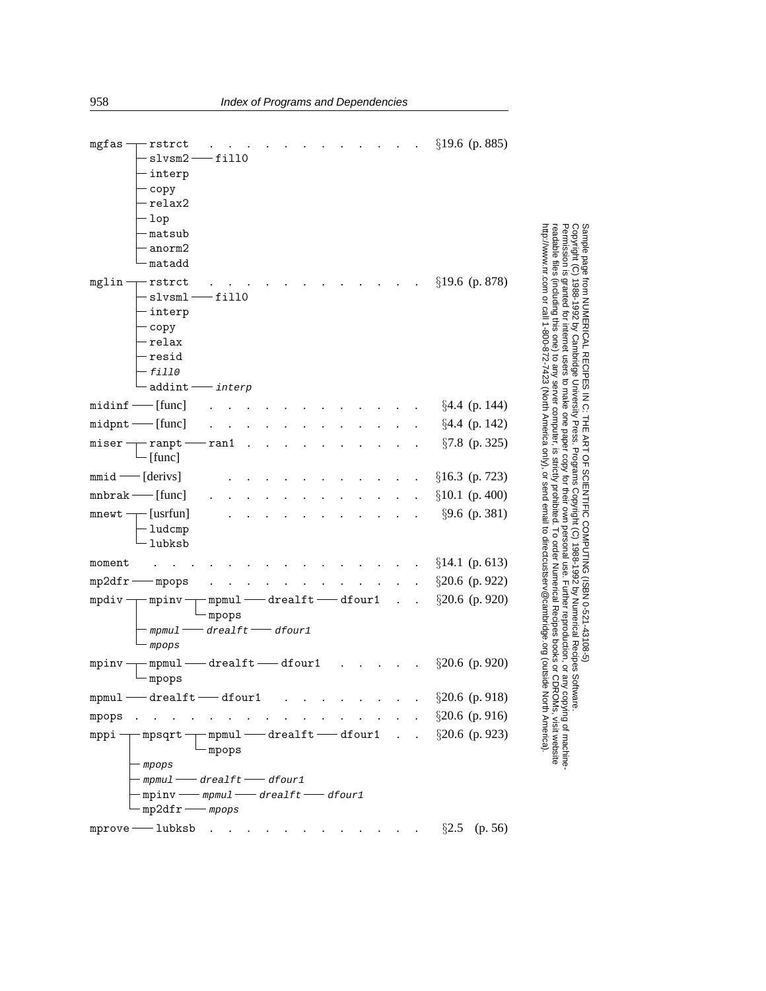| mgfas    | -rstrct<br>slvsm2<br>interp<br>copy<br>relax2<br>lop<br>matsub<br>anorm2<br>matadd                                                                                                                                                              | fill0                                 |  |  |  |                        |  |          | §19.6 (p. 885)                               |                                                                                                                                                                                                              |
|----------|-------------------------------------------------------------------------------------------------------------------------------------------------------------------------------------------------------------------------------------------------|---------------------------------------|--|--|--|------------------------|--|----------|----------------------------------------------|--------------------------------------------------------------------------------------------------------------------------------------------------------------------------------------------------------------|
| mglin-   | - rstrct<br>slvsml-<br>interp<br>copy<br>relax<br>resid<br>fill0<br>addint-                                                                                                                                                                     | fill0<br><i>-interp</i>               |  |  |  |                        |  |          | $§19.6$ (p. 878)                             | http://www.nr.com or call 1-800-872-7423 (North America only), or send email to directcustserv@cambridge.org (outside<br>readable files (including this one) to any server computer, is strictly prohibited. |
|          | $midinf$ - [func]                                                                                                                                                                                                                               |                                       |  |  |  |                        |  |          | $§4.4$ (p. 144)                              |                                                                                                                                                                                                              |
|          | midpnt - [func]                                                                                                                                                                                                                                 |                                       |  |  |  |                        |  |          | $§4.4$ (p. 142)                              |                                                                                                                                                                                                              |
| miser    | -ranpt<br>$-[func]$                                                                                                                                                                                                                             | -ran1                                 |  |  |  |                        |  |          | $\S 7.8$ (p. 325)                            |                                                                                                                                                                                                              |
|          | $mmid$ - [derivs]                                                                                                                                                                                                                               |                                       |  |  |  |                        |  |          | $§16.3$ (p. 723)                             |                                                                                                                                                                                                              |
|          | $mbrak$ $\qquad$ [func]                                                                                                                                                                                                                         |                                       |  |  |  |                        |  |          | $§10.1$ (p. 400)                             |                                                                                                                                                                                                              |
|          | $mewt$ [usrfun]<br>– ludcmp<br>lubksb                                                                                                                                                                                                           |                                       |  |  |  |                        |  |          | $§9.6$ (p. 381)                              |                                                                                                                                                                                                              |
| moment   |                                                                                                                                                                                                                                                 |                                       |  |  |  |                        |  |          | $§14.1$ (p. 613)                             |                                                                                                                                                                                                              |
| mp2dfr   | -mpops                                                                                                                                                                                                                                          |                                       |  |  |  |                        |  |          | $\S 20.6$ (p. 922)                           |                                                                                                                                                                                                              |
| mpdiv-   | mpinv<br>mpmu1<br>mpops                                                                                                                                                                                                                         | mpmul<br>mpops<br>$drealft$ $ dfour1$ |  |  |  | $-$ drealft $-$ dfour1 |  |          | $\S 20.6$ (p. 920)                           | To order Numerical Recipes books or CD                                                                                                                                                                       |
| mpinv    | mpmul<br>mpops                                                                                                                                                                                                                                  | $-$ drealft $-$ dfour1                |  |  |  |                        |  |          | §20.6 (p. 920)                               |                                                                                                                                                                                                              |
|          | mpmul - drealft - dfour1                                                                                                                                                                                                                        |                                       |  |  |  |                        |  |          | $§20.6$ (p. 918)                             |                                                                                                                                                                                                              |
| mpops.   | $\mathbf{a} = \mathbf{a} \times \mathbf{a}$ .                                                                                                                                                                                                   |                                       |  |  |  |                        |  |          | $\S 20.6$ (p. 916)                           |                                                                                                                                                                                                              |
| $mppi -$ | -mpsqrt                                                                                                                                                                                                                                         | mpops                                 |  |  |  |                        |  |          | -mpmul - drealft - dfour1 $\S 20.6$ (p. 923) | ROMs, visit website<br>North America).                                                                                                                                                                       |
|          | mpops<br>mpmul - drealft - dfour1<br>$\mathtt{mpinv} \hspace{-0.25cm}=\hspace{-0.25cm} \mathtt{mpmul} \hspace{-0.25cm} \longrightarrow \hspace{-0.25cm} \mathtt{drealft} \hspace{-0.25cm}=\hspace{-0.25cm} \mathtt{dfour1}$<br>$mp2dfr$ - mpops |                                       |  |  |  |                        |  |          |                                              |                                                                                                                                                                                                              |
|          | mprove — lubksb                                                                                                                                                                                                                                 | $\mathbf{L}^{(1)}$                    |  |  |  |                        |  | $\S 2.5$ | (p. 56)                                      |                                                                                                                                                                                                              |

Permission is granted for internet users to make one paper copy for their own personal use. Further reproduction, or any copyin

Sample page from NUMERICAL RECIPES IN C: THE ART OF SCIENTIFIC COMPUTING (ISBN 0-521-43108-5)

Programs Copyright (C) 1988-1992 by Numerical Recipes Software.

g of machine-

Copyright (C) 1988-1992 by Cambridge University Press.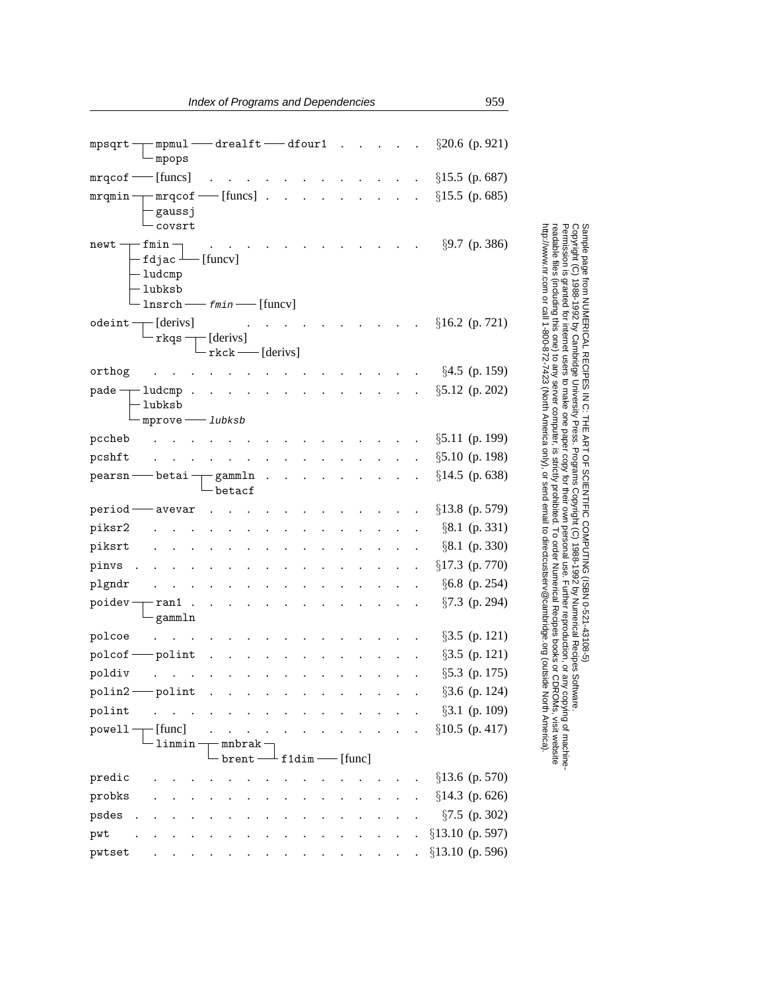| $m$ psqrt $\overline{\phantom{m}}$ | - mpmul -- drealft -- dfour1<br>- mpops                                    |                         |           |  |  |                 |  | $\S 20.6$ (p. 921)                     |
|------------------------------------|----------------------------------------------------------------------------|-------------------------|-----------|--|--|-----------------|--|----------------------------------------|
|                                    | $m$ rqcof $-$ [funcs]                                                      |                         |           |  |  |                 |  | $§15.5$ (p. 687)                       |
| $m$ rq $m$ in $-$                  | $-$ mrqcof $-$ [funcs]<br>-gaussj<br>covsrt                                |                         |           |  |  |                 |  | $§15.5$ (p. 685)                       |
| newt-                              | fmin<br>fdjac — [funcv]<br>-ludcmp<br>-lubksb                              |                         |           |  |  |                 |  | $\S9.7$ (p. 386)                       |
|                                    | $\text{Insrch} \longrightarrow \text{fmin} \longrightarrow [\text{funcv}]$ |                         |           |  |  |                 |  |                                        |
| odeint-                            | $\top$ [derivs]<br>$rkqs$ $\top$ [derivs]                                  | rkck - [derivs]         |           |  |  |                 |  | $§16.2$ (p. 721)                       |
| orthog                             |                                                                            |                         |           |  |  |                 |  | $§4.5$ (p. 159)                        |
| $_{\rm pade}$ $-$                  | -ludcmp .<br>lubksb                                                        |                         |           |  |  |                 |  | $\S 5.12$ (p. 202)                     |
|                                    | $mprove$ $1ubksb$                                                          |                         |           |  |  |                 |  |                                        |
| pccheb<br>pcshft                   |                                                                            |                         |           |  |  |                 |  | $\S 5.11$ (p. 199)<br>$§5.10$ (p. 198) |
|                                    |                                                                            |                         |           |  |  |                 |  | $§14.5$ (p. 638)                       |
| pearsn-                            | -betai —                                                                   | $\top$ gammln<br>betacf |           |  |  |                 |  |                                        |
|                                    | period — avevar                                                            |                         |           |  |  |                 |  | §13.8 (p. 579)                         |
| piksr2                             |                                                                            |                         |           |  |  |                 |  | $§8.1$ (p. 331)                        |
| piksrt                             |                                                                            |                         |           |  |  |                 |  | $§8.1$ (p. 330)                        |
| pinvs                              |                                                                            |                         |           |  |  |                 |  | $§17.3$ (p. 770)                       |
| plgndr                             |                                                                            |                         |           |  |  |                 |  | $§6.8$ (p. 254)                        |
| poidev-                            | -ran1<br>gammln                                                            |                         |           |  |  |                 |  | §7.3 (p. 294)                          |
| polcoe                             |                                                                            |                         |           |  |  |                 |  | $§3.5$ (p. 121)                        |
|                                    | polcof - polint                                                            |                         |           |  |  |                 |  | $\S3.5$ (p. 121)                       |
| poldiv                             | $\ddot{\phantom{0}}$<br>$\sim 10^{-11}$                                    |                         |           |  |  |                 |  | §5.3 (p. 175)                          |
| $p$ olin $2$ –                     | -polint                                                                    |                         |           |  |  |                 |  | $\S3.6$ (p. 124)                       |
| polint                             |                                                                            |                         |           |  |  |                 |  | $\S3.1$ (p. 109)                       |
| powell-                            | [func]                                                                     |                         |           |  |  |                 |  | $§10.5$ (p. 417)                       |
|                                    | linmin-                                                                    |                         | mnbrak-   |  |  |                 |  |                                        |
|                                    |                                                                            |                         | $brent -$ |  |  | $-t1dim$ [func] |  |                                        |
| predic                             |                                                                            |                         |           |  |  |                 |  | $§13.6$ (p. 570)                       |
| probks                             |                                                                            |                         |           |  |  |                 |  | $§14.3$ (p. 626)                       |
| psdes                              |                                                                            |                         |           |  |  |                 |  | $\S 7.5$ (p. 302)                      |
| pwt                                |                                                                            |                         |           |  |  |                 |  | $§13.10$ (p. 597)                      |
| pwtset                             |                                                                            |                         |           |  |  |                 |  | $§13.10$ (p. 596)                      |

Index of Programs and Dependencies 959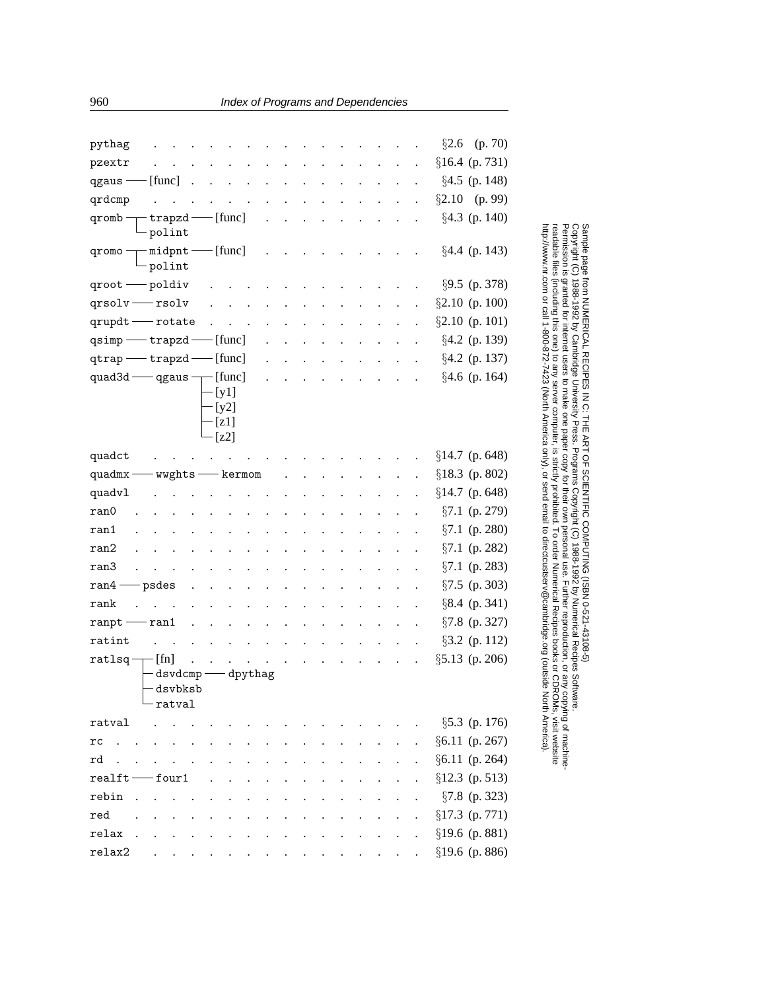| pythag                     |                                                                                                                                                                                                                                                                                                                                                                                                                                                           |               |                          |           |           |               |         |                          |  | $\S2.6$ (p. 70)    |
|----------------------------|-----------------------------------------------------------------------------------------------------------------------------------------------------------------------------------------------------------------------------------------------------------------------------------------------------------------------------------------------------------------------------------------------------------------------------------------------------------|---------------|--------------------------|-----------|-----------|---------------|---------|--------------------------|--|--------------------|
| pzextr                     |                                                                                                                                                                                                                                                                                                                                                                                                                                                           |               |                          |           | $\bullet$ | $\sim$ $\sim$ |         | $\sim$ 100 $\pm$         |  | $§16.4$ (p. 731)   |
| $qgaus$ — [func]           |                                                                                                                                                                                                                                                                                                                                                                                                                                                           |               |                          |           |           |               |         |                          |  | $§4.5$ (p. 148)    |
| qrdcmp                     |                                                                                                                                                                                                                                                                                                                                                                                                                                                           |               |                          |           |           |               |         |                          |  | $\S2.10$ (p. 99)   |
| $qromb -$                  | - trapzd —— [func]                                                                                                                                                                                                                                                                                                                                                                                                                                        |               |                          |           |           |               |         |                          |  | $§4.3$ (p. 140)    |
|                            | -polint                                                                                                                                                                                                                                                                                                                                                                                                                                                   |               |                          |           |           |               |         |                          |  |                    |
|                            | $q$ romo $\overline{\phantom{q}}$ midpnt $\overline{\phantom{q}}$ [func]                                                                                                                                                                                                                                                                                                                                                                                  |               |                          |           |           |               |         |                          |  | $§4.4$ (p. 143)    |
|                            | $-\text{point}$                                                                                                                                                                                                                                                                                                                                                                                                                                           |               |                          |           |           |               |         |                          |  |                    |
|                            | $qroot$ poldiv                                                                                                                                                                                                                                                                                                                                                                                                                                            |               |                          |           |           |               |         |                          |  | $§9.5$ (p. 378)    |
|                            | $qrsolv$ - $rsolv$                                                                                                                                                                                                                                                                                                                                                                                                                                        |               |                          |           |           |               |         |                          |  | $\S2.10$ (p. 100)  |
|                            | $qrupt$ - $rotate$                                                                                                                                                                                                                                                                                                                                                                                                                                        |               |                          |           |           |               |         |                          |  | $\S2.10$ (p. 101)  |
|                            | qsimp - trapzd - [func]                                                                                                                                                                                                                                                                                                                                                                                                                                   |               |                          |           |           |               |         |                          |  | §4.2 (p. 139)      |
|                            | qtrap - trapzd - [func]                                                                                                                                                                                                                                                                                                                                                                                                                                   |               |                          |           |           |               |         |                          |  | $§4.2$ (p. 137)    |
|                            | $quad3d$ $-$ qgaus $-$                                                                                                                                                                                                                                                                                                                                                                                                                                    |               | $-[func]$                |           |           |               |         |                          |  | $§4.6$ (p. 164)    |
|                            |                                                                                                                                                                                                                                                                                                                                                                                                                                                           |               | $-[y1]$<br>$-[y2]$       |           |           |               |         |                          |  |                    |
|                            |                                                                                                                                                                                                                                                                                                                                                                                                                                                           |               | $-[z1]$                  |           |           |               |         |                          |  |                    |
|                            |                                                                                                                                                                                                                                                                                                                                                                                                                                                           |               | [z2]                     |           |           |               |         |                          |  |                    |
| quadct                     |                                                                                                                                                                                                                                                                                                                                                                                                                                                           |               |                          |           |           |               |         |                          |  | $§14.7$ (p. 648)   |
|                            | $quadmx$ $\longrightarrow$ wwghts $\longrightarrow$ kermom                                                                                                                                                                                                                                                                                                                                                                                                |               |                          |           |           |               |         |                          |  | $§18.3$ (p. 802)   |
| quadvl                     |                                                                                                                                                                                                                                                                                                                                                                                                                                                           |               |                          |           |           |               |         |                          |  | §14.7 (p. 648)     |
| ran0                       |                                                                                                                                                                                                                                                                                                                                                                                                                                                           |               |                          |           |           |               |         |                          |  | $\S 7.1$ (p. 279)  |
| ran1                       |                                                                                                                                                                                                                                                                                                                                                                                                                                                           |               |                          |           |           |               |         |                          |  | $\S 7.1$ (p. 280)  |
| ran2                       |                                                                                                                                                                                                                                                                                                                                                                                                                                                           |               |                          |           |           |               |         |                          |  | $\S 7.1$ (p. 282)  |
| ran3                       |                                                                                                                                                                                                                                                                                                                                                                                                                                                           |               |                          |           |           |               |         |                          |  | $\S 7.1$ (p. 283)  |
| $ran4$ — psdes             |                                                                                                                                                                                                                                                                                                                                                                                                                                                           |               |                          |           |           |               |         |                          |  | $\S 7.5$ (p. 303)  |
| $\verb rank $              |                                                                                                                                                                                                                                                                                                                                                                                                                                                           |               |                          |           |           |               |         |                          |  | $§8.4$ (p. 341)    |
| ranpt-                     | — ran1                                                                                                                                                                                                                                                                                                                                                                                                                                                    |               |                          |           |           |               |         |                          |  | $\S 7.8$ (p. 327)  |
| ratint                     | $\mathcal{L}^{\mathcal{L}}(\mathcal{L}^{\mathcal{L}}(\mathcal{L}^{\mathcal{L}}(\mathcal{L}^{\mathcal{L}}(\mathcal{L}^{\mathcal{L}}(\mathcal{L}^{\mathcal{L}}(\mathcal{L}^{\mathcal{L}}(\mathcal{L}^{\mathcal{L}}(\mathcal{L}^{\mathcal{L}}(\mathcal{L}^{\mathcal{L}}(\mathcal{L}^{\mathcal{L}}(\mathcal{L}^{\mathcal{L}}(\mathcal{L}^{\mathcal{L}}(\mathcal{L}^{\mathcal{L}}(\mathcal{L}^{\mathcal{L}}(\mathcal{L}^{\mathcal{L}}(\mathcal{L}^{\mathcal{L$ | $\sim$ $\sim$ | $\sim 1000$ km s $^{-1}$ |           |           |               |         |                          |  | $§3.2$ (p. 112)    |
| ratlsq $\top$ [fn]         |                                                                                                                                                                                                                                                                                                                                                                                                                                                           |               |                          |           |           | $\bullet$     |         | and a state of the state |  | $\S 5.13$ (p. 206) |
|                            | -dsvdcmp —— dpythag                                                                                                                                                                                                                                                                                                                                                                                                                                       |               |                          |           |           |               |         |                          |  |                    |
|                            | -dsvbksb                                                                                                                                                                                                                                                                                                                                                                                                                                                  |               |                          |           |           |               |         |                          |  |                    |
|                            | ratval                                                                                                                                                                                                                                                                                                                                                                                                                                                    |               |                          |           |           |               |         |                          |  |                    |
| ratval                     |                                                                                                                                                                                                                                                                                                                                                                                                                                                           |               |                          |           |           |               |         |                          |  | $\S 5.3$ (p. 176)  |
| rc<br>$\ddot{\phantom{a}}$ |                                                                                                                                                                                                                                                                                                                                                                                                                                                           |               |                          |           |           |               |         |                          |  | $§6.11$ (p. 267)   |
| rd<br>$\sim$               |                                                                                                                                                                                                                                                                                                                                                                                                                                                           |               |                          |           |           |               |         |                          |  | $§6.11$ (p. 264)   |
|                            | $result$ four1                                                                                                                                                                                                                                                                                                                                                                                                                                            |               |                          |           |           |               |         |                          |  | $§12.3$ (p. 513)   |
| rebin<br>$\sim$            |                                                                                                                                                                                                                                                                                                                                                                                                                                                           |               |                          |           |           |               |         |                          |  | $§7.8$ (p. 323)    |
| red                        |                                                                                                                                                                                                                                                                                                                                                                                                                                                           |               |                          |           |           |               |         |                          |  | $§17.3$ (p. 771)   |
| relax                      |                                                                                                                                                                                                                                                                                                                                                                                                                                                           |               |                          |           |           |               |         |                          |  | $§19.6$ (p. 881)   |
| relax2                     |                                                                                                                                                                                                                                                                                                                                                                                                                                                           |               |                          | $\bullet$ | $\bullet$ |               | $\cdot$ |                          |  | $§19.6$ (p. 886)   |

Permission is granted for internet users to make one paper copy for their own personal use. Further reproduction, or any copyin

computer, is strictly prohibited. To order Numerical Recipes books

or send email to directcustserv@cambridge.org (outside North America).

Sample page from NUMERICAL RECIPES IN C: THE ART OF SCIENTIFIC COMPUTING (ISBN 0-521-43108-5)

Programs Copyright (C) 1988-1992 by Numerical Recipes Software.

g of machine-

or CDROMs, visit website

Copyright (C) 1988-1992 by Cambridge University Press.

readable files (including this one) to any server

http://www.nr.com or call 1-800-872-7423 (North America only),

#### 960 Index of Programs and Dependencies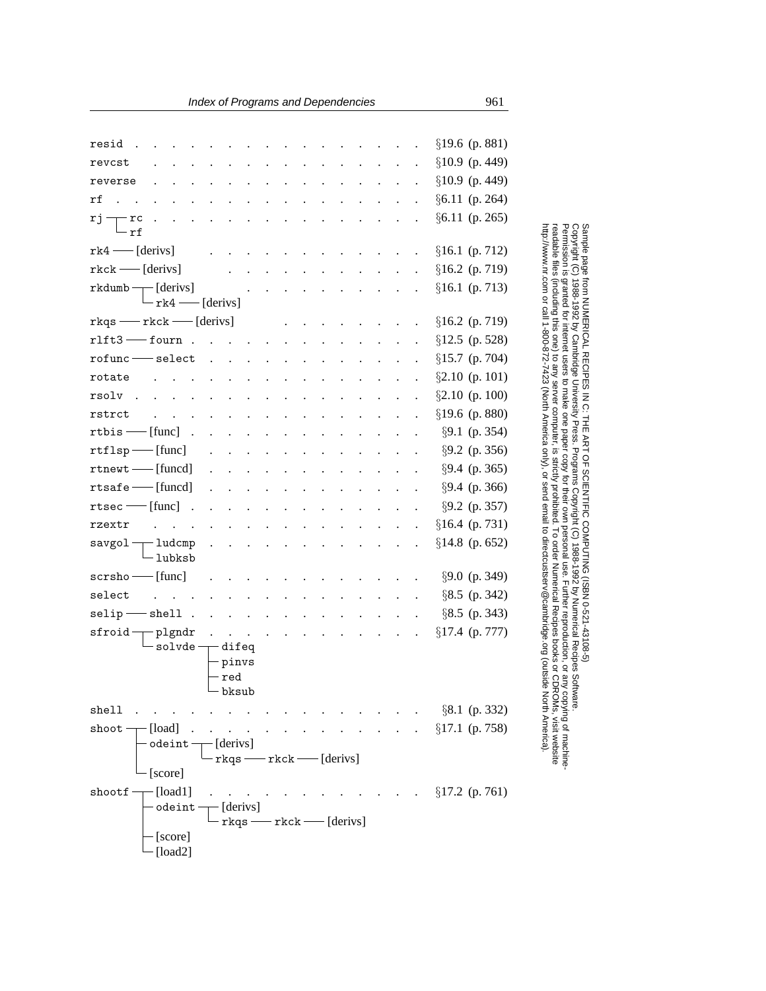| resid                                                                                                                                                                                                                                                                                                                                       |                                  |                           |                                          |        |  |               |               |  | $§19.6$ (p. 881)                                                                   |
|---------------------------------------------------------------------------------------------------------------------------------------------------------------------------------------------------------------------------------------------------------------------------------------------------------------------------------------------|----------------------------------|---------------------------|------------------------------------------|--------|--|---------------|---------------|--|------------------------------------------------------------------------------------|
| revcst                                                                                                                                                                                                                                                                                                                                      |                                  |                           |                                          |        |  |               |               |  | $§10.9$ (p. 449)                                                                   |
| reverse                                                                                                                                                                                                                                                                                                                                     |                                  |                           |                                          |        |  |               |               |  | $§10.9$ (p. 449)                                                                   |
| rf<br>$\mathbf{r}$                                                                                                                                                                                                                                                                                                                          |                                  |                           |                                          |        |  |               |               |  | $§6.11$ (p. 264)                                                                   |
| rj.<br>- rc<br>rf.                                                                                                                                                                                                                                                                                                                          |                                  |                           | $\mathbf{z} = \mathbf{z} + \mathbf{z}$ . |        |  | $\sim$ $\sim$ | $\sim$ $\sim$ |  | $§6.11$ (p. 265)                                                                   |
| $rk4$ — [derivs]                                                                                                                                                                                                                                                                                                                            |                                  |                           |                                          |        |  |               |               |  | $§16.1$ (p. 712)                                                                   |
| $rkck$ - [derivs]                                                                                                                                                                                                                                                                                                                           |                                  |                           |                                          |        |  |               |               |  | $§16.2$ (p. 719)                                                                   |
| $rk$ dumb $\overline{ }$ [derivs]                                                                                                                                                                                                                                                                                                           |                                  |                           |                                          |        |  |               |               |  | $§16.1$ (p. 713)                                                                   |
| $rk4$ - [derivs]                                                                                                                                                                                                                                                                                                                            |                                  |                           |                                          |        |  |               |               |  |                                                                                    |
| rkqs - rkck - [derivs]                                                                                                                                                                                                                                                                                                                      |                                  |                           |                                          |        |  |               |               |  | $§16.2$ (p. 719)                                                                   |
| $rlft3$ --- fourn                                                                                                                                                                                                                                                                                                                           |                                  |                           |                                          |        |  |               |               |  | $\S 12.5$ (p. 528)                                                                 |
| $\text{rofunc} \longrightarrow \text{select}$                                                                                                                                                                                                                                                                                               | <b>Contract Contract</b>         |                           |                                          |        |  |               |               |  | §15.7 (p. 704)                                                                     |
| rotate                                                                                                                                                                                                                                                                                                                                      |                                  |                           |                                          |        |  |               |               |  | $\S2.10$ (p. 101)                                                                  |
| rsolv                                                                                                                                                                                                                                                                                                                                       |                                  |                           |                                          |        |  |               |               |  | $\S2.10$ (p. 100)                                                                  |
| rstrct<br><b>Carl Carl</b>                                                                                                                                                                                                                                                                                                                  |                                  |                           |                                          |        |  |               |               |  | $§19.6$ (p. 880)                                                                   |
| $rtbis$ $[func]$ .                                                                                                                                                                                                                                                                                                                          | $\sim$ 10 $\pm$<br>$\sim$ $\sim$ |                           | $\sim$ 100 $\sim$ 100 $\sim$             |        |  |               |               |  | $\S9.1$ (p. 354)                                                                   |
| $rtflsp$ [func]                                                                                                                                                                                                                                                                                                                             |                                  |                           |                                          |        |  |               |               |  | $§9.2$ (p. 356)                                                                    |
| rtnewt - [funcd]                                                                                                                                                                                                                                                                                                                            |                                  |                           |                                          |        |  |               |               |  | $§9.4$ (p. 365)                                                                    |
| rtsafe - [funcd]                                                                                                                                                                                                                                                                                                                            | $\sim$                           | $\bullet$                 |                                          |        |  |               |               |  | $§9.4$ (p. 366)                                                                    |
| $rtsec$ $\qquad$ $\qquad$ $\qquad$ $\qquad$ $\qquad$ $\qquad$ $\qquad$ $\qquad$ $\qquad$ $\qquad$ $\qquad$ $\qquad$ $\qquad$ $\qquad$ $\qquad$ $\qquad$ $\qquad$ $\qquad$ $\qquad$ $\qquad$ $\qquad$ $\qquad$ $\qquad$ $\qquad$ $\qquad$ $\qquad$ $\qquad$ $\qquad$ $\qquad$ $\qquad$ $\qquad$ $\qquad$ $\qquad$ $\qquad$ $\qquad$ $\qquad$ |                                  |                           |                                          |        |  |               |               |  | §9.2 (p. 357)                                                                      |
| rzextr<br>$\mathcal{A}=\mathcal{A}=\mathcal{A}=\mathcal{A}=\mathcal{A}$                                                                                                                                                                                                                                                                     |                                  |                           |                                          |        |  |               |               |  | $§16.4$ (p. 731)                                                                   |
| savgol —<br>$-$ ludcmp<br>lubksb                                                                                                                                                                                                                                                                                                            |                                  |                           |                                          |        |  |               |               |  | $§14.8$ (p. 652)                                                                   |
| scrsho - [func]                                                                                                                                                                                                                                                                                                                             |                                  |                           |                                          |        |  |               |               |  | $§9.0$ (p. 349)                                                                    |
| select<br>$\sim$ $\sim$                                                                                                                                                                                                                                                                                                                     |                                  |                           |                                          |        |  |               |               |  | $§8.5$ (p. 342)                                                                    |
| $self$ $\longrightarrow$ shell.                                                                                                                                                                                                                                                                                                             | $\sim$ $\sim$                    |                           |                                          |        |  |               |               |  | $\S 8.5$ (p. 343)                                                                  |
| $\text{sfroid} \longrightarrow \text{plgndr}$                                                                                                                                                                                                                                                                                               |                                  | $\mathbf{L} = \mathbf{L}$ |                                          | $\sim$ |  |               |               |  | $§17.4$ (p. 777)                                                                   |
| solvde-                                                                                                                                                                                                                                                                                                                                     | -difeq                           |                           |                                          |        |  |               |               |  |                                                                                    |
|                                                                                                                                                                                                                                                                                                                                             | pinvs<br>red                     |                           |                                          |        |  |               |               |  |                                                                                    |
|                                                                                                                                                                                                                                                                                                                                             | bksub                            |                           |                                          |        |  |               |               |  |                                                                                    |
| shell                                                                                                                                                                                                                                                                                                                                       |                                  |                           |                                          |        |  |               |               |  | $\therefore$ $\therefore$ $\therefore$ $\therefore$ $\therefore$ $\S 8.1$ (p. 332) |
|                                                                                                                                                                                                                                                                                                                                             |                                  |                           |                                          |        |  |               |               |  |                                                                                    |
|                                                                                                                                                                                                                                                                                                                                             |                                  |                           |                                          |        |  |               |               |  |                                                                                    |
| - odeint [derivs]<br>rkqs — rkck — [derivs]<br>[score]                                                                                                                                                                                                                                                                                      |                                  |                           |                                          |        |  |               |               |  |                                                                                    |
| shootf $\leftarrow$ [load1] §17.2 (p. 761)                                                                                                                                                                                                                                                                                                  |                                  |                           |                                          |        |  |               |               |  |                                                                                    |
|                                                                                                                                                                                                                                                                                                                                             |                                  |                           |                                          |        |  |               |               |  |                                                                                    |
| - odeint [derivs]<br>rkqs — rkck — [derivs]                                                                                                                                                                                                                                                                                                 |                                  |                           |                                          |        |  |               |               |  |                                                                                    |
| $-[score]$                                                                                                                                                                                                                                                                                                                                  |                                  |                           |                                          |        |  |               |               |  |                                                                                    |
| $-[load2]$                                                                                                                                                                                                                                                                                                                                  |                                  |                           |                                          |        |  |               |               |  |                                                                                    |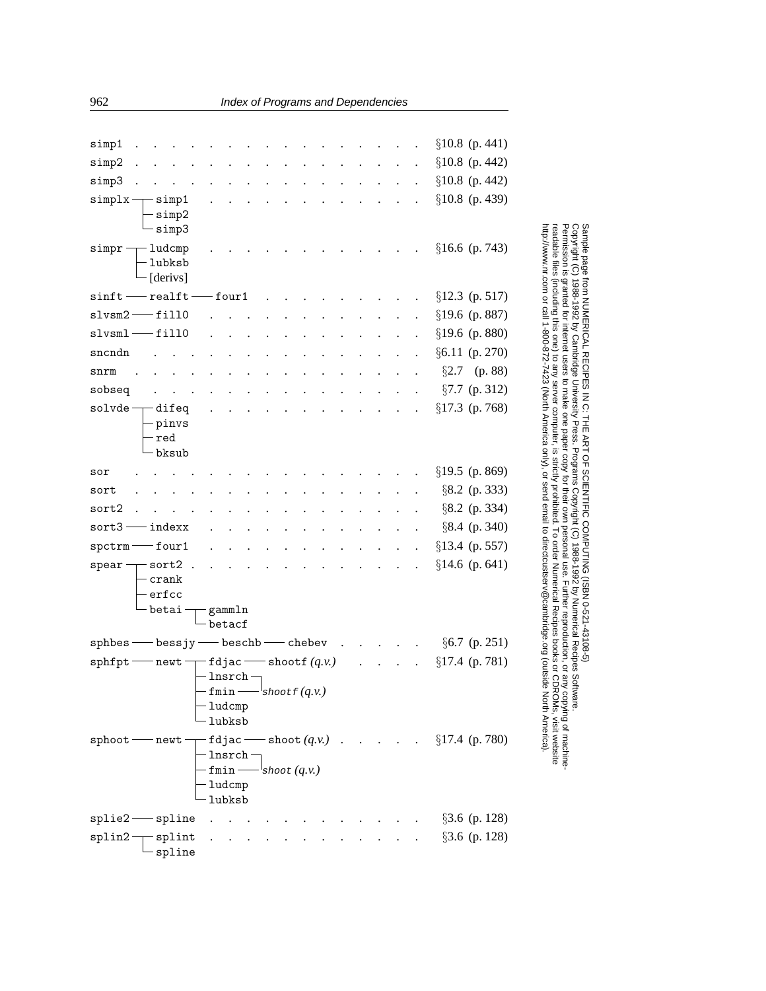| simp1                             |                                     |                         |                                    |  |                                                                                        |  |                                      |  | $§10.8$ (p. 441) |                                                                                                                       |
|-----------------------------------|-------------------------------------|-------------------------|------------------------------------|--|----------------------------------------------------------------------------------------|--|--------------------------------------|--|------------------|-----------------------------------------------------------------------------------------------------------------------|
| simp2                             |                                     |                         |                                    |  |                                                                                        |  |                                      |  | $§10.8$ (p. 442) |                                                                                                                       |
| simp3                             |                                     |                         |                                    |  |                                                                                        |  |                                      |  | $§10.8$ (p. 442) |                                                                                                                       |
| simplx                            | simp1<br>simp2<br>simp3             |                         |                                    |  |                                                                                        |  |                                      |  | $§10.8$ (p. 439) |                                                                                                                       |
| simpr-                            | -ludcmp<br>lubksb<br>[derivs]       |                         |                                    |  |                                                                                        |  |                                      |  | $§16.6$ (p. 743) |                                                                                                                       |
| sinft.                            | realft                              |                         | -four1                             |  |                                                                                        |  |                                      |  | $§12.3$ (p. 517) |                                                                                                                       |
| $slvsm2$ -fill0                   |                                     |                         |                                    |  |                                                                                        |  |                                      |  | $§19.6$ (p. 887) |                                                                                                                       |
| $slvsm1$ -fill0                   |                                     |                         |                                    |  |                                                                                        |  |                                      |  | $§19.6$ (p. 880) |                                                                                                                       |
| sncndn                            |                                     |                         |                                    |  |                                                                                        |  |                                      |  | $§6.11$ (p. 270) |                                                                                                                       |
| snrm                              |                                     |                         |                                    |  |                                                                                        |  |                                      |  | $\S2.7$ (p. 88)  |                                                                                                                       |
| sobseq                            |                                     |                         |                                    |  |                                                                                        |  |                                      |  | §7.7 (p. 312)    |                                                                                                                       |
| solvde                            | difeq                               |                         |                                    |  |                                                                                        |  |                                      |  | $§17.3$ (p. 768) |                                                                                                                       |
|                                   | pinvs<br>red<br>bksub               |                         |                                    |  |                                                                                        |  |                                      |  |                  |                                                                                                                       |
| sor                               |                                     |                         |                                    |  |                                                                                        |  |                                      |  | $§19.5$ (p. 869) |                                                                                                                       |
| sort                              |                                     |                         |                                    |  |                                                                                        |  |                                      |  | $§8.2$ (p. 333)  |                                                                                                                       |
| sort2                             |                                     |                         |                                    |  |                                                                                        |  |                                      |  | §8.2 (p. 334)    |                                                                                                                       |
| $sort3 -$                         | $-$ indexx                          |                         |                                    |  |                                                                                        |  |                                      |  | §8.4 (p. 340)    |                                                                                                                       |
| spctrm -- four1                   |                                     |                         |                                    |  |                                                                                        |  |                                      |  | $§13.4$ (p. 557) |                                                                                                                       |
| spear                             | - sort2<br>crank<br>erfcc<br>betai- | -gammln                 |                                    |  |                                                                                        |  |                                      |  | $§14.6$ (p. 641) | nttp://www.nr.com or call 1-800-872-7423 (North America only), or send email to directoustserv@cambridge.org (outside |
| sphbes - bessjy - beschb - chebev |                                     | betacf                  |                                    |  |                                                                                        |  |                                      |  | $§6.7$ (p. 251)  |                                                                                                                       |
|                                   | - newt -                            |                         |                                    |  | $-fdjac$ = shootf $(q.v.)$                                                             |  |                                      |  |                  |                                                                                                                       |
| sphfpt                            |                                     | lnsrch<br>$\verb fmin $ | ludcmp<br>lubksb                   |  | shootf $(q.v.)$                                                                        |  |                                      |  | $§17.4$ (p. 781) | North America).                                                                                                       |
| $s$ phoot - newt                  |                                     |                         | lnsrch<br>fmin<br>ludcmp<br>lubksb |  | $-f \ddot{\text{d}} \text{jac} \longrightarrow \text{shoot}(q.v.)$ .<br>shoot $(q.v.)$ |  | $\mathbf{L} = \mathbf{L} \mathbf{L}$ |  | $§17.4$ (p. 780) |                                                                                                                       |
| $splite2$ - $splite$              |                                     |                         |                                    |  |                                                                                        |  |                                      |  | $§3.6$ (p. 128)  |                                                                                                                       |
| splin2                            | splint<br>spline                    |                         |                                    |  |                                                                                        |  |                                      |  | $§3.6$ (p. 128)  |                                                                                                                       |

Permission is granted for internet users to make one paper copy for their own personal use. Further reproduction, or any copyin Copyright (C) 1988-1992 by Cambridge University Press.Programs Copyright (C) 1988-1992 by Numerical Recipes Software. Sample page from NUMERICAL RECIPES IN C: THE ART OF SCIENTIFIC COMPUTING (ISBN 0-521-43108-5) g of machinereadable files (including this one) to any servercomputer, is strictly prohibited. To order Numerical Recipes booksor CDROMs, visit website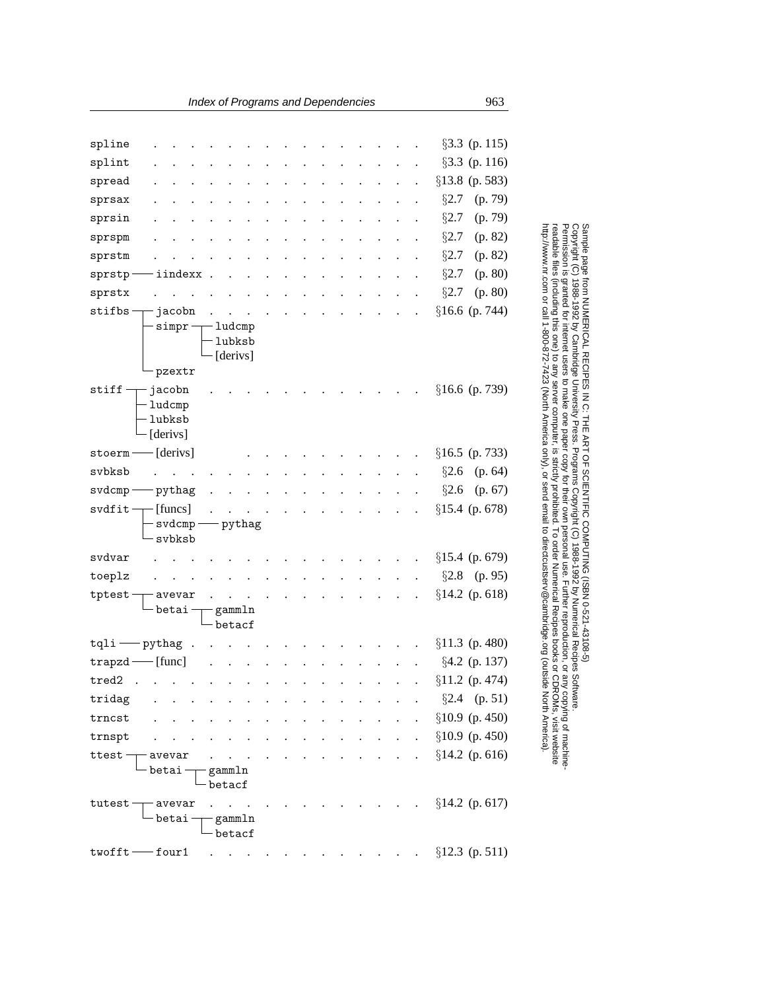| spline        |                         |                      |        |  |  |  |                                 |  | $\S 3.3$ (p. 115)                   |
|---------------|-------------------------|----------------------|--------|--|--|--|---------------------------------|--|-------------------------------------|
| splint        |                         |                      |        |  |  |  |                                 |  | $\S 3.3$ (p. 116)                   |
| spread        |                         |                      |        |  |  |  |                                 |  | $§13.8$ (p. 583)                    |
| $sprs$ ax     |                         |                      |        |  |  |  |                                 |  | $\S2.7$ (p. 79)                     |
| sprsin        |                         |                      |        |  |  |  |                                 |  | (p. 79)<br>$\S2.7$                  |
| sprspm        |                         |                      |        |  |  |  |                                 |  | §2.7<br>(p. 82)                     |
| sprstm        |                         |                      |        |  |  |  |                                 |  | (p. 82)<br>$\S2.7$                  |
| sprstp        | -iindexx                |                      |        |  |  |  |                                 |  | $\S2.7$<br>(p. 80)                  |
| sprstx        |                         |                      |        |  |  |  |                                 |  | $\S2.7$<br>(p. 80)                  |
| stifbs-       | – jacobn                |                      |        |  |  |  |                                 |  | $§16.6$ (p. 744)                    |
|               | simpr-                  | - ludcmp             |        |  |  |  |                                 |  |                                     |
|               |                         | -lubksb<br>-[derivs] |        |  |  |  |                                 |  |                                     |
|               | - pzextr                |                      |        |  |  |  |                                 |  |                                     |
|               | $\text{stiff}$ - jacobn |                      |        |  |  |  |                                 |  | $§16.6$ (p. 739)                    |
|               | - ludcmp                |                      |        |  |  |  |                                 |  |                                     |
|               | - lubksb<br>- [derivs]  |                      |        |  |  |  |                                 |  |                                     |
|               | stoerm - [derivs]       |                      |        |  |  |  |                                 |  |                                     |
| svbksb        |                         |                      |        |  |  |  |                                 |  | $§16.5$ (p. 733)<br>$\S2.6$ (p. 64) |
|               | svdcmp - pythag         |                      |        |  |  |  |                                 |  | $\S2.6$ (p. 67)                     |
| $s$ vdfit $-$ | - [funcs]               |                      |        |  |  |  |                                 |  | $§15.4$ (p. 678)                    |
|               | - svdcmp --- pythag     |                      |        |  |  |  |                                 |  |                                     |
|               | svbksb                  |                      |        |  |  |  |                                 |  |                                     |
| svdvar        |                         |                      |        |  |  |  |                                 |  | $§15.4$ (p. 679)                    |
| toeplz        |                         |                      |        |  |  |  |                                 |  | $§2.8$ (p. 95)                      |
| tptest        | -avevar                 |                      |        |  |  |  |                                 |  | $§14.2$ (p. 618)                    |
|               | betai.                  | -gammln              |        |  |  |  |                                 |  |                                     |
|               |                         | -betacf              |        |  |  |  |                                 |  |                                     |
|               | $tqli$ - pythag.        |                      |        |  |  |  |                                 |  | $§11.3$ (p. 480)                    |
|               | $trapzd$ - [func]       |                      |        |  |  |  |                                 |  | $\S4.2$ (p. 137)                    |
| tred2         |                         |                      |        |  |  |  |                                 |  | $§11.2$ (p. 474)                    |
| tridag        |                         |                      |        |  |  |  |                                 |  | $\S2.4$ (p. 51)                     |
| trncst        |                         |                      |        |  |  |  |                                 |  | $§10.9$ (p. 450)                    |
| trnspt        |                         |                      |        |  |  |  |                                 |  | $§10.9$ (p. 450)                    |
| ttest-        | -avevar<br>betai-       | -gammln              |        |  |  |  |                                 |  | $§14.2$ (p. 616)                    |
|               |                         | betacf               |        |  |  |  |                                 |  |                                     |
| tutest-       | - avevar                |                      |        |  |  |  |                                 |  | $§14.2$ (p. 617)                    |
|               | betai-                  | -gammln              |        |  |  |  |                                 |  |                                     |
|               |                         |                      | betacf |  |  |  |                                 |  |                                     |
|               | $twofft$ - four1        |                      |        |  |  |  | the contract of the contract of |  | $§12.3$ (p. 511)                    |

Permission is granted for internet users to make one paper copy for their own personal use. Further reproduction, or any copyin readable files (including this one) to any serverhttp://www.nr.com or call 1-800-872-7423 (North America only),

Copyright (C) 1988-1992 by Cambridge University Press.

Sample page from NUMERICAL RECIPES IN C: THE ART OF SCIENTIFIC COMPUTING (ISBN 0-521-43108-5)

Programs Copyright (C) 1988-1992 by Numerical Recipes Software.

computer, is strictly prohibited. To order Numerical Recipes books

or send email to directcustserv@cambridge.org (outside North America).

g of machine-

or CDROMs, visit website